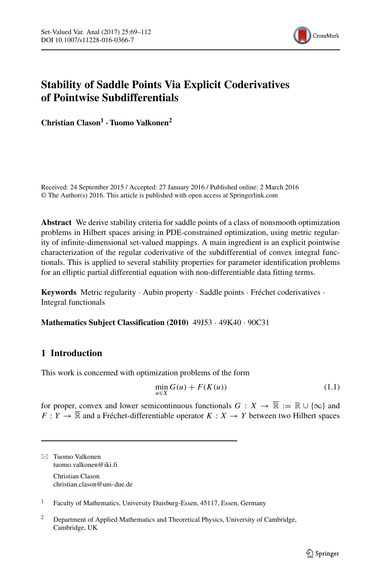

# **Stability of Saddle Points Via Explicit Coderivatives of Pointwise Subdifferentials**

**Christian Clason<sup>1</sup> ·Tuomo Valkonen<sup>2</sup>**

Received: 24 September 2015 / Accepted: 27 January 2016 / Published online: 2 March 2016 © The Author(s) 2016. This article is published with open access at Springerlink.com

**Abstract** We derive stability criteria for saddle points of a class of nonsmooth optimization problems in Hilbert spaces arising in PDE-constrained optimization, using metric regularity of infinite-dimensional set-valued mappings. A main ingredient is an explicit pointwise characterization of the regular coderivative of the subdifferential of convex integral functionals. This is applied to several stability properties for parameter identification problems for an elliptic partial differential equation with non-differentiable data fitting terms.

**Keywords** Metric regularity · Aubin property · Saddle points · Fréchet coderivatives · Integral functionals

**Mathematics Subject Classification (2010)** 49J53 · 49K40 · 90C31

## **1 Introduction**

This work is concerned with optimization problems of the form

<span id="page-0-0"></span>
$$
\min_{u \in X} G(u) + F(K(u)) \tag{1.1}
$$

for proper, convex and lower semicontinuous functionals  $G: X \to \overline{\mathbb{R}} := \mathbb{R} \cup \{\infty\}$  and  $F: Y \to \overline{\mathbb{R}}$  and a Fréchet-differentiable operator  $K: X \to Y$  between two Hilbert spaces

- Tuomo Valkonen [tuomo.valkonen@iki.fi](mailto:tuomo.valkonen@iki.fi) Christian Clason

[christian.clason@uni-due.de](mailto:christian.clason@uni-due.de)

<sup>1</sup> Faculty of Mathematics, University Duisburg-Essen, 45117, Essen, Germany

<sup>2</sup> Department of Applied Mathematics and Theoretical Physics, University of Cambridge, Cambridge, UK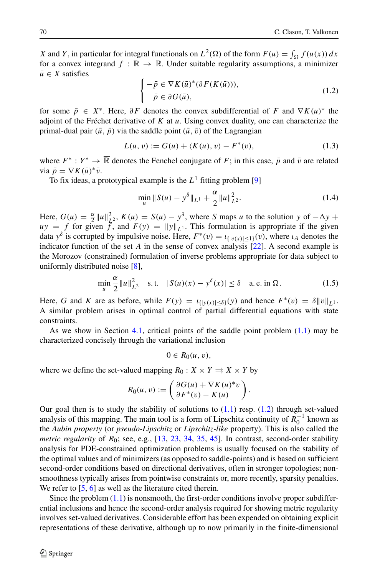*X* and *Y*, in particular for integral functionals on  $L^2(\Omega)$  of the form  $F(u) = \int_{\Omega} f(u(x)) dx$ for a convex integrand  $f : \mathbb{R} \to \mathbb{R}$ . Under suitable regularity assumptions, a minimizer  $\bar{u} \in X$  satisfies

<span id="page-1-0"></span>
$$
\begin{cases}\n-\bar{p} \in \nabla K(\bar{u})^*(\partial F(K(\bar{u}))),\\ \quad \bar{p} \in \partial G(\bar{u}),\n\end{cases} \tag{1.2}
$$

for some  $\bar{p} \in X^*$ . Here,  $\partial F$  denotes the convex subdifferential of *F* and  $\nabla K(u)^*$  the adjoint of the Fréchet derivative of  $K$  at  $u$ . Using convex duality, one can characterize the primal-dual pair  $(\bar{u}, \bar{p})$  via the saddle point  $(\bar{u}, \bar{v})$  of the Lagrangian

<span id="page-1-1"></span>
$$
L(u, v) := G(u) + \langle K(u), v \rangle - F^*(v), \qquad (1.3)
$$

where  $F^* : Y^* \to \overline{\mathbb{R}}$  denotes the Fenchel conjugate of *F*; in this case,  $\bar{p}$  and  $\bar{v}$  are related via  $\bar{p} = \nabla K(\bar{u})^* \bar{v}$ .

To fix ideas, a prototypical example is the  $L^1$  fitting problem [\[9\]](#page-41-0)

<span id="page-1-2"></span>
$$
\min_{u} \|S(u) - y^{\delta}\|_{L^{1}} + \frac{\alpha}{2} \|u\|_{L^{2}}^{2}.
$$
\n(1.4)

Here,  $G(u) = \frac{\alpha}{2} ||u||_{L^2}^2$ ,  $K(u) = S(u) - y^\delta$ , where *S* maps *u* to the solution *y* of  $-\Delta y +$  $uy = f$  for given *f*, and  $F(y) = ||y||_{L^1}$ . This formulation is appropriate if the given data  $y^{\delta}$  is corrupted by impulsive noise. Here,  $F^*(v) = \iota_{\{|v(x)| \le 1\}}(v)$ , where  $\iota_A$  denotes the indicator function of the set *A* in the sense of convex analysis [\[22\]](#page-42-0). A second example is the Morozov (constrained) formulation of inverse problems appropriate for data subject to uniformly distributed noise [\[8\]](#page-41-1),

<span id="page-1-3"></span>
$$
\min_{u} \frac{\alpha}{2} ||u||_{L^2}^2 \quad \text{s.t.} \quad |S(u)(x) - y^\delta(x)| \le \delta \quad \text{a.e. in } \Omega. \tag{1.5}
$$

Here, *G* and *K* are as before, while  $F(y) = \iota_{\{|y(x)| \le \delta\}}(y)$  and hence  $F^*(v) = \delta \|v\|_{L^1}$ . A similar problem arises in optimal control of partial differential equations with state constraints.

As we show in Section [4.1,](#page-22-0) critical points of the saddle point problem  $(1.1)$  may be characterized concisely through the variational inclusion

$$
0\in R_0(u,v),
$$

where we define the set-valued mapping  $R_0: X \times Y \rightrightarrows X \times Y$  by

$$
R_0(u, v) := \begin{pmatrix} \partial G(u) + \nabla K(u)^* v \\ \partial F^*(v) - K(u) \end{pmatrix}.
$$

Our goal then is to study the stability of solutions to  $(1.1)$  resp.  $(1.2)$  through set-valued analysis of this mapping. The main tool is a form of Lipschitz continuity of  $R_0^{-1}$  known as the *Aubin property* (or *pseudo-Lipschitz* or *Lipschitz-like* property). This is also called the *metric regularity* of  $R_0$ ; see, e.g., [\[13,](#page-41-2) [23,](#page-42-1) [34,](#page-42-2) [35,](#page-42-3) [45\]](#page-43-0). In contrast, second-order stability analysis for PDE-constrained optimization problems is usually focused on the stability of the optimal values and of minimizers (as opposed to saddle-points) and is based on sufficient second-order conditions based on directional derivatives, often in stronger topologies; nonsmoothness typically arises from pointwise constraints or, more recently, sparsity penalties. We refer to [\[5,](#page-41-3) [6\]](#page-41-4) as well as the literature cited therein.

Since the problem  $(1.1)$  is nonsmooth, the first-order conditions involve proper subdifferential inclusions and hence the second-order analysis required for showing metric regularity involves set-valued derivatives. Considerable effort has been expended on obtaining explicit representations of these derivative, although up to now primarily in the finite-dimensional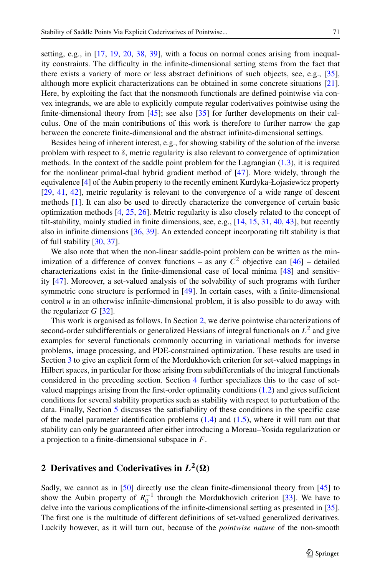setting, e.g., in [\[17,](#page-41-5) [19,](#page-42-4) [20,](#page-42-5) [38,](#page-42-6) [39\]](#page-42-7), with a focus on normal cones arising from inequality constraints. The difficulty in the infinite-dimensional setting stems from the fact that there exists a variety of more or less abstract definitions of such objects, see, e.g., [\[35\]](#page-42-3), although more explicit characterizations can be obtained in some concrete situations [\[21\]](#page-42-8). Here, by exploiting the fact that the nonsmooth functionals are defined pointwise via convex integrands, we are able to explicitly compute regular coderivatives pointwise using the finite-dimensional theory from [\[45\]](#page-43-0); see also [\[35\]](#page-42-3) for further developments on their calculus. One of the main contributions of this work is therefore to further narrow the gap between the concrete finite-dimensional and the abstract infinite-dimensional settings.

Besides being of inherent interest, e.g., for showing stability of the solution of the inverse problem with respect to  $\delta$ , metric regularity is also relevant to convergence of optimization methods. In the context of the saddle point problem for the Lagrangian [\(1.3\)](#page-1-1), it is required for the nonlinear primal-dual hybrid gradient method of [\[47\]](#page-43-1). More widely, through the equivalence [\[4\]](#page-41-6) of the Aubin property to the recently eminent Kurdyka-Łojasiewicz property [\[29,](#page-42-9) [41,](#page-42-10) [42\]](#page-43-2), metric regularity is relevant to the convergence of a wide range of descent methods [\[1\]](#page-41-7). It can also be used to directly characterize the convergence of certain basic optimization methods [\[4,](#page-41-6) [25,](#page-42-11) [26\]](#page-42-12). Metric regularity is also closely related to the concept of tilt-stability, mainly studied in finite dimensions, see, e.g., [\[14,](#page-41-8) [15,](#page-41-9) [31,](#page-42-13) [40,](#page-42-14) [43\]](#page-43-3), but recently also in infinite dimensions [\[36,](#page-42-15) [39\]](#page-42-7). An extended concept incorporating tilt stability is that of full stability [\[30,](#page-42-16) [37\]](#page-42-17).

We also note that when the non-linear saddle-point problem can be written as the minimization of a difference of convex functions – as any  $C^2$  objective can  $[46]$  – detailed characterizations exist in the finite-dimensional case of local minima [\[48\]](#page-43-5) and sensitivity [\[47\]](#page-43-1). Moreover, a set-valued analysis of the solvability of such programs with further symmetric cone structure is performed in [\[49\]](#page-43-6). In certain cases, with a finite-dimensional control *u* in an otherwise infinite-dimensional problem, it is also possible to do away with the regularizer  $G$  [\[32\]](#page-42-18).

This work is organised as follows. In Section [2,](#page-2-0) we derive pointwise characterizations of second-order subdifferentials or generalized Hessians of integral functionals on *L*<sup>2</sup> and give examples for several functionals commonly occurring in variational methods for inverse problems, image processing, and PDE-constrained optimization. These results are used in Section [3](#page-17-0) to give an explicit form of the Mordukhovich criterion for set-valued mappings in Hilbert spaces, in particular for those arising from subdifferentials of the integral functionals considered in the preceding section. Section [4](#page-22-1) further specializes this to the case of setvalued mappings arising from the first-order optimality conditions  $(1.2)$  and gives sufficient conditions for several stability properties such as stability with respect to perturbation of the data. Finally, Section [5](#page-33-0) discusses the satisfiability of these conditions in the specific case of the model parameter identification problems  $(1.4)$  and  $(1.5)$ , where it will turn out that stability can only be guaranteed after either introducing a Moreau–Yosida regularization or a projection to a finite-dimensional subspace in *F*.

# <span id="page-2-0"></span>**2** Derivatives and Coderivatives in  $L^2(\Omega)$

Sadly, we cannot as in [\[50\]](#page-43-7) directly use the clean finite-dimensional theory from [\[45\]](#page-43-0) to show the Aubin property of  $R_0^{-1}$  through the Mordukhovich criterion [\[33\]](#page-42-19). We have to delve into the various complications of the infinite-dimensional setting as presented in [\[35\]](#page-42-3). The first one is the multitude of different definitions of set-valued generalized derivatives. Luckily however, as it will turn out, because of the *pointwise nature* of the non-smooth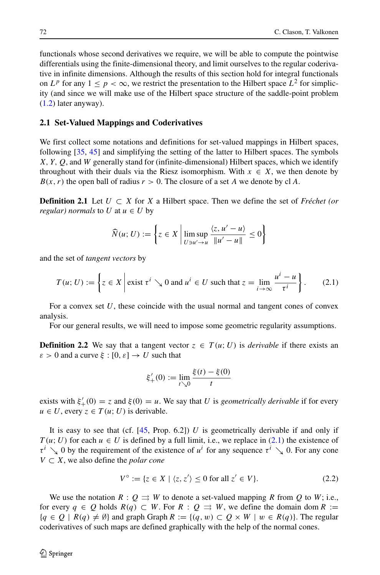functionals whose second derivatives we require, we will be able to compute the pointwise differentials using the finite-dimensional theory, and limit ourselves to the regular coderivative in infinite dimensions. Although the results of this section hold for integral functionals on  $L^p$  for any  $1 \leq p < \infty$ , we restrict the presentation to the Hilbert space  $L^2$  for simplicity (and since we will make use of the Hilbert space structure of the saddle-point problem [\(1.2\)](#page-1-0) later anyway).

#### **2.1 Set-Valued Mappings and Coderivatives**

We first collect some notations and definitions for set-valued mappings in Hilbert spaces, following [\[35,](#page-42-3) [45\]](#page-43-0) and simplifying the setting of the latter to Hilbert spaces. The symbols *X, Y, Q*, and *W* generally stand for (infinite-dimensional) Hilbert spaces, which we identify throughout with their duals via the Riesz isomorphism. With  $x \in X$ , we then denote by  $B(x, r)$  the open ball of radius  $r > 0$ . The closure of a set *A* we denote by cl *A*.

**Definition 2.1** Let  $U \subset X$  for  $X$  a Hilbert space. Then we define the set of *Fréchet (or regular) normals* to *U* at  $u \in U$  by

$$
\widehat{N}(u; U) := \left\{ z \in X \, \middle| \, \limsup_{U \ni u' \to u} \frac{\langle z, u' - u \rangle}{\|u' - u\|} \le 0 \right\}
$$

and the set of *tangent vectors* by

<span id="page-3-0"></span>
$$
T(u; U) := \left\{ z \in X \mid \text{exist } \tau^i \searrow 0 \text{ and } u^i \in U \text{ such that } z = \lim_{i \to \infty} \frac{u^i - u}{\tau^i} \right\}.
$$
 (2.1)

For a convex set *U*, these coincide with the usual normal and tangent cones of convex analysis.

For our general results, we will need to impose some geometric regularity assumptions.

**Definition 2.2** We say that a tangent vector  $z \in T(u; U)$  is *derivable* if there exists an  $\varepsilon > 0$  and a curve  $\xi : [0, \varepsilon] \to U$  such that

$$
\xi'_{+}(0) := \lim_{t \searrow 0} \frac{\xi(t) - \xi(0)}{t}
$$

exists with  $\xi'_{+}(0) = z$  and  $\xi(0) = u$ . We say that *U* is *geometrically derivable* if for every  $u \in U$ , every  $z \in T(u; U)$  is derivable.

It is easy to see that (cf.  $[45, Prop. 6.2]$  $[45, Prop. 6.2]$ ) *U* is geometrically derivable if and only if  $T(u; U)$  for each  $u \in U$  is defined by a full limit, i.e., we replace in [\(2.1\)](#page-3-0) the existence of  $\tau^{i}$   $\searrow$  0 by the requirement of the existence of *u<sup>i</sup>* for any sequence  $\tau^{i}$   $\searrow$  0. For any cone *V* ⊂ *X*, we also define the *polar cone*

<span id="page-3-1"></span>
$$
V^{\circ} := \{ z \in X \mid \langle z, z' \rangle \le 0 \text{ for all } z' \in V \}. \tag{2.2}
$$

We use the notation  $R: Q \rightrightarrows W$  to denote a set-valued mapping R from Q to W; i.e., for every  $q \in Q$  holds  $R(q) \subset W$ . For  $R: Q \rightrightarrows W$ , we define the domain dom  $R :=$  ${q \in Q \mid R(q) \neq \emptyset}$  and graph Graph  $R := {(q, w) \subset Q \times W \mid w \in R(q)}$ . The regular coderivatives of such maps are defined graphically with the help of the normal cones.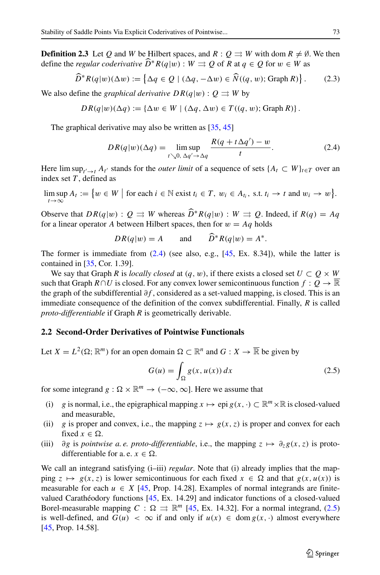**Definition 2.3** Let *Q* and *W* be Hilbert spaces, and  $R : O \rightrightarrows W$  with dom  $R \neq \emptyset$ . We then define the *regular coderivative*  $\widehat{D}^*R(q|w): W \rightrightarrows Q$  of R at  $q \in Q$  for  $w \in W$  as

<span id="page-4-3"></span>
$$
\widehat{D}^*R(q|w)(\Delta w) := \left\{ \Delta q \in Q \mid (\Delta q, -\Delta w) \in \widehat{N}((q, w); \text{Graph } R) \right\}. \tag{2.3}
$$

We also define the *graphical derivative*  $DR(q|w): Q \rightrightarrows W$  by

$$
DR(q|w)(\Delta q) := {\Delta w \in W \mid (\Delta q, \Delta w) \in T((q, w); \text{Graph } R)}.
$$

The graphical derivative may also be written as [\[35,](#page-42-3) [45\]](#page-43-0)

<span id="page-4-0"></span>
$$
DR(q|w)(\Delta q) = \limsup_{t \searrow 0, \ \Delta q' \to \Delta q} \frac{R(q + t\Delta q') - w}{t}.
$$
 (2.4)

Here  $\limsup_{t' \to t} A_{t'}$  stands for the *outer limit* of a sequence of sets  $\{A_t \subset W\}_{t \in T}$  over an index set *T* , defined as

 $\limsup_{t \to \infty} A_t := \{ w \in W \mid \text{for each } i \in \mathbb{N} \text{ exist } t_i \in T, w_i \in A_{t_i}, \text{ s.t. } t_i \to t \text{ and } w_i \to w \}.$ *t*→∞

Observe that  $DR(q|w): Q \rightrightarrows W$  whereas  $\widehat{D}^*R(q|w): W \rightrightarrows Q$ . Indeed, if  $R(q) = Aq$ for a linear operator *A* between Hilbert spaces, then for  $w = Aq$  holds

$$
DR(q|w) = A \qquad \text{and} \qquad \widehat{D}^*R(q|w) = A^*.
$$

The former is immediate from  $(2.4)$  (see also, e.g.,  $[45, Ex. 8.34]$  $[45, Ex. 8.34]$ ), while the latter is contained in [\[35,](#page-42-3) Cor. 1.39].

We say that Graph *R* is *locally closed* at  $(q, w)$ , if there exists a closed set  $U \subset Q \times W$ such that Graph  $R \cap U$  is closed. For any convex lower semicontinuous function  $f : Q \to \mathbb{R}$ the graph of the subdifferential *∂f* , considered as a set-valued mapping, is closed. This is an immediate consequence of the definition of the convex subdifferential. Finally, *R* is called *proto-differentiable* if Graph *R* is geometrically derivable.

#### <span id="page-4-2"></span>**2.2 Second-Order Derivatives of Pointwise Functionals**

Let  $X = L^2(\Omega; \mathbb{R}^m)$  for an open domain  $\Omega \subset \mathbb{R}^n$  and  $G: X \to \overline{\mathbb{R}}$  be given by

<span id="page-4-1"></span>
$$
G(u) = \int_{\Omega} g(x, u(x)) dx
$$
 (2.5)

for some integrand  $g : \Omega \times \mathbb{R}^m \to (-\infty, \infty]$ . Here we assume that

- (i) *g* is normal, i.e., the epigraphical mapping  $x \mapsto e$  pi  $g(x, \cdot) \subset \mathbb{R}^m \times \mathbb{R}$  is closed-valued and measurable,
- (ii) *g* is proper and convex, i.e., the mapping  $z \mapsto g(x, z)$  is proper and convex for each fixed  $x \in \Omega$ .
- (iii)  $\partial g$  is *pointwise a. e. proto-differentiable*, i.e., the mapping  $z \mapsto \partial_z g(x, z)$  is protodifferentiable for a. e.  $x \in \Omega$ .

We call an integrand satisfying  $(i-iii)$  *regular*. Note that (i) already implies that the mapping  $z \mapsto g(x, z)$  is lower semicontinuous for each fixed  $x \in \Omega$  and that  $g(x, u(x))$  is measurable for each  $u \in X$  [\[45,](#page-43-0) Prop. 14.28]. Examples of normal integrands are finitevalued Carathéodory functions  $[45, Ex. 14.29]$  $[45, Ex. 14.29]$  $[45, Ex. 14.29]$  and indicator functions of a closed-valued Borel-measurable mapping  $C : \Omega \implies \mathbb{R}^m$  [\[45,](#page-43-0) Ex. 14.32]. For a normal integrand, [\(2.5\)](#page-4-1) is well-defined, and  $G(u) < \infty$  if and only if  $u(x) \in \text{dom } g(x, \cdot)$  almost everywhere [\[45,](#page-43-0) Prop. 14.58].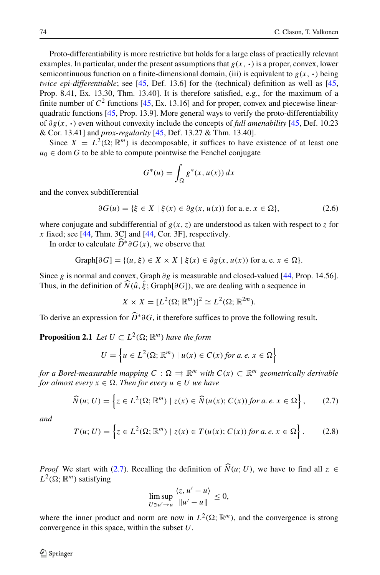Proto-differentiability is more restrictive but holds for a large class of practically relevant examples. In particular, under the present assumptions that  $g(x, \cdot)$  is a proper, convex, lower semicontinuous function on a finite-dimensional domain, (iii) is equivalent to  $g(x, \cdot)$  being *twice epi-differentiable*; see [\[45,](#page-43-0) Def. 13.6] for the (technical) definition as well as [45, Prop. 8.41, Ex. 13.30, Thm. 13.40]. It is therefore satisfied, e.g., for the maximum of a finite number of  $C^2$  functions [\[45,](#page-43-0) Ex. 13.16] and for proper, convex and piecewise linearquadratic functions [\[45,](#page-43-0) Prop. 13.9]. More general ways to verify the proto-differentiability of *∂g(x,* **·***)* even without convexity include the concepts of *full amenability* [\[45,](#page-43-0) Def. 10.23 & Cor. 13.41] and *prox-regularity* [\[45,](#page-43-0) Def. 13.27 & Thm. 13.40].

Since  $X = L^2(\Omega; \mathbb{R}^m)$  is decomposable, it suffices to have existence of at least one  $u_0 \in \text{dom } G$  to be able to compute pointwise the Fenchel conjugate

$$
G^*(u) = \int_{\Omega} g^*(x, u(x)) dx
$$

and the convex subdifferential

<span id="page-5-2"></span>
$$
\partial G(u) = \{ \xi \in X \mid \xi(x) \in \partial g(x, u(x)) \text{ for a.e. } x \in \Omega \},\tag{2.6}
$$

where conjugate and subdifferential of  $g(x, z)$  are understood as taken with respect to *z* for *x* fixed; see [\[44,](#page-43-8) Thm. 3C] and [\[44,](#page-43-8) Cor. 3F], respectively.

In order to calculate  $\widehat{D}^* \partial G(x)$ , we observe that

Graph[
$$
\partial G
$$
] = { $(u, \xi) \in X \times X \mid \xi(x) \in \partial g(x, u(x))$  for a.e.  $x \in \Omega$  }.

Since *g* is normal and convex, Graph *∂g* is measurable and closed-valued [\[44,](#page-43-8) Prop. 14.56]. Thus, in the definition of  $N(\hat{u}, \hat{\xi})$ ; Graph[ $\partial G$ ]), we are dealing with a sequence in

 $X \times X = [L^2(\Omega; \mathbb{R}^m)]^2 \simeq L^2(\Omega; \mathbb{R}^{2m}).$ 

To derive an expression for *<sup>D</sup>*∗*∂G*, it therefore suffices to prove the following result.

**Proposition 2.1** *Let*  $U \subset L^2(\Omega; \mathbb{R}^m)$  *have the form* 

$$
U = \left\{ u \in L^{2}(\Omega; \mathbb{R}^{m}) \mid u(x) \in C(x) \text{ for a. } e, x \in \Omega \right\}
$$

*for a Borel-measurable mapping*  $C: \Omega \rightrightarrows \mathbb{R}^m$  *with*  $C(x) \subset \mathbb{R}^m$  geometrically derivable  $for$  almost every  $x \in \Omega$ . Then  $for$  every  $u \in U$  we have

<span id="page-5-0"></span>
$$
\widehat{N}(u;U) = \left\{ z \in L^2(\Omega; \mathbb{R}^m) \mid z(x) \in \widehat{N}(u(x); C(x)) \text{ for a. } e, x \in \Omega \right\},\tag{2.7}
$$

*and*

<span id="page-5-1"></span>
$$
T(u; U) = \left\{ z \in L^{2}(\Omega; \mathbb{R}^{m}) \mid z(x) \in T(u(x); C(x)) \text{ for a. } e, x \in \Omega \right\}.
$$
 (2.8)

*Proof* We start with [\(2.7\)](#page-5-0). Recalling the definition of  $\hat{N}(u; U)$ , we have to find all  $z \in$  $L^2(\Omega; \mathbb{R}^m)$  satisfying

$$
\limsup_{U \ni u' \to u} \frac{\langle z, u' - u \rangle}{\|u' - u\|} \le 0,
$$

where the inner product and norm are now in  $L^2(\Omega; \mathbb{R}^m)$ , and the convergence is strong convergence in this space, within the subset *U*.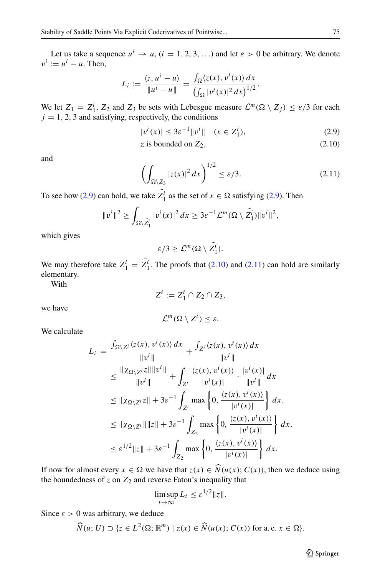Let us take a sequence  $u^i \to u$ ,  $(i = 1, 2, 3, ...)$  and let  $\varepsilon > 0$  be arbitrary. We denote  $v^i := u^i - u$ . Then,

$$
L_i := \frac{\langle z, u^i - u \rangle}{\|u^i - u\|} = \frac{\int_{\Omega} \langle z(x), v^i(x) \rangle dx}{\left(\int_{\Omega} |v^i(x)|^2 dx\right)^{1/2}}.
$$

We let  $Z_1 = Z_1^i$ ,  $Z_2$  and  $Z_3$  be sets with Lebesgue measure  $\mathcal{L}^m(\Omega \setminus Z_j) \leq \varepsilon/3$  for each  $j = 1, 2, 3$  and satisfying, respectively, the conditions

<span id="page-6-0"></span>
$$
|v^{i}(x)| \le 3\varepsilon^{-1} \|v^{i}\| \quad (x \in Z_{1}^{i}), \tag{2.9}
$$

$$
z \text{ is bounded on } Z_2,\tag{2.10}
$$

and

<span id="page-6-1"></span>
$$
\left(\int_{\Omega\setminus Z_3} |z(x)|^2 dx\right)^{1/2} \le \varepsilon/3.
$$
 (2.11)

To see how [\(2.9\)](#page-6-0) can hold, we take  $Z_1^i$  as the set of  $x \in \Omega$  satisfying (2.9). Then

$$
||v^i||^2 \ge \int_{\Omega \setminus \tilde{Z_1^i}} |v^i(x)|^2 dx \ge 3\varepsilon^{-1} \mathcal{L}^m(\Omega \setminus \tilde{Z_1^i}) ||v^i||^2,
$$

which gives

 $\varepsilon/3 \geq \mathcal{L}^m(\Omega \setminus Z_1^i).$ 

We may therefore take  $Z_1^i = Z_1^i$ . The proofs that [\(2.10\)](#page-6-0) and [\(2.11\)](#page-6-1) can hold are similarly elementary.

With

$$
Z^i := Z_1^i \cap Z_2 \cap Z_3,
$$

we have

$$
\mathcal{L}^m(\Omega \setminus Z^i) \leq \varepsilon.
$$

We calculate

$$
L_{i} = \frac{\int_{\Omega \setminus Z^{i}} \langle z(x), v^{i}(x) \rangle dx}{\|v^{i}\|} + \frac{\int_{Z^{i}} \langle z(x), v^{i}(x) \rangle dx}{\|v^{i}\|}
$$
  
\n
$$
\leq \frac{\| \chi_{\Omega \setminus Z^{i}} z\| \|v^{i}\|}{\|v^{i}\|} + \int_{Z^{i}} \frac{\langle z(x), v^{i}(x) \rangle}{|v^{i}(x)|} \cdot \frac{|v^{i}(x)|}{\|v^{i}\|} dx
$$
  
\n
$$
\leq \|\chi_{\Omega \setminus Z^{i}} z\| + 3\varepsilon^{-1} \int_{Z^{i}} \max \left\{0, \frac{\langle z(x), v^{i}(x) \rangle}{|v^{i}(x)|}\right\} dx.
$$
  
\n
$$
\leq \|\chi_{\Omega \setminus Z^{i}}\| \|z\| + 3\varepsilon^{-1} \int_{Z_{2}} \max \left\{0, \frac{\langle z(x), v^{i}(x) \rangle}{|v^{i}(x)|}\right\} dx.
$$
  
\n
$$
\leq \varepsilon^{1/2} \|z\| + 3\varepsilon^{-1} \int_{Z_{2}} \max \left\{0, \frac{\langle z(x), v^{i}(x) \rangle}{|v^{i}(x)|}\right\} dx.
$$

If now for almost every  $x \in \Omega$  we have that  $z(x) \in N(u(x); C(x))$ , then we deduce using the boundedness of  $z$  on  $Z_2$  and reverse Fatou's inequality that

$$
\limsup_{i \to \infty} L_i \le \varepsilon^{1/2} \|z\|.
$$

Since  $\varepsilon > 0$  was arbitrary, we deduce

$$
\widehat{N}(u;U) \supset \{z \in L^{2}(\Omega; \mathbb{R}^{m}) \mid z(x) \in \widehat{N}(u(x); C(x)) \text{ for a.e. } x \in \Omega\}.
$$

 $\mathcal{D}$  Springer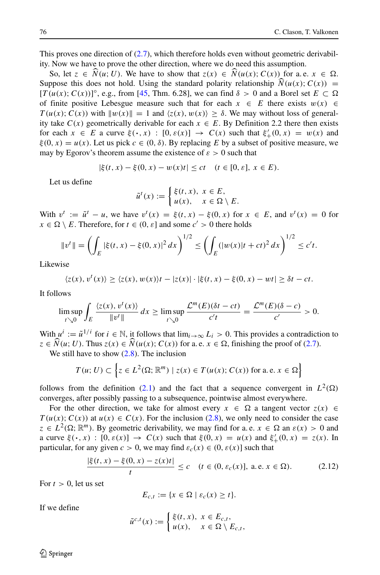This proves one direction of  $(2.7)$ , which therefore holds even without geometric derivability. Now we have to prove the other direction, where we do need this assumption.

So, let  $z \in N(u; U)$ . We have to show that  $z(x) \in N(u(x); C(x))$  for a.e.  $x \in \Omega$ . Suppose this does not hold. Using the standard polarity relationship  $\widehat{N}(u(x); C(x)) =$  $[T(u(x); C(x))]^{\circ}$ , e.g., from [\[45,](#page-43-0) Thm. 6.28], we can find  $\delta > 0$  and a Borel set  $E \subset \Omega$ of finite positive Lebesgue measure such that for each  $x \in E$  there exists  $w(x) \in E$  $T(u(x); C(x))$  with  $||w(x)|| = 1$  and  $\langle z(x), w(x) \rangle \ge \delta$ . We may without loss of generality take  $C(x)$  geometrically derivable for each  $x \in E$ . By Definition 2.2 there then exists for each  $x \in E$  a curve  $\xi(\cdot, x) : [0, \varepsilon(x)] \to C(x)$  such that  $\xi'_{+}(0, x) = w(x)$  and  $\xi(0, x) = u(x)$ . Let us pick  $c \in (0, \delta)$ . By replacing *E* by a subset of positive measure, we may by Egorov's theorem assume the existence of  $\varepsilon > 0$  such that

$$
|\xi(t,x) - \xi(0,x) - w(x)t| \le ct \quad (t \in [0,\varepsilon], \ x \in E).
$$

Let us define

$$
\tilde{u}^t(x) := \begin{cases} \xi(t,x), & x \in E, \\ u(x), & x \in \Omega \setminus E. \end{cases}
$$

With  $v^t := \tilde{u}^t - u$ , we have  $v^t(x) = \xi(t, x) - \xi(0, x)$  for  $x \in E$ , and  $v^t(x) = 0$  for  $x \in \Omega \setminus E$ . Therefore, for  $t \in (0, \varepsilon]$  and some  $c' > 0$  there holds

$$
||v^t|| = \left(\int_E |\xi(t,x) - \xi(0,x)|^2 dx\right)^{1/2} \le \left(\int_E (|w(x)|t + ct)^2 dx\right)^{1/2} \le c't.
$$

Likewise

$$
\langle z(x), v^t(x) \rangle \ge \langle z(x), w(x) \rangle t - |z(x)| \cdot |\xi(t, x) - \xi(0, x) - wt| \ge \delta t - ct.
$$

It follows

$$
\limsup_{t\searrow 0}\int_E \frac{\langle z(x),v^t(x)\rangle}{\|v^t\|}dx \ge \limsup_{t\searrow 0}\frac{\mathcal{L}^m(E)(\delta t-ct)}{c't} = \frac{\mathcal{L}^m(E)(\delta-c)}{c'} > 0.
$$

With  $u^i := \tilde{u}^{1/i}$  for  $i \in \mathbb{N}$ , it follows that  $\lim_{i \to \infty} L_i > 0$ . This provides a contradiction to  $z \in N(u; U)$ . Thus  $z(x) \in N(u(x); C(x))$  for a. e.  $x \in \Omega$ , finishing the proof of [\(2.7\)](#page-5-0).

We still have to show  $(2.8)$ . The inclusion

$$
T(u; U) \subset \left\{ z \in L^2(\Omega; \mathbb{R}^m) \mid z(x) \in T(u(x); C(x)) \text{ for a. e. } x \in \Omega \right\}
$$

follows from the definition [\(2.1\)](#page-3-0) and the fact that a sequence convergent in  $L^2(\Omega)$ converges, after possibly passing to a subsequence, pointwise almost everywhere.

For the other direction, we take for almost every  $x \in \Omega$  a tangent vector  $z(x) \in \Omega$  $T(u(x); C(x))$  at  $u(x) \in C(x)$ . For the inclusion [\(2.8\)](#page-5-1), we only need to consider the case  $z \in L^2(\Omega; \mathbb{R}^m)$ . By geometric derivability, we may find for a.e.  $x \in \Omega$  an  $\varepsilon(x) > 0$  and a curve  $\xi(\cdot, x)$ :  $[0, \varepsilon(x)] \to C(x)$  such that  $\xi(0, x) = u(x)$  and  $\xi'_{+}(0, x) = z(x)$ . In particular, for any given  $c > 0$ , we may find  $\varepsilon_c(x) \in (0, \varepsilon(x)]$  such that

<span id="page-7-0"></span>
$$
\frac{|\xi(t,x) - \xi(0,x) - z(x)t|}{t} \le c \quad (t \in (0, \varepsilon_c(x)), \text{ a.e. } x \in \Omega). \tag{2.12}
$$

For  $t > 0$ , let us set

$$
E_{c,t} := \{x \in \Omega \mid \varepsilon_c(x) \ge t\}.
$$

If we define

$$
\tilde{u}^{c,t}(x) := \begin{cases} \xi(t,x), & x \in E_{c,t}, \\ u(x), & x \in \Omega \setminus E_{c,t}, \end{cases}
$$

 $\mathcal{D}$  Springer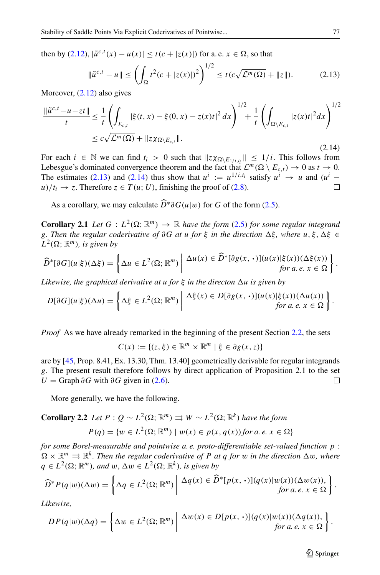then by [\(2.12\)](#page-7-0),  $|\tilde{u}^{c,t}(x) - u(x)| \le t(c + |z(x)|)$  for a. e. *x* ∈ Ω, so that

<span id="page-8-0"></span>
$$
\|\tilde{u}^{c,t} - u\| \le \left(\int_{\Omega} t^2 (c + |z(x)|)^2\right)^{1/2} \le t(c\sqrt{\mathcal{L}^m(\Omega)} + ||z||). \tag{2.13}
$$

Moreover, [\(2.12\)](#page-7-0) also gives

<span id="page-8-1"></span>
$$
\frac{\|\tilde{u}^{c,t} - u - zt\|}{t} \le \frac{1}{t} \left( \int_{E_{c,t}} |\xi(t, x) - \xi(0, x) - z(x)t|^2 dx \right)^{1/2} + \frac{1}{t} \left( \int_{\Omega \setminus E_{c,t}} |z(x)t|^2 dx \right)^{1/2}
$$
  

$$
\le c \sqrt{\mathcal{L}^m(\Omega)} + \|z \chi_{\Omega \setminus E_{c,t}}\|.
$$
 (2.14)

For each  $i \in \mathbb{N}$  we can find  $t_i > 0$  such that  $||z \chi_{\Omega \setminus E_1/i,t_i}|| \le 1/i$ . This follows from Lebesgue's dominated convergence theorem and the fact that  $\mathcal{L}^m(\Omega \setminus E_{c,t}) \to 0$  as  $t \to 0$ . The estimates [\(2.13\)](#page-8-0) and [\(2.14\)](#page-8-1) thus show that  $u^i := u^{1/i, t_i}$  satisfy  $u^i \rightarrow u$  and  $(u^i - u)/t_i \rightarrow z$ . Therefore  $z \in T(u; U)$ , finishing the proof of (2.8).  $u/t_i \rightarrow z$ . Therefore  $z \in T(u; U)$ , finishing the proof of [\(2.8\)](#page-5-1).

As a corollary, we may calculate  $\widehat{D}^* \partial G(u|w)$  for *G* of the form [\(2.5\)](#page-4-1).

**Corollary 2.1** *Let*  $G: L^2(\Omega; \mathbb{R}^m) \to \mathbb{R}$  *have the form* [\(2.5\)](#page-4-1) *for some regular integrand g. Then the regular coderivative of*  $\partial G$  *at u for*  $\xi$  *in the direction*  $\Delta \xi$ *, where*  $u, \xi, \Delta \xi \in$  $L^2(\Omega; \mathbb{R}^m)$ *, is given by* 

$$
\widehat{D}^*[\partial G](u|\xi)(\Delta \xi) = \left\{ \Delta u \in L^2(\Omega; \mathbb{R}^m) \middle| \frac{\Delta u(x) \in \widehat{D}^*[\partial g(x, \cdot)](u(x)|\xi(x))(\Delta \xi(x))}{for a.e. x \in \Omega} \right\}.
$$

*Likewise, the graphical derivative at u for*  $\xi$  *in the directon*  $\Delta u$  *is given by* 

$$
D[\partial G](u|\xi)(\Delta u) = \left\{ \Delta \xi \in L^2(\Omega; \mathbb{R}^m) \middle| \begin{array}{l} \Delta \xi(x) \in D[\partial g(x, \cdot)](u(x)|\xi(x))(\Delta u(x)) \\ \text{for a. } e, x \in \Omega \end{array} \right\}.
$$

*Proof* As we have already remarked in the beginning of the present Section [2.2,](#page-4-2) the sets

 $C(x) := \{(z, \xi) \in \mathbb{R}^m \times \mathbb{R}^m \mid \xi \in \partial g(x, z)\}\$ 

are by [\[45,](#page-43-0) Prop. 8.41, Ex. 13.30, Thm. 13.40] geometrically derivable for regular integrands *g*. The present result therefore follows by direct application of Proposition 2.1 to the set  $U = \text{Graph } \partial G$  with  $\partial G$  given in [\(2.6\)](#page-5-2).  $\Box$ 

More generally, we have the following.

**Corollary 2.2** *Let* 
$$
P : Q \sim L^2(\Omega; \mathbb{R}^m) \Rightarrow W \sim L^2(\Omega; \mathbb{R}^k)
$$
 *have the form*  
 $P(q) = \{w \in L^2(\Omega; \mathbb{R}^m) \mid w(x) \in p(x, q(x)) \text{ for a. } e, x \in \Omega\}$ 

*for some Borel-measurable and pointwise a. e. proto-differentiable set-valued function p* :  $\Omega \times \mathbb{R}^m \Rightarrow \mathbb{R}^k$ . Then the regular coderivative of P at q for w in the direction  $\Delta w$ , where  $q \in L^2(\Omega; \mathbb{R}^m)$ *, and*  $w, \Delta w \in L^2(\Omega; \mathbb{R}^k)$ *, is given by* 

$$
\widehat{D}^* P(q|w)(\Delta w) = \left\{ \Delta q \in L^2(\Omega; \mathbb{R}^m) \middle| \begin{array}{c} \Delta q(x) \in \widehat{D}^*[p(x, \cdot)](q(x)|w(x))(\Delta w(x)), \\ \text{for a. } e, x \in \Omega \end{array} \right\}.
$$

*Likewise,*

$$
DP(q|w)(\Delta q) = \left\{ \Delta w \in L^{2}(\Omega; \mathbb{R}^{m}) \middle| \begin{array}{c} \Delta w(x) \in D[p(x, \cdot)](q(x)|w(x))(\Delta q(x)), \\ \text{for a. } e. x \in \Omega \end{array} \right\}.
$$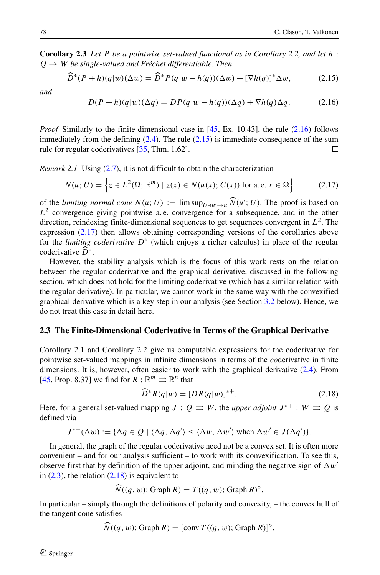**Corollary 2.3** *Let P be a pointwise set-valued functional as in Corollary 2.2, and let h* :  $Q \rightarrow W$  *be single-valued and Fréchet differentiable. Then* 

<span id="page-9-1"></span>
$$
D^*(P+h)(q|w)(\Delta w) = D^*P(q|w-h(q))(\Delta w) + [\nabla h(q)]^*\Delta w,\tag{2.15}
$$

*and*

<span id="page-9-0"></span>
$$
D(P+h)(q|w)(\Delta q) = DP(q|w-h(q))(\Delta q) + \nabla h(q)\Delta q.
$$
 (2.16)

*Proof* Similarly to the finite-dimensional case in [\[45,](#page-43-0) Ex. 10.43], the rule [\(2.16\)](#page-9-0) follows immediately from the defining [\(2.4\)](#page-4-0). The rule [\(2.15\)](#page-9-1) is immediate consequence of the sum rule for regular coderivatives [\[35,](#page-42-3) Thm. 1.62].  $\Box$ 

*Remark 2.1* Using [\(2.7\)](#page-5-0), it is not difficult to obtain the characterization

<span id="page-9-2"></span>
$$
N(u; U) = \left\{ z \in L^{2}(\Omega; \mathbb{R}^{m}) \mid z(x) \in N(u(x); C(x)) \text{ for a. e. } x \in \Omega \right\}
$$
 (2.17)

of the *limiting normal cone*  $N(u; U) := \limsup_{U \ni u' \to u} N(u'; U)$ . The proof is based on  $L<sup>2</sup>$  convergence giving pointwise a.e. convergence for a subsequence, and in the other direction, reindexing finite-dimensional sequences to get sequences convergent in  $L^2$ . The expression [\(2.17\)](#page-9-2) then allows obtaining corresponding versions of the corollaries above for the *limiting coderivative*  $D^*$  (which enjoys a richer calculus) in place of the regular coderivative *<sup>D</sup>*∗.

However, the stability analysis which is the focus of this work rests on the relation between the regular coderivative and the graphical derivative, discussed in the following section, which does not hold for the limiting coderivative (which has a similar relation with the regular derivative). In particular, we cannot work in the same way with the convexified graphical derivative which is a key step in our analysis (see Section [3.2](#page-19-0) below). Hence, we do not treat this case in detail here.

#### <span id="page-9-4"></span>**2.3 The Finite-Dimensional Coderivative in Terms of the Graphical Derivative**

Corollary 2.1 and Corollary 2.2 give us computable expressions for the coderivative for pointwise set-valued mappings in infinite dimensions in terms of the *co*derivative in finite dimensions. It is, however, often easier to work with the graphical derivative [\(2.4\)](#page-4-0). From [\[45,](#page-43-0) Prop. 8.37] we find for  $R : \mathbb{R}^m \rightrightarrows \mathbb{R}^n$  that

<span id="page-9-3"></span>
$$
\widehat{D}^*R(q|w) = [DR(q|w)]^{*+}.
$$
\n(2.18)

Here, for a general set-valued mapping  $J: Q \rightrightarrows W$ , the *upper adjoint*  $J^{*+}: W \rightrightarrows Q$  is defined via

$$
J^{*+}(\Delta w) := {\Delta q \in Q \mid \langle \Delta q, \Delta q' \rangle \leq \langle \Delta w, \Delta w' \rangle \text{ when } \Delta w' \in J(\Delta q') }.
$$

In general, the graph of the regular coderivative need not be a convex set. It is often more convenient – and for our analysis sufficient – to work with its convexification. To see this, observe first that by definition of the upper adjoint, and minding the negative sign of  $\Delta w'$ in  $(2.3)$ , the relation  $(2.18)$  is equivalent to

$$
\widehat{N}((q, w); \operatorname{Graph} R) = T((q, w); \operatorname{Graph} R)^{\circ}.
$$

In particular – simply through the definitions of polarity and convexity, – the convex hull of the tangent cone satisfies

$$
N((q, w); \operatorname{Graph} R) = [\operatorname{conv} T((q, w); \operatorname{Graph} R)]^{\circ}.
$$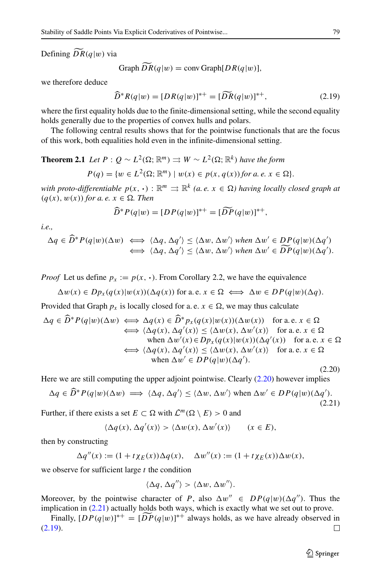Defining  $DR(q|w)$  via

Graph 
$$
\overline{DR}(q|w) = \text{conv Graph}[DR(q|w)],
$$

we therefore deduce

<span id="page-10-2"></span>
$$
\widehat{D}^* R(q|w) = [DR(q|w)]^{*+} = [DR(q|w)]^{*+}, \tag{2.19}
$$

where the first equality holds due to the finite-dimensional setting, while the second equality holds generally due to the properties of convex hulls and polars.

The following central results shows that for the pointwise functionals that are the focus of this work, both equalities hold even in the infinite-dimensional setting.

**Theorem 2.1** *Let*  $P: Q \sim L^2(\Omega; \mathbb{R}^m) \Rightarrow W \sim L^2(\Omega; \mathbb{R}^k)$  *have the form* 

$$
P(q) = \{ w \in L^2(\Omega; \mathbb{R}^m) \mid w(x) \in p(x, q(x)) \text{ for a. } e, x \in \Omega \}.
$$

*with proto-differentiable*  $p(x, \cdot) : \mathbb{R}^m \rightrightarrows \mathbb{R}^k$  *(a. e.*  $x \in \Omega$ *) having locally closed graph at*  $(q(x), w(x))$  *for a. e.*  $x \in \Omega$ *. Then* 

$$
\widehat{D}^*P(q|w) = [DP(q|w)]^{*+} = [DP(q|w)]^{*+},
$$

*i.e.,*

$$
\Delta q \in \widehat{D}^* P(q|w)(\Delta w) \iff \langle \Delta q, \Delta q' \rangle \le \langle \Delta w, \Delta w' \rangle \text{ when } \Delta w' \in DP(q|w)(\Delta q')
$$
  

$$
\iff \langle \Delta q, \Delta q' \rangle \le \langle \Delta w, \Delta w' \rangle \text{ when } \Delta w' \in \widetilde{DP}(q|w)(\Delta q').
$$

*Proof* Let us define  $p_x := p(x, \cdot)$ . From Corollary 2.2, we have the equivalence

$$
\Delta w(x) \in Dp_x(q(x)|w(x))(\Delta q(x)) \text{ for a.e. } x \in \Omega \iff \Delta w \in DP(q|w)(\Delta q).
$$

Provided that Graph  $p_x$  is locally closed for a. e.  $x \in \Omega$ , we may thus calculate

<span id="page-10-0"></span>
$$
\Delta q \in \widehat{D}^* P(q|w)(\Delta w) \iff \Delta q(x) \in \widehat{D}^* p_x(q(x)|w(x))(\Delta w(x)) \text{ for a.e. } x \in \Omega
$$
  
\n
$$
\iff \langle \Delta q(x), \Delta q'(x) \rangle \le \langle \Delta w(x), \Delta w'(x) \rangle \text{ for a.e. } x \in \Omega
$$
  
\nwhen  $\Delta w'(x) \in D p_x(q(x)|w(x))(\Delta q'(x))$  for a.e.  $x \in \Omega$   
\n
$$
\iff \langle \Delta q(x), \Delta q'(x) \rangle \le \langle \Delta w(x), \Delta w'(x) \rangle \text{ for a.e. } x \in \Omega
$$
  
\nwhen  $\Delta w' \in D P(q|w)(\Delta q').$ 

Here we are still computing the upper adjoint pointwise. Clearly [\(2.20\)](#page-10-0) however implies

<span id="page-10-1"></span>
$$
\Delta q \in \widehat{D}^* P(q|w)(\Delta w) \implies \langle \Delta q, \Delta q' \rangle \le \langle \Delta w, \Delta w' \rangle \text{ when } \Delta w' \in DP(q|w)(\Delta q'). \tag{2.21}
$$

Further, if there exists a set  $E \subset \Omega$  with  $\mathcal{L}^m(\Omega \setminus E) > 0$  and

$$
\langle \Delta q(x), \Delta q'(x) \rangle > \langle \Delta w(x), \Delta w'(x) \rangle \qquad (x \in E),
$$

then by constructing

$$
\Delta q''(x) := (1 + t \chi_E(x)) \Delta q(x), \quad \Delta w''(x) := (1 + t \chi_E(x)) \Delta w(x),
$$

we observe for sufficient large *t* the condition

$$
\langle \Delta q, \Delta q'' \rangle > \langle \Delta w, \Delta w'' \rangle.
$$

Moreover, by the pointwise character of *P*, also  $\Delta w'' \in DP(q|w)(\Delta q'')$ . Thus the implication in [\(2.21\)](#page-10-1) actually holds both ways, which is exactly what we set out to prove.

Finally,  $[DP(q|w)]^{*+} = [DP(q|w)]^{*+}$  always holds, as we have already observed in [\(2.19\)](#page-10-2).П

(2.20)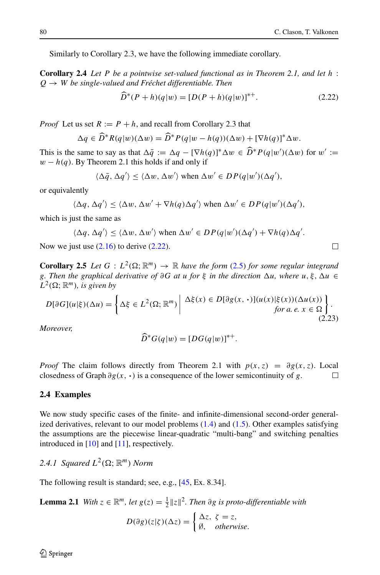Similarly to Corollary 2.3, we have the following immediate corollary.

**Corollary 2.4** *Let P be a pointwise set-valued functional as in Theorem 2.1, and let h* :  $Q \rightarrow W$  *be single-valued and Fréchet differentiable. Then* 

<span id="page-11-0"></span>
$$
D^*(P+h)(q|w) = [D(P+h)(q|w)]^{*+}.
$$
\n(2.22)

*Proof* Let us set  $R := P + h$ , and recall from Corollary 2.3 that

$$
\Delta q \in \widetilde{D}^* R(q|w)(\Delta w) = \widetilde{D}^* P(q|w - h(q))(\Delta w) + [\nabla h(q)]^* \Delta w.
$$

This is the same to say as that  $\Delta \bar{q} := \Delta q - [\nabla h(q)]^* \Delta w \in D^* P(q|w')(\Delta w)$  for  $w' :=$ <br>  $w = h(z)$ . Py Theorem 2.1 this holds if and only if  $w - h(q)$ . By Theorem 2.1 this holds if and only if

$$
\langle \Delta \bar{q}, \Delta q' \rangle \le \langle \Delta w, \Delta w' \rangle
$$
 when  $\Delta w' \in DP(q|w')(\Delta q'),$ 

or equivalently

$$
\langle \Delta q, \Delta q' \rangle \le \langle \Delta w, \Delta w' + \nabla h(q) \Delta q' \rangle \text{ when } \Delta w' \in DP(q|w')(\Delta q'),
$$

which is just the same as

$$
\langle \Delta q, \Delta q' \rangle \le \langle \Delta w, \Delta w' \rangle
$$
 when  $\Delta w' \in DP(q|w')(\Delta q') + \nabla h(q) \Delta q'.$ 

Now we just use  $(2.16)$  to derive  $(2.22)$ .

**Corollary 2.5** *Let*  $G: L^2(\Omega; \mathbb{R}^m) \to \mathbb{R}$  *have the form* [\(2.5\)](#page-4-1) *for some regular integrand g. Then the graphical derivative of*  $\partial G$  *at u for*  $\xi$  *in the direction*  $\Delta u$ *, where*  $u, \xi, \Delta u \in$  $L^2(\Omega; \mathbb{R}^m)$ *, is given by* 

<span id="page-11-2"></span>
$$
D[\partial G](u|\xi)(\Delta u) = \left\{ \Delta \xi \in L^2(\Omega; \mathbb{R}^m) \middle| \begin{array}{c} \Delta \xi(x) \in D[\partial g(x, \cdot)](u(x)|\xi(x))(\Delta u(x)) \\ \text{for a. } e, x \in \Omega \end{array} \right\}.
$$
\n(2.23)

*Moreover,*

$$
\widehat{D}^*G(q|w) = [DG(q|w)]^{*+}.
$$

*Proof* The claim follows directly from Theorem 2.1 with  $p(x, z) = \partial g(x, z)$ . Local closedness of Graph  $\partial g(x, \cdot)$  is a consequence of the lower semicontinuity of g. closedness of Graph *∂g(x,* **·***)* is a consequence of the lower semicontinuity of *g*.

#### <span id="page-11-1"></span>**2.4 Examples**

We now study specific cases of the finite- and infinite-dimensional second-order generalized derivatives, relevant to our model problems  $(1.4)$  and  $(1.5)$ . Other examples satisfying the assumptions are the piecewise linear-quadratic "multi-bang" and switching penalties introduced in [\[10\]](#page-41-10) and [\[11\]](#page-41-11), respectively.

2.4.1 Squared  $L^2(\Omega; \mathbb{R}^m)$  *Norm* 

The following result is standard; see, e.g., [\[45,](#page-43-0) Ex. 8.34].

**Lemma 2.1** *With*  $z \in \mathbb{R}^m$ *, let*  $g(z) = \frac{1}{2} ||z||^2$ *. Then*  $\partial g$  *is proto-differentiable with* 

$$
D(\partial g)(z|\zeta)(\Delta z) = \begin{cases} \Delta z, & \zeta = z, \\ \emptyset, & otherwise. \end{cases}
$$

$$
\Box
$$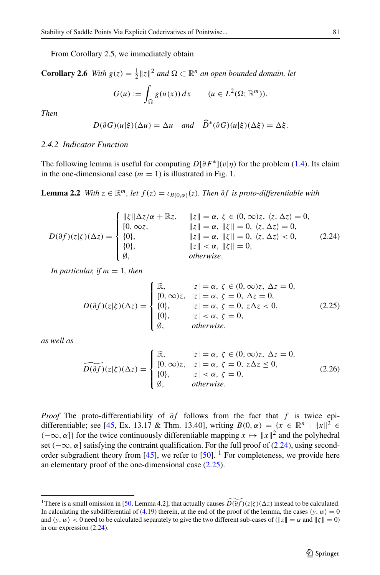From Corollary 2.5, we immediately obtain

**Corollary 2.6** *With*  $g(z) = \frac{1}{2} ||z||^2$  *and*  $\Omega \subset \mathbb{R}^n$  *an open bounded domain, let* 

$$
G(u) := \int_{\Omega} g(u(x)) dx \qquad (u \in L^{2}(\Omega; \mathbb{R}^{m})).
$$

*Then*

$$
D(\partial G)(u|\xi)(\Delta u) = \Delta u \quad \text{and} \quad \widehat{D}^*(\partial G)(u|\xi)(\Delta \xi) = \Delta \xi.
$$

#### *2.4.2 Indicator Function*

The following lemma is useful for computing  $D[\partial F^*](v|\eta)$  for the problem [\(1.4\)](#page-1-2). Its claim in the one-dimensional case  $(m = 1)$  is illustrated in Fig. [1.](#page-13-0)

**Lemma 2.2** *With*  $z \in \mathbb{R}^m$ *, let*  $f(z) = i B(0,a)(z)$ *. Then ∂f is proto-differentiable with* 

<span id="page-12-0"></span>
$$
D(\partial f)(z|\zeta)(\Delta z) = \begin{cases} ||\zeta||\Delta z/\alpha + \mathbb{R}z, & ||z|| = \alpha, \ \zeta \in (0, \infty)z, \ \langle z, \Delta z \rangle = 0, \\ [0, \infty z, & ||z|| = \alpha, \ ||\zeta|| = 0, \ \langle z, \Delta z \rangle = 0, \\ [0], & ||z|| = \alpha, \ ||\zeta|| = 0, \ \langle z, \Delta z \rangle < 0, \\ [0], & ||z|| < \alpha, \ ||\zeta|| = 0, \\ [0], & otherwise. \end{cases} \tag{2.24}
$$

*In particular, if*  $m = 1$ *, then* 

<span id="page-12-2"></span>
$$
D(\partial f)(z|\zeta)(\Delta z) = \begin{cases} \mathbb{R}, & |z| = \alpha, \ \zeta \in (0, \infty)z, \ \Delta z = 0, \\ [0, \infty)z, & |z| = \alpha, \ \zeta = 0, \ \Delta z = 0, \\ [0], & |z| = \alpha, \ \zeta = 0, \ z\Delta z < 0, \\ [0], & |z| < \alpha, \ \zeta = 0, \\ [0], & \text{otherwise,} \end{cases} \tag{2.25}
$$

*as well as*

<span id="page-12-3"></span>
$$
\widetilde{D(\partial f)}(z|\zeta)(\Delta z) = \begin{cases}\n\mathbb{R}, & |z| = \alpha, \ \zeta \in (0, \infty)z, \ \Delta z = 0, \\
[0, \infty)z, & |z| = \alpha, \ \zeta = 0, \ z\Delta z \le 0, \\
[0], & |z| < \alpha, \ \zeta = 0, \\
\emptyset, & \text{otherwise.} \n\end{cases} \tag{2.26}
$$

*Proof* The proto-differentiability of  $\partial f$  follows from the fact that  $f$  is twice epi-differentiable; see [\[45,](#page-43-0) Ex. 13.17 & Thm. 13.40], writing  $B(0, \alpha) = \{x \in \mathbb{R}^n \mid ||x||^2 \in \mathbb{R}^n\}$ ( $-∞$ *, α*]} for the twice continuously differentiable mapping *x*  $\mapsto$   $||x||^2$  and the polyhedral set ( $-\infty$ *, α*) satisfying the contraint qualification. For the full proof of [\(2.24\)](#page-12-0), using second-order subgradient theory from [\[45\]](#page-43-0), we refer to  $[50]$ . <sup>[1](#page-12-1)</sup> For completeness, we provide here an elementary proof of the one-dimensional case [\(2.25\)](#page-12-2).

<span id="page-12-1"></span><sup>&</sup>lt;sup>1</sup>There is a small omission in [\[50,](#page-43-7) Lemma 4.2], that actually causes  $\widetilde{D(\partial f)}(z|\zeta)(\Delta z)$  instead to be calculated. In calculating the subdifferential of [\(4.19\)](#page-27-0) therein, at the end of the proof of the lemma, the cases  $\langle y, w \rangle = 0$ and  $\langle y, w \rangle < 0$  need to be calculated separately to give the two different sub-cases of ( $||z|| = \alpha$  and  $||\zeta|| = 0$ ) in our expression [\(2.24\)](#page-12-0).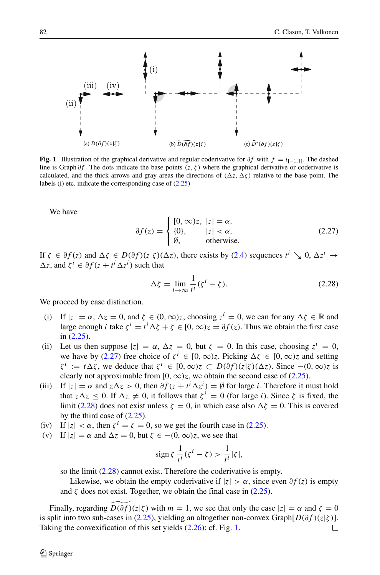<span id="page-13-0"></span>

**Fig. 1** Illustration of the graphical derivative and regular coderivative for  $\partial f$  with  $f = \iota_{[-1,1]}$ . The dashed line is Graph *∂f* . The dots indicate the base points *(z, ζ )* where the graphical derivative or coderivative is calculated, and the thick arrows and gray areas the directions of  $(\Delta z, \Delta \zeta)$  relative to the base point. The labels (i) etc. indicate the corresponding case of [\(2.25\)](#page-12-2)

We have

<span id="page-13-1"></span>
$$
\partial f(z) = \begin{cases} [0, \infty)z, & |z| = \alpha, \\ \{0\}, & |z| < \alpha, \\ \emptyset, & \text{otherwise.} \end{cases} \tag{2.27}
$$

If  $\zeta \in \partial f(z)$  and  $\Delta \zeta \in D(\partial f)(z|\zeta)(\Delta z)$ , there exists by [\(2.4\)](#page-4-0) sequences  $t^i \searrow 0$ ,  $\Delta z^i \rightarrow$  $\Delta z$ , and  $\zeta^i \in \partial f(z + t^i \Delta z^i)$  such that

<span id="page-13-2"></span>
$$
\Delta \zeta = \lim_{i \to \infty} \frac{1}{t^i} (\zeta^i - \zeta). \tag{2.28}
$$

We proceed by case distinction.

- (i) If  $|z| = \alpha$ ,  $\Delta z = 0$ , and  $\zeta \in (0, \infty)z$ , choosing  $z^i = 0$ , we can for any  $\Delta \zeta \in \mathbb{R}$  and large enough *i* take  $\zeta^i = t^i \Delta \zeta + \zeta \in [0, \infty)z = \partial f(z)$ . Thus we obtain the first case in [\(2.25\)](#page-12-2).
- (ii) Let us then suppose  $|z| = \alpha$ ,  $\Delta z = 0$ , but  $\zeta = 0$ . In this case, choosing  $z^i = 0$ , we have by [\(2.27\)](#page-13-1) free choice of  $\zeta^{i} \in [0, \infty)$ *z*. Picking  $\Delta \zeta \in [0, \infty)$ *z* and setting  $\zeta^i := t\Delta\zeta$ , we deduce that  $\zeta^i \in [0, \infty)z \subset D(\partial f)(z|\zeta)(\Delta z)$ . Since  $-(0, \infty)z$  is clearly not approximable from  $[0, \infty)z$ , we obtain the second case of  $(2.25)$ .
- (iii) If  $|z| = \alpha$  and  $z \Delta z > 0$ , then  $\partial f(z + t^i \Delta z^i) = \emptyset$  for large *i*. Therefore it must hold that  $z\Delta z$  < 0. If  $\Delta z \neq 0$ , it follows that  $\zeta^{i} = 0$  (for large *i*). Since  $\zeta$  is fixed, the limit [\(2.28\)](#page-13-2) does not exist unless  $\zeta = 0$ , in which case also  $\Delta \zeta = 0$ . This is covered by the third case of [\(2.25\)](#page-12-2).
- (iv) If  $|z| < \alpha$ , then  $\zeta^{i} = \zeta = 0$ , so we get the fourth case in [\(2.25\)](#page-12-2).
- (v) If  $|z| = \alpha$  and  $\Delta z = 0$ , but  $\zeta \in -(0, \infty)z$ , we see that

$$
\operatorname{sign}\zeta\,\frac{1}{t^i}(\zeta^i-\zeta) > \frac{1}{t^i}|\zeta|,
$$

so the limit [\(2.28\)](#page-13-2) cannot exist. Therefore the coderivative is empty.

Likewise, we obtain the empty coderivative if  $|z| > \alpha$ , since even  $\partial f(z)$  is empty and  $\zeta$  does not exist. Together, we obtain the final case in [\(2.25\)](#page-12-2).

Finally, regarding  $\widetilde{D(\partial f)}(z|\zeta)$  with  $m = 1$ , we see that only the case  $|z| = \alpha$  and  $\zeta = 0$ is split into two sub-cases in [\(2.25\)](#page-12-2), yielding an altogether non-convex Graph[ $D(\partial f)(z|\zeta)$ ].<br>Taking the convexification of this set vields (2.26): cf. Fig. 1. Taking the convexification of this set yields [\(2.26\)](#page-12-3); cf. Fig. [1.](#page-13-0)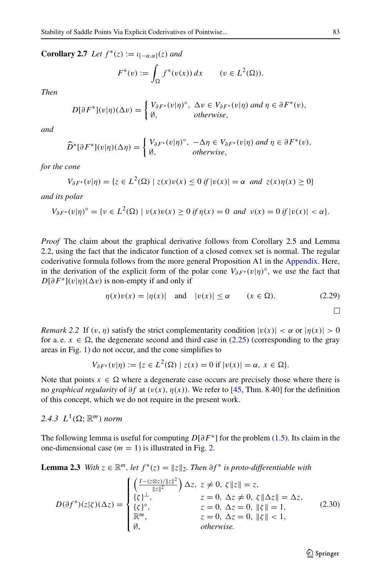**Corollary 2.7** *Let*  $f^*(z) := \iota_{[-\alpha,\alpha]}(z)$  *and* 

$$
F^*(v) := \int_{\Omega} f^*(v(x)) dx \qquad (v \in L^2(\Omega)).
$$

*Then*

$$
D[\partial F^*](v|\eta)(\Delta v) = \begin{cases} V_{\partial F^*}(v|\eta)^{\circ}, & \Delta v \in V_{\partial F^*}(v|\eta) \text{ and } \eta \in \partial F^*(v), \\ \emptyset, & \text{otherwise,} \end{cases}
$$

*and*

$$
\widehat{D}^*[\partial F^*](v|\eta)(\Delta \eta) = \begin{cases} V_{\partial F^*}(v|\eta)^\circ, & -\Delta \eta \in V_{\partial F^*}(v|\eta) \text{ and } \eta \in \partial F^*(v), \\ \emptyset, & \text{otherwise,} \end{cases}
$$

*for the cone*

$$
V_{\partial F^*}(v|\eta) = \{ z \in L^2(\Omega) \mid z(x)v(x) \le 0 \text{ if } |v(x)| = \alpha \text{ and } z(x)\eta(x) \ge 0 \}
$$

*and its polar*

$$
V_{\partial F^*}(v|\eta)^{\circ} = \{ v \in L^2(\Omega) \mid v(x)v(x) \ge 0 \text{ if } \eta(x) = 0 \text{ and } v(x) = 0 \text{ if } |v(x)| < \alpha \}.
$$

*Proof* The claim about the graphical derivative follows from Corollary 2.5 and Lemma 2.2, using the fact that the indicator function of a closed convex set is normal. The regular coderivative formula follows from the more general Proposition A1 in the [Appendix.](#page-40-0) Here, in the derivation of the explicit form of the polar cone  $V_{\partial F^*}(v|\eta)^\circ$ , we use the fact that  $D[\partial F^*](v|\eta)(\Delta v)$  is non-empty if and only if

<span id="page-14-1"></span>
$$
\eta(x)v(x) = |\eta(x)| \quad \text{and} \quad |v(x)| \le \alpha \qquad (x \in \Omega). \tag{2.29}
$$

П

*Remark 2.2* If  $(v, \eta)$  satisfy the strict complementarity condition  $|v(x)| < \alpha$  or  $|\eta(x)| > 0$ for a. e.  $x \in \Omega$ , the degenerate second and third case in [\(2.25\)](#page-12-2) (corresponding to the gray areas in Fig. [1\)](#page-13-0) do not occur, and the cone simplifies to

$$
V_{\partial F^*}(v|\eta) := \{ z \in L^2(\Omega) \mid z(x) = 0 \text{ if } |v(x)| = \alpha, \ x \in \Omega \}.
$$

Note that points  $x \in \Omega$  where a degenerate case occurs are precisely those where there is no *graphical regularity* of *∂f* at *(v(x), η(x))*. We refer to [\[45,](#page-43-0) Thm. 8.40] for the definition of this concept, which we do not require in the present work.

# 2.4.3  $L^1(\Omega; \mathbb{R}^m)$  norm

The following lemma is useful for computing *D*[*∂F*∗] for the problem [\(1.5\)](#page-1-3). Its claim in the one-dimensional case  $(m = 1)$  is illustrated in Fig. [2.](#page-15-0)

**Lemma 2.3** *With*  $z \in \mathbb{R}^m$ *, let*  $f^*(z) = ||z||_2$ *. Then*  $\partial f^*$  *is proto-differentiable with* 

<span id="page-14-0"></span>
$$
D(\partial f^*)(z|\zeta)(\Delta z) = \begin{cases} \left(\frac{I - (z \otimes z)/\|z\|^2}{\|z\|^2}\right) \Delta z, & z \neq 0, \ \zeta \|z\| = z, \\ \{\zeta\}^\perp, & z = 0, \ \Delta z \neq 0, \ \zeta \|\Delta z\| = \Delta z, \\ \{\zeta\}^\circ, & z = 0, \ \Delta z = 0, \ \|\zeta\| = 1, \\ \mathbb{R}^m, & z = 0, \ \Delta z = 0, \ \|\zeta\| < 1, \\ \emptyset, & \text{otherwise.} \end{cases} \tag{2.30}
$$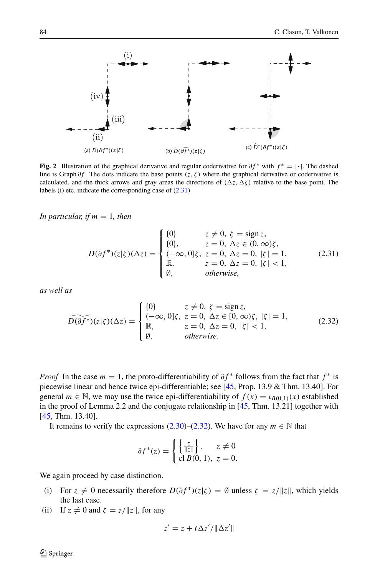<span id="page-15-0"></span>

**Fig. 2** Illustration of the graphical derivative and regular coderivative for  $\partial f^*$  with  $f^* = | \cdot |$ . The dashed line is Graph *∂f* . The dots indicate the base points *(z, ζ )* where the graphical derivative or coderivative is calculated, and the thick arrows and gray areas the directions of  $(\Delta z, \Delta \zeta)$  relative to the base point. The labels (i) etc. indicate the corresponding case of [\(2.31\)](#page-15-1)

*In particular, if*  $m = 1$ *, then* 

<span id="page-15-1"></span>
$$
D(\partial f^*)(z|\zeta)(\Delta z) = \begin{cases} \{0\} & z \neq 0, \ \zeta = \text{sign } z, \\ \{0\}, & z = 0, \ \Delta z \in (0, \infty)\zeta, \\ (-\infty, 0]\zeta, \ z = 0, \ \Delta z = 0, \ |\zeta| = 1, \\ \mathbb{R}, & z = 0, \ \Delta z = 0, \ |\zeta| < 1, \\ \emptyset, & \text{otherwise,} \end{cases} \tag{2.31}
$$

*as well as*

<span id="page-15-2"></span>
$$
\widetilde{D(\partial f^*)}(z|\zeta)(\Delta z) = \begin{cases}\n\{0\} & z \neq 0, \ \zeta = \text{sign } z, \\
(-\infty, 0]\zeta, \ z = 0, \ \Delta z \in [0, \infty)\zeta, \ |\zeta| = 1, \\
\mathbb{R}, & z = 0, \ \Delta z = 0, \ |\zeta| < 1, \\
\emptyset, & \text{otherwise.} \n\end{cases} \tag{2.32}
$$

*Proof* In the case  $m = 1$ , the proto-differentiability of  $\partial f^*$  follows from the fact that  $f^*$  is piecewise linear and hence twice epi-differentiable; see [\[45,](#page-43-0) Prop. 13.9 & Thm. 13.40]. For general  $m \in \mathbb{N}$ , we may use the twice epi-differentiability of  $f(x) = \iota_{B(0,1)}(x)$  established in the proof of Lemma 2.2 and the conjugate relationship in  $[45, Thm. 13.21]$  $[45, Thm. 13.21]$  together with [\[45,](#page-43-0) Thm. 13.40].

It remains to verify the expressions  $(2.30)$ – $(2.32)$ . We have for any  $m \in \mathbb{N}$  that

$$
\partial f^*(z) = \begin{cases} \left\{ \frac{z}{\|z\|} \right\}, & z \neq 0\\ \text{cl } B(0, 1), z = 0. \end{cases}
$$

We again proceed by case distinction.

- (i) For  $z \neq 0$  necessarily therefore  $D(\partial f^*)(z|\zeta) = \emptyset$  unless  $\zeta = z/\|z\|$ , which yields the last case.
- (ii) If  $z \neq 0$  and  $\zeta = z / ||z||$ , for any

$$
z' = z + t\,\Delta z'/\|\Delta z'\|
$$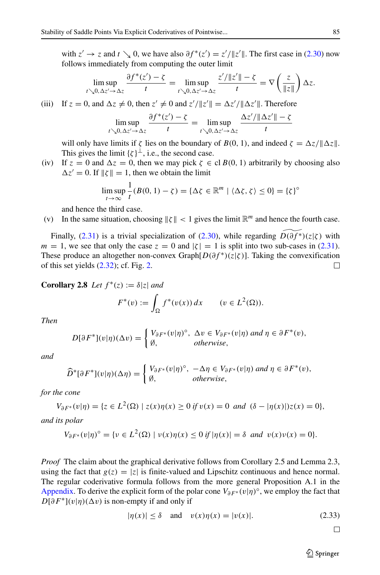with  $z' \to z$  and  $t \searrow 0$ , we have also  $\partial f^*(z') = z'/\|z'\|$ . The first case in [\(2.30\)](#page-14-0) now follows immediately from computing the outer limit

$$
\limsup_{t\searrow 0,\Delta z'\to \Delta z}\frac{\partial f^*(z')-\zeta}{t}=\limsup_{t\searrow 0,\Delta z'\to \Delta z}\frac{z'/\|z'\|-\zeta}{t}=\nabla\left(\frac{z}{\|z\|}\right)\Delta z.
$$

(iii) If 
$$
z = 0
$$
, and  $\Delta z \neq 0$ , then  $z' \neq 0$  and  $z'/\|z'\| = \Delta z'/\|\Delta z'\|$ . Therefore

$$
\limsup_{t \searrow 0, \Delta z' \to \Delta z} \frac{\partial f^*(z') - \zeta}{t} = \limsup_{t \searrow 0, \Delta z' \to \Delta z} \frac{\Delta z'/\|\Delta z'\| - \zeta}{t}
$$

will only have limits if  $\zeta$  lies on the boundary of  $B(0, 1)$ , and indeed  $\zeta = \Delta z / ||\Delta z||$ . This gives the limit  $\{\zeta\}^{\perp}$ , i.e., the second case.

(iv) If  $z = 0$  and  $\Delta z = 0$ , then we may pick  $\zeta \in \text{cl } B(0, 1)$  arbitrarily by choosing also  $\Delta z' = 0$ . If  $\|\zeta\| = 1$ , then we obtain the limit

$$
\limsup_{t \to \infty} \frac{1}{t} (B(0, 1) - \zeta) = {\{\Delta \zeta \in \mathbb{R}^m \mid \langle \Delta \zeta, \zeta \rangle \le 0\}} = {\{\zeta\}}^{\circ}
$$

and hence the third case.

(v) In the same situation, choosing  $\|\zeta\| < 1$  gives the limit  $\mathbb{R}^m$  and hence the fourth case.

Finally, [\(2.31\)](#page-15-1) is a trivial specialization of [\(2.30\)](#page-14-0), while regarding  $\widetilde{D(\partial f^*)}(z|\zeta)$  with  $m = 1$ , we see that only the case  $z = 0$  and  $|\zeta| = 1$  is split into two sub-cases in [\(2.31\)](#page-15-1). These produce an altogether non-convex Graph $[D(\partial f^*)(z|\zeta)]$ . Taking the convexification of this set yields (2.32); cf. Fig. 2. of this set yields [\(2.32\)](#page-15-2); cf. Fig. [2.](#page-15-0)

**Corollary 2.8** *Let*  $f^*(z) := \delta |z|$  *and* 

$$
F^*(v) := \int_{\Omega} f^*(v(x)) dx \qquad (v \in L^2(\Omega)).
$$

*Then*

$$
D[\partial F^*](v|\eta)(\Delta v) = \begin{cases} V_{\partial F^*}(v|\eta)^\circ, & \Delta v \in V_{\partial F^*}(v|\eta) \text{ and } \eta \in \partial F^*(v), \\ \emptyset, & \text{otherwise,} \end{cases}
$$

*and*

$$
\widehat{D}^*[\partial F^*](v|\eta)(\Delta \eta) = \begin{cases} V_{\partial F^*}(v|\eta)^\circ, & -\Delta \eta \in V_{\partial F^*}(v|\eta) \text{ and } \eta \in \partial F^*(v), \\ \emptyset, & \text{otherwise,} \end{cases}
$$

*for the cone*

$$
V_{\partial F^*}(v|\eta) = \{ z \in L^2(\Omega) \mid z(x)\eta(x) \ge 0 \text{ if } v(x) = 0 \text{ and } (\delta - |\eta(x)|)z(x) = 0 \},
$$

*and its polar*

$$
V_{\partial F^*}(v|\eta)^{\circ} = \{v \in L^2(\Omega) \mid v(x)\eta(x) \le 0 \text{ if } |\eta(x)| = \delta \text{ and } v(x)v(x) = 0\}.
$$

*Proof* The claim about the graphical derivative follows from Corollary 2.5 and Lemma 2.3, using the fact that  $g(z) = |z|$  is finite-valued and Lipschitz continuous and hence normal. The regular coderivative formula follows from the more general Proposition A.1 in the [Appendix.](#page-40-0) To derive the explicit form of the polar cone *V∂F*<sup>∗</sup> *(v*|*η)*◦, we employ the fact that  $D[\partial F^*](v|\eta)(\Delta v)$  is non-empty if and only if

<span id="page-16-0"></span>
$$
|\eta(x)| \le \delta \quad \text{and} \quad v(x)\eta(x) = |v(x)|. \tag{2.33}
$$

 $\Box$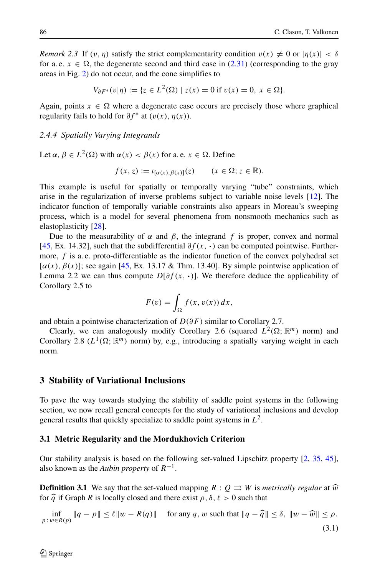*Remark 2.3* If  $(v, \eta)$  satisfy the strict complementarity condition  $v(x) \neq 0$  or  $|\eta(x)| < \delta$ for a. e.  $x \in \Omega$ , the degenerate second and third case in [\(2.31\)](#page-15-1) (corresponding to the gray areas in Fig. [2\)](#page-15-0) do not occur, and the cone simplifies to

$$
V_{\partial F^*}(v|\eta) := \{ z \in L^2(\Omega) \mid z(x) = 0 \text{ if } v(x) = 0, \ x \in \Omega \}.
$$

Again, points  $x \in \Omega$  where a degenerate case occurs are precisely those where graphical regularity fails to hold for  $\partial f^*$  at  $(v(x), \eta(x))$ .

#### *2.4.4 Spatially Varying Integrands*

Let  $\alpha, \beta \in L^2(\Omega)$  with  $\alpha(x) < \beta(x)$  for a. e.  $x \in \Omega$ . Define

$$
f(x, z) := \iota_{[\alpha(x), \beta(x)]}(z) \qquad (x \in \Omega; z \in \mathbb{R}).
$$

This example is useful for spatially or temporally varying "tube" constraints, which arise in the regularization of inverse problems subject to variable noise levels [\[12\]](#page-41-12). The indicator function of temporally variable constraints also appears in Moreau's sweeping process, which is a model for several phenomena from nonsmooth mechanics such as elastoplasticity [\[28\]](#page-42-20).

Due to the measurability of *α* and *β*, the integrand *f* is proper, convex and normal [\[45,](#page-43-0) Ex. 14.32], such that the subdifferential *∂f (x,* **·***)* can be computed pointwise. Furthermore,  $f$  is a. e. proto-differentiable as the indicator function of the convex polyhedral set [*α(x), β(x)*]; see again [\[45,](#page-43-0) Ex. 13.17 & Thm. 13.40]. By simple pointwise application of Lemma 2.2 we can thus compute  $D[\partial f(x, \cdot)]$ . We therefore deduce the applicability of Corollary 2.5 to

$$
F(v) = \int_{\Omega} f(x, v(x)) dx,
$$

and obtain a pointwise characterization of *D(∂F )* similar to Corollary 2.7.

Clearly, we can analogously modify Corollary 2.6 (squared  $L^2(\Omega; \mathbb{R}^m)$  norm) and Corollary 2.8 ( $L^1(\Omega; \mathbb{R}^m)$  norm) by, e.g., introducing a spatially varying weight in each norm.

#### <span id="page-17-0"></span>**3 Stability of Variational Inclusions**

To pave the way towards studying the stability of saddle point systems in the following section, we now recall general concepts for the study of variational inclusions and develop general results that quickly specialize to saddle point systems in *L*2.

#### **3.1 Metric Regularity and the Mordukhovich Criterion**

Our stability analysis is based on the following set-valued Lipschitz property [\[2,](#page-41-13) [35,](#page-42-3) [45\]](#page-43-0), also known as the *Aubin property* of *R*−1.

**Definition 3.1** We say that the set-valued mapping  $R: Q \rightrightarrows W$  is *metrically regular* at  $\hat{w}$ for  $\hat{q}$  if Graph *R* is locally closed and there exist  $\rho$ ,  $\delta$ ,  $\ell > 0$  such that

<span id="page-17-1"></span> $\inf_{y \in R(p)} \|q - p\| \le \ell \|w - R(q)\|$  for any *q*, *w* such that  $\|q - \widehat{q}\| \le \delta$ ,  $\|w - \widehat{w}\| \le \rho$ . *p* : *w*∈*R*(*p*) (3.1)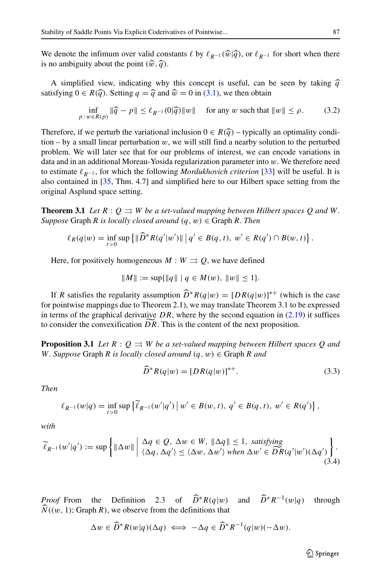We denote the infimum over valid constants  $\ell$  by  $\ell_{R^{-1}}(\widehat{w}|\widehat{q})$ , or  $\ell_{R^{-1}}$  for short when there is no ambiguity about the point  $(\widehat{w}, \widehat{q})$ .

A simplified view, indicating why this concept is useful, can be seen by taking  $\hat{q}$ satisfying  $0 \in R(\widehat{q})$ . Setting  $q = \widehat{q}$  and  $\widehat{w} = 0$  in [\(3.1\)](#page-17-1), we then obtain

<span id="page-18-2"></span>
$$
\inf_{p\colon w\in R(p)} \|\widehat{q} - p\| \le \ell_{R^{-1}}(0|\widehat{q})\|w\| \quad \text{ for any } w \text{ such that } \|w\| \le \rho. \tag{3.2}
$$

Therefore, if we perturb the variational inclusion  $0 \in R(\hat{q})$  – typically an optimality condition  $-$  by a small linear perturbation  $w$ , we will still find a nearby solution to the perturbed problem. We will later see that for our problems of interest, we can encode variations in data and in an additional Moreau-Yosida regularization parameter into *w*. We therefore need to estimate *R*−<sup>1</sup> , for which the following *Mordukhovich criterion* [\[33\]](#page-42-19) will be useful. It is also contained in [\[35,](#page-42-3) Thm. 4.7] and simplified here to our Hilbert space setting from the original Asplund space setting.

**Theorem 3.1** Let  $R: Q \rightrightarrows W$  be a set-valued mapping between Hilbert spaces Q and W. *Suppose* Graph *R is locally closed around (q, w)* ∈ Graph *R. Then*

$$
\ell_R(q|w) = \inf_{t>0} \sup \left\{ \|\widehat{D}^*R(q'|w')\| \, \Big| \, q' \in B(q,t), \ w' \in R(q') \cap B(w,t) \right\}.
$$

Here, for positively homogeneous  $M : W \rightrightarrows Q$ , we have defined

$$
||M|| := \sup{||q|| \mid q \in M(w), ||w|| \leq 1}.
$$

If *R* satisfies the regularity assumption  $D^*R(q|w) = [DR(q|w)]^{**}$  (which is the case for pointwise mappings due to Theorem 2.1), we may translate Theorem 3.1 to be expressed in terms of the graphical derivative  $DR$ , where by the second equation in  $(2.19)$  it suffices to consider the convexification *DR*. This is the content of the next proposition.

**Proposition 3.1** Let  $R: Q \rightrightarrows W$  be a set-valued mapping between Hilbert spaces Q and *W. Suppose* Graph *R is locally closed around*  $(q, w) \in$  Graph *R and* 

<span id="page-18-0"></span>
$$
\widehat{D}^*R(q|w) = [DR(q|w)]^{*+}.
$$
\n(3.3)

*Then*

$$
\ell_{R^{-1}}(w|q) = \inf_{t>0} \sup \{ \widetilde{\ell}_{R^{-1}}(w'|q') \, \big| \, w' \in B(w,t), \, q' \in B(q,t), \, w' \in R(q') \},
$$

*with*

<span id="page-18-1"></span>
$$
\widetilde{\ell}_{R^{-1}}(w'|q') := \sup \left\{ \|\Delta w\| \mid \Delta q \in Q, \ \Delta w \in W, \ \|\Delta q\| \le 1, \ satisfying \atop \langle \Delta q, \Delta q' \rangle \le \langle \Delta w, \Delta w' \rangle \text{ when } \Delta w' \in \widehat{DR}(q'|w')(\Delta q') \right\}.
$$
\n(3.4)

*Proof* From the Definition 2.3 of  $\widehat{D}^*R(q|w)$  and  $\widehat{D}^*R^{-1}(w|q)$  through  $N((w, 1);$  Graph  $R)$ , we observe from the definitions that

$$
\Delta w \in \widehat{D}^* R(w|q) (\Delta q) \iff -\Delta q \in \widehat{D}^* R^{-1}(q|w) (-\Delta w).
$$

 $\textcircled{2}$  Springer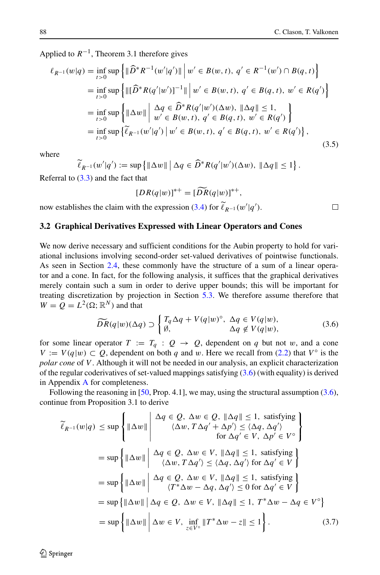$\Box$ 

Applied to  $R^{-1}$ , Theorem 3.1 therefore gives

<span id="page-19-3"></span>
$$
\ell_{R^{-1}}(w|q) = \inf_{t>0} \sup \left\{ \|\widehat{D}^* R^{-1}(w'|q')\| \, \middle| \, w' \in B(w, t), \, q' \in R^{-1}(w') \cap B(q, t) \right\}
$$
\n
$$
= \inf_{t>0} \sup \left\{ \|\widehat{D}^* R(q'|w')\|^{-1}\| \, \middle| \, w' \in B(w, t), \, q' \in B(q, t), \, w' \in R(q') \right\}
$$
\n
$$
= \inf_{t>0} \sup \left\{ \|\Delta w\| \, \middle| \, \Delta q \in \widehat{D}^* R(q'|w')(\Delta w), \, \|\Delta q\| \le 1, \, \right\}
$$
\n
$$
= \inf_{t>0} \sup \left\{ \|\Delta w\| \, \middle| \, w' \in B(w, t), \, q' \in B(q, t), \, w' \in R(q') \right\}
$$
\n
$$
= \inf_{t>0} \sup \left\{ \ell_{R^{-1}}(w'|q') \, \middle| \, w' \in B(w, t), \, q' \in B(q, t), \, w' \in R(q') \right\},\tag{3.5}
$$

where

 $\ell_{R^{-1}}(w'|q') := \sup \{ ||\Delta w|| \mid \Delta q \in D^*R(q'|w')(\Delta w), ||\Delta q|| \leq 1 \}.$ 

Referral to  $(3.3)$  and the fact that

$$
[DR(q|w)]^{*+} = [\widetilde{DR}(q|w)]^{*+},
$$

now establishes the claim with the expression [\(3.4\)](#page-18-1) for  $\ell_{R^{-1}}(w'|q')$ .

#### <span id="page-19-0"></span>**3.2 Graphical Derivatives Expressed with Linear Operators and Cones**

We now derive necessary and sufficient conditions for the Aubin property to hold for variational inclusions involving second-order set-valued derivatives of pointwise functionals. As seen in Section [2.4,](#page-11-1) these commonly have the structure of a sum of a linear operator and a cone. In fact, for the following analysis, it suffices that the graphical derivatives merely contain such a sum in order to derive upper bounds; this will be important for treating discretization by projection in Section [5.3.](#page-36-0) We therefore assume therefore that  $W = Q = L^2(\Omega; \mathbb{R}^N)$  and that

<span id="page-19-1"></span>
$$
\widetilde{DR}(q|w)(\Delta q) \supset \begin{cases} T_q \Delta q + V(q|w)^{\circ}, & \Delta q \in V(q|w), \\ \emptyset, & \Delta q \notin V(q|w), \end{cases} \tag{3.6}
$$

for some linear operator  $T := T_q : Q \rightarrow Q$ , dependent on q but not w, and a cone *V* := *V*( $q$ |*w*) ⊂  $Q$ , dependent on both  $q$  and *w*. Here we recall from [\(2.2\)](#page-3-1) that  $V^\circ$  is the *polar cone* of *V* . Although it will not be needed in our analysis, an explicit characterization of the regular coderivatives of set-valued mappings satisfying [\(3.6\)](#page-19-1) (with equality) is derived in Appendix [A](#page-40-1) for completeness.

Following the reasoning in  $[50, Prop. 4.1]$  $[50, Prop. 4.1]$ , we may, using the structural assumption  $(3.6)$ , continue from Proposition 3.1 to derive

$$
\widetilde{\ell}_{R^{-1}}(w|q) \le \sup \left\{ \|\Delta w\| \begin{array}{c} \Delta q \in Q, \ \Delta w \in Q, \ \|\Delta q\| \le 1, \ \text{satisfying} \\ \langle \Delta w, T \Delta q' + \Delta p' \rangle \le \langle \Delta q, \Delta q' \rangle \\ \text{for } \Delta q' \in V, \ \Delta p' \in V^{\circ} \end{array} \right\}
$$
\n
$$
= \sup \left\{ \|\Delta w\| \begin{array}{c} \Delta q \in Q, \ \Delta w \in V, \ \|\Delta q\| \le 1, \ \text{satisfying} \\ \langle \Delta w, T \Delta q' \rangle \le \langle \Delta q, \Delta q' \rangle \text{ for } \Delta q' \in V \end{array} \right\}
$$
\n
$$
= \sup \left\{ \|\Delta w\| \begin{array}{c} \Delta q \in Q, \ \Delta w \in V, \ \|\Delta q\| \le 1, \ \text{satisfying} \\ \langle T^* \Delta w - \Delta q, \Delta q' \rangle \le 0 \text{ for } \Delta q' \in V \end{array} \right\}
$$
\n
$$
= \sup \left\{ \|\Delta w\| \begin{array}{c} \Delta q \in Q, \ \Delta w \in V, \ \|\Delta q\| \le 1, \ T^* \Delta w - \Delta q \in V^{\circ} \end{array} \right\}
$$
\n
$$
= \sup \left\{ \|\Delta w\| \begin{array}{c} \Delta q \in V, \ \text{and} \ \|\Delta q\| \le 1, \ T^* \Delta w - \Delta q \in V^{\circ} \end{array} \right\}
$$
\n
$$
= \sup \left\{ \|\Delta w\| \begin{array}{c} \Delta w \in V, \ \text{inf} \ \|T^* \Delta w - z\| \le 1 \end{array} \right\}. \tag{3.7}
$$

<span id="page-19-2"></span> $\mathcal{D}$  Springer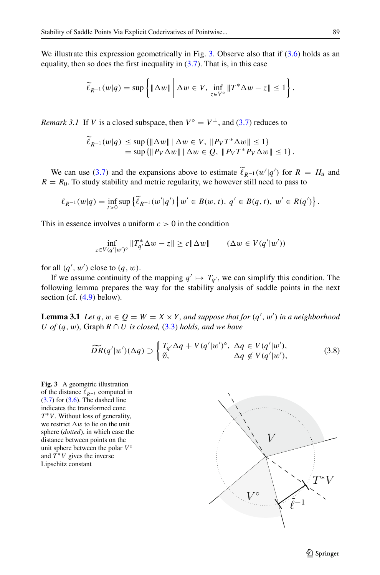We illustrate this expression geometrically in Fig. [3.](#page-20-0) Observe also that if  $(3.6)$  holds as an equality, then so does the first inequality in  $(3.7)$ . That is, in this case

$$
\widetilde{\ell}_{R^{-1}}(w|q) = \sup \left\{ \|\Delta w\| \, \bigg| \, \Delta w \in V, \inf_{z \in V^{\circ}} \|T^*\Delta w - z\| \le 1 \right\}.
$$

*Remark 3.1* If *V* is a closed subspace, then  $V^{\circ} = V^{\perp}$ , and [\(3.7\)](#page-19-2) reduces to

$$
\ell_{R^{-1}}(w|q) \le \sup\{\|\Delta w\| \,|\, \Delta w \in V, \, \|P_V T^* \Delta w\| \le 1\} \\
= \sup\{\|P_V \Delta w\| \,|\, \Delta w \in Q, \, \|P_V T^* P_V \Delta w\| \le 1\}.
$$

We can use [\(3.7\)](#page-19-2) and the expansions above to estimate  $\ell_{R-1}(w'|q')$  for  $R = H_{\bar{u}}$  and  $R = R_0$ . To study stability and metric regularity, we however still need to pass to

$$
\ell_{R^{-1}}(w|q) = \inf_{t>0} \sup \{ \widetilde{\ell}_{R^{-1}}(w'|q') \, \big| \, w' \in B(w,t), \, q' \in B(q,t), \, w' \in R(q') \} \, .
$$

This in essence involves a uniform  $c > 0$  in the condition

$$
\inf_{z \in V(q'|w')^{\circ}} \|T_{q'}^* \Delta w - z\| \ge c \|\Delta w\| \qquad (\Delta w \in V(q'|w'))
$$

for all  $(q', w')$  close to  $(q, w)$ .

If we assume continuity of the mapping  $q' \mapsto T_{q'}$ , we can simplify this condition. The following lemma prepares the way for the stability analysis of saddle points in the next section (cf. [\(4.9\)](#page-24-0) below).

**Lemma 3.1** *Let*  $q, w \in Q = W = X \times Y$ , and suppose that for  $(q', w')$  in a neighborhood *U of*  $(q, w)$ *,* Graph  $R \cap U$  *is closed,*  $(3.3)$  *holds, and we have* 

<span id="page-20-1"></span>
$$
\widetilde{DR}(q'|w')(\Delta q) \supset \begin{cases} T_{q'} \Delta q + V(q'|w')^{\circ}, \ \Delta q \in V(q'|w'),\\ \emptyset, \qquad \Delta q \notin V(q'|w'), \end{cases} \tag{3.8}
$$

<span id="page-20-0"></span>**Fig. 3** A geometric illustration of the distance  $\ell_{R^{-1}}$  computed in  $(3.7)$  for  $(3.6)$ . The dashed line indicates the transformed cone *T*<sup>∗</sup>*V*. Without loss of generality, we restrict  $\Delta w$  to lie on the unit sphere (*dotted*), in which case the distance between points on the unit sphere between the polar  $V^\circ$ and  $T^*V$  gives the inverse Lipschitz constant

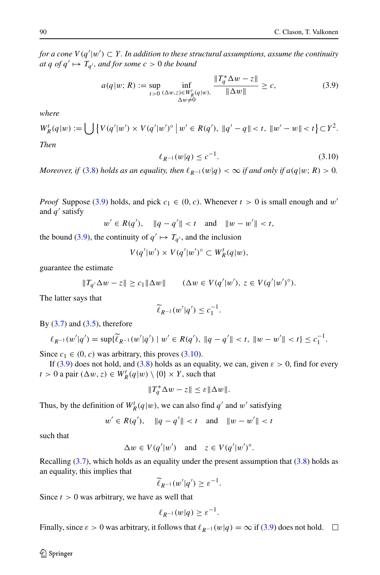*for a cone V (q* |*w )* ⊂ *Y . In addition to these structural assumptions, assume the continuity at q of*  $q' \mapsto T_{q'}$ *, and for some*  $c > 0$  *the bound* 

<span id="page-21-0"></span>
$$
a(q|w; R) := \sup_{t>0} \inf_{\substack{( \Delta w, z) \in W_R^t(q|w), \\ \Delta w \neq 0}} \frac{\|T_q^* \Delta w - z\|}{\|\Delta w\|} \ge c,
$$
 (3.9)

*where*

$$
W_R^t(q|w) := \bigcup \left\{ V(q'|w') \times V(q'|w')^\circ \, \middle| \, w' \in R(q'), \, \|q' - q\| < t, \, \|w' - w\| < t \right\} \subset Y^2.
$$
\nThen

<span id="page-21-1"></span>
$$
\ell_{R^{-1}}(w|q) \le c^{-1}.\tag{3.10}
$$

*Moreover, if* [\(3.8\)](#page-20-1) *holds as an equality, then*  $\ell_{R^{-1}}(w|q) < \infty$  *if and only if*  $a(q|w; R) > 0$ *.* 

*Proof* Suppose [\(3.9\)](#page-21-0) holds, and pick  $c_1 \in (0, c)$ . Whenever  $t > 0$  is small enough and w' and  $q'$  satisfy

$$
w' \in R(q'), \quad \|q - q'\| < t \quad \text{and} \quad \|w - w'\| < t,
$$

the bound [\(3.9\)](#page-21-0), the continuity of  $q' \mapsto T_{q'}$ , and the inclusion

$$
V(q'|w') \times V(q'|w')^{\circ} \subset W_R^t(q|w),
$$

guarantee the estimate

$$
||T_{q'}\Delta w - z|| \ge c_1 ||\Delta w|| \qquad (\Delta w \in V(q'|w'), z \in V(q'|w')^{\circ}).
$$

The latter says that

$$
\widetilde{\ell}_{R^{-1}}(w'|q') \leq c_1^{-1}.
$$

By  $(3.7)$  and  $(3.5)$ , therefore

$$
\ell_{R^{-1}}(w'|q') = \sup{\{\tilde{\ell}_{R^{-1}}(w'|q') \mid w' \in R(q'), \ \|q - q'\| < t, \ \|w - w'\| < t\} \leq c_1^{-1}.
$$

Since  $c_1 \in (0, c)$  was arbitrary, this proves [\(3.10\)](#page-21-1).

If [\(3.9\)](#page-21-0) does not hold, and [\(3.8\)](#page-20-1) holds as an equality, we can, given  $\varepsilon > 0$ , find for every *t* > 0 a pair  $(\Delta w, z) \in W_R^t(q|w) \setminus \{0\} \times Y$ , such that

$$
||T_q^*\Delta w - z|| \le \varepsilon ||\Delta w||.
$$

Thus, by the definition of  $W_R^t(q|w)$ , we can also find  $q'$  and  $w'$  satisfying

$$
w' \in R(q'), \quad \|q - q'\| < t \quad \text{and} \quad \|w - w'\| < t
$$

such that

$$
\Delta w \in V(q'|w') \quad \text{and} \quad z \in V(q'|w')^{\circ}.
$$

Recalling  $(3.7)$ , which holds as an equality under the present assumption that  $(3.8)$  holds as an equality, this implies that

$$
\widetilde{\ell}_{R^{-1}}(w'|q') \geq \varepsilon^{-1}.
$$

Since  $t > 0$  was arbitrary, we have as well that

$$
\ell_{R^{-1}}(w|q) \geq \varepsilon^{-1}.
$$

Finally, since  $\varepsilon > 0$  was arbitrary, it follows that  $\ell_{R^{-1}}(w|q) = \infty$  if [\(3.9\)](#page-21-0) does not hold.  $\square$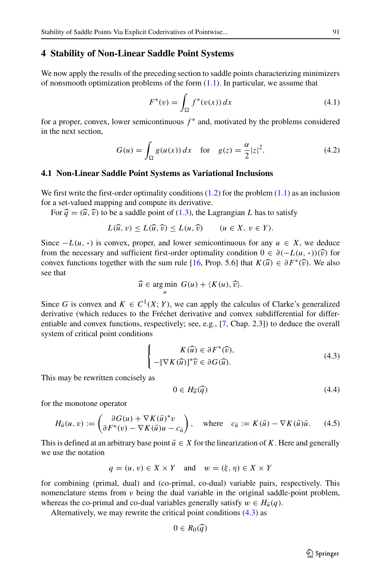#### <span id="page-22-1"></span>**4 Stability of Non-Linear Saddle Point Systems**

We now apply the results of the preceding section to saddle points characterizing minimizers of nonsmooth optimization problems of the form  $(1.1)$ . In particular, we assume that

<span id="page-22-6"></span>
$$
F^*(v) = \int_{\Omega} f^*(v(x)) dx
$$
 (4.1)

for a proper, convex, lower semicontinuous  $f^*$  and, motivated by the problems considered in the next section,

<span id="page-22-5"></span>
$$
G(u) = \int_{\Omega} g(u(x)) dx \quad \text{for} \quad g(z) = \frac{\alpha}{2}|z|^2.
$$
 (4.2)

#### <span id="page-22-0"></span>**4.1 Non-Linear Saddle Point Systems as Variational Inclusions**

We first write the first-order optimality conditions  $(1.2)$  for the problem  $(1.1)$  as an inclusion for a set-valued mapping and compute its derivative.

For  $\hat{q} = (\hat{u}, \hat{v})$  to be a saddle point of [\(1.3\)](#page-1-1), the Lagrangian *L* has to satisfy

$$
L(\widehat{u}, v) \le L(\widehat{u}, \widehat{v}) \le L(u, \widehat{v}) \qquad (u \in X, v \in Y).
$$

Since  $-L(u, \cdot)$  is convex, proper, and lower semicontinuous for any  $u \in X$ , we deduce from the necessary and sufficient first-order optimality condition  $0 \in \partial(-L(u, \cdot))(\hat{v})$  for convex functions together with the sum rule [\[16,](#page-41-14) Prop. 5.6] that  $K(\hat{u}) \in \partial F^*(\hat{v})$ . We also see that

$$
\widehat{u} \in \underset{u}{\text{arg min }} G(u) + \langle K(u), \widehat{v} \rangle.
$$

Since *G* is convex and  $K \in C^1(X; Y)$ , we can apply the calculus of Clarke's generalized derivative (which reduces to the Fréchet derivative and convex subdifferential for differentiable and convex functions, respectively; see, e.g., [\[7,](#page-41-15) Chap. 2.3]) to deduce the overall system of critical point conditions

<span id="page-22-2"></span>
$$
\begin{cases}\nK(\widehat{u}) \in \partial F^*(\widehat{v}), \\
-[\nabla K(\widehat{u})]^*\widehat{v} \in \partial G(\widehat{u}).\n\end{cases}
$$
\n(4.3)

This may be rewritten concisely as

<span id="page-22-4"></span>
$$
0 \in H_{\widehat{u}}(\widehat{q}) \tag{4.4}
$$

for the monotone operator

<span id="page-22-3"></span>
$$
H_{\bar{u}}(u, v) := \begin{pmatrix} \partial G(u) + \nabla K(\bar{u})^* v \\ \partial F^*(v) - \nabla K(\bar{u}) u - c_{\bar{u}} \end{pmatrix}, \text{ where } c_{\bar{u}} := K(\bar{u}) - \nabla K(\bar{u}) \bar{u}. \tag{4.5}
$$

This is defined at an arbitrary base point  $\bar{u} \in X$  for the linearization of *K*. Here and generally we use the notation

$$
q = (u, v) \in X \times Y \quad \text{and} \quad w = (\xi, \eta) \in X \times Y
$$

for combining (primal, dual) and (co-primal, co-dual) variable pairs, respectively. This nomenclature stems from  $v$  being the dual variable in the original saddle-point problem, whereas the co-primal and co-dual variables generally satisfy  $w \in H_{\bar{u}}(q)$ .

Alternatively, we may rewrite the critical point conditions [\(4.3\)](#page-22-2) as

$$
0\in R_0(\widehat{q})
$$

 $\textcircled{2}$  Springer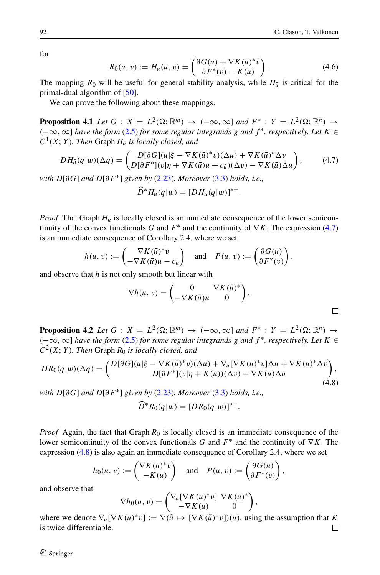for

<span id="page-23-2"></span>
$$
R_0(u, v) := H_u(u, v) = \begin{pmatrix} \partial G(u) + \nabla K(u)^* v \\ \partial F^*(v) - K(u) \end{pmatrix}.
$$
 (4.6)

The mapping  $R_0$  will be useful for general stability analysis, while  $H_{\bar{u}}$  is critical for the primal-dual algorithm of [\[50\]](#page-43-7).

We can prove the following about these mappings.

**Proposition 4.1** *Let*  $G: X = L^2(\Omega; \mathbb{R}^m) \rightarrow (-\infty, \infty]$  *and*  $F^*: Y = L^2(\Omega; \mathbb{R}^n) \rightarrow$ *(*−∞*,*∞] *have the form* [\(2.5\)](#page-4-1) *for some regular integrands g and f* <sup>∗</sup>*, respectively. Let K* ∈  $C^1(X; Y)$ *. Then* Graph  $H_{\bar{u}}$  *is locally closed, and* 

<span id="page-23-0"></span>
$$
DH_{\bar{u}}(q|w)(\Delta q) = \begin{pmatrix} D[\partial G](u|\xi - \nabla K(\bar{u})^*v)(\Delta u) + \nabla K(\bar{u})^* \Delta v \\ D[\partial F^*](v|\eta + \nabla K(\bar{u})u + c_{\bar{u}})(\Delta v) - \nabla K(\bar{u})\Delta u \end{pmatrix},\tag{4.7}
$$

*with D*[*∂G*] *and D*[*∂F*∗] *given by* [\(2.23\)](#page-11-2)*. Moreover* [\(3.3\)](#page-18-0) *holds, i.e.,*

$$
D^*H_{\bar{u}}(q|w)=[DH_{\bar{u}}(q|w)]^{*+}.
$$

*Proof* That Graph  $H_{\bar{u}}$  is locally closed is an immediate consequence of the lower semicontinuity of the convex functionals *G* and  $F^*$  and the continuity of  $\nabla K$ . The expression [\(4.7\)](#page-23-0) is an immediate consequence of Corollary 2.4, where we set

$$
h(u, v) := \begin{pmatrix} \nabla K(\bar{u})^* v \\ -\nabla K(\bar{u})u - c_{\bar{u}} \end{pmatrix} \text{ and } P(u, v) := \begin{pmatrix} \partial G(u) \\ \partial F^*(v) \end{pmatrix},
$$

and observe that *h* is not only smooth but linear with

$$
\nabla h(u, v) = \begin{pmatrix} 0 & \nabla K(\bar{u})^* \\ -\nabla K(\bar{u})u & 0 \end{pmatrix}.
$$

**Proposition 4.2** *Let*  $G: X = L^2(\Omega; \mathbb{R}^m) \rightarrow (-\infty, \infty]$  *and*  $F^*: Y = L^2(\Omega; \mathbb{R}^n) \rightarrow$ *(*−∞*,*∞] *have the form* [\(2.5\)](#page-4-1) *for some regular integrands g and f* <sup>∗</sup>*, respectively. Let K* ∈  $C^2(X; Y)$ *. Then* Graph  $R_0$  *is locally closed, and* 

<span id="page-23-1"></span>
$$
DR_0(q|w)(\Delta q) = \begin{pmatrix} D[\partial G](u|\xi - \nabla K(\bar{u})^*v)(\Delta u) + \nabla_u [\nabla K(u)^*v]\Delta u + \nabla K(u)^* \Delta v \\ D[\partial F^*](v|\eta + K(u))(\Delta v) - \nabla K(u)\Delta u \end{pmatrix},\tag{4.8}
$$

*with D*[*∂G*] *and D*[*∂F*∗] *given by* [\(2.23\)](#page-11-2)*. Moreover* [\(3.3\)](#page-18-0) *holds, i.e.,*

$$
\widehat{D}^* R_0(q|w) = [DR_0(q|w)]^{*+}.
$$

*Proof* Again, the fact that Graph  $R_0$  is locally closed is an immediate consequence of the lower semicontinuity of the convex functionals *G* and *F*<sup>∗</sup> and the continuity of ∇*K*. The expression [\(4.8\)](#page-23-1) is also again an immediate consequence of Corollary 2.4, where we set

$$
h_0(u, v) := \begin{pmatrix} \nabla K(u)^* v \\ -K(u) \end{pmatrix} \quad \text{and} \quad P(u, v) := \begin{pmatrix} \partial G(u) \\ \partial F^*(v) \end{pmatrix},
$$

and observe that

$$
\nabla h_0(u, v) = \begin{pmatrix} \nabla_u [\nabla K(u)^* v] & \nabla K(u)^* \\ -\nabla K(u) & 0 \end{pmatrix},
$$

where we denote  $\nabla_u [\nabla K(u)^* v] := \nabla (\tilde{u} \mapsto [\nabla K(\tilde{u})^* v])(u)$ , using the assumption that *K* is twice differentiable. is twice differentiable.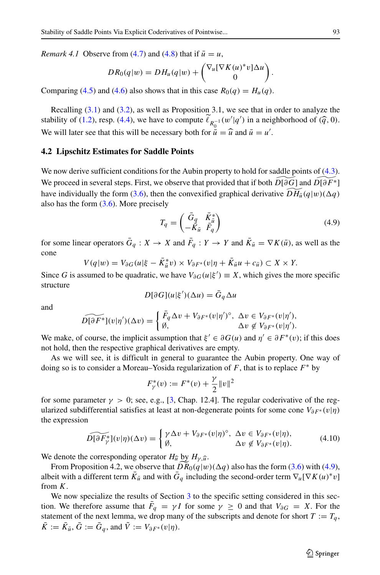*Remark 4.1* Observe from [\(4.7\)](#page-23-0) and [\(4.8\)](#page-23-1) that if  $\bar{u} = u$ ,

$$
DR_0(q|w) = DH_u(q|w) + \begin{pmatrix} \nabla_u [\nabla K(u)^* v] \Delta u \\ 0 \end{pmatrix}.
$$

Comparing [\(4.5\)](#page-22-3) and [\(4.6\)](#page-23-2) also shows that in this case  $R_0(q) = H_u(q)$ .

Recalling [\(3.1\)](#page-17-1) and [\(3.2\)](#page-18-2), as well as Proposition 3.1, we see that in order to analyze the stability of [\(1.2\)](#page-1-0), resp. [\(4.4\)](#page-22-4), we have to compute  $\ell_{R_0^{-1}}(w'|q')$  in a neighborhood of  $(\widehat{q}, 0)$ . We will later see that this will be necessary both for  $\bar{u} = \hat{u}$  and  $\bar{u} = u'$ .

#### **4.2 Lipschitz Estimates for Saddle Points**

We now derive sufficient conditions for the Aubin property to hold for saddle points of [\(4.3\)](#page-22-2). We proceed in several steps. First, we observe that provided that if both  $\widetilde{D[\partial G]}$  and  $\widetilde{D[\partial F^*]}$ have individually the form [\(3.6\)](#page-19-1), then the convexified graphical derivative  $DH_{\bar{u}}(q|w)(\Delta q)$ also has the form  $(3.6)$ . More precisely

<span id="page-24-0"></span>
$$
T_q = \begin{pmatrix} \bar{G}_q & \bar{K}_{\bar{u}}^* \\ -K_{\bar{u}} & \bar{F}_q \end{pmatrix}
$$
(4.9)

for some linear operators  $G_q: X \to X$  and  $F_q: Y \to Y$  and  $K_{\bar{u}} = \nabla K(\bar{u})$ , as well as the cone

*V* $(q|w) = V_{\partial G}(u|\xi - K_{\bar{u}}^* v) \times V_{\partial F^*}(v|\eta + K_{\bar{u}}u + c_{\bar{u}}) \subset X \times Y$ .

Since *G* is assumed to be quadratic, we have  $V_{\partial G}(u|\xi') \equiv X$ , which gives the more specific structure

$$
D[\partial G](u|\xi')(\Delta u) = \bar{G}_q \Delta u
$$

and

$$
\widetilde{D[\partial F^*]}(v|\eta')(\Delta v) = \begin{cases} \bar{F}_q \Delta v + V_{\partial F^*}(v|\eta')^\circ, & \Delta v \in V_{\partial F^*}(v|\eta'), \\ \emptyset, & \Delta v \notin V_{\partial F^*}(v|\eta'). \end{cases}
$$

We make, of course, the implicit assumption that  $\xi' \in \partial G(u)$  and  $\eta' \in \partial F^*(v)$ ; if this does not hold, then the respective graphical derivatives are empty.

As we will see, it is difficult in general to guarantee the Aubin property. One way of doing so is to consider a Moreau–Yosida regularization of *F*, that is to replace *F*∗ by

$$
F_{\gamma}^*(v) := F^*(v) + \frac{\gamma}{2} ||v||^2
$$

for some parameter  $\gamma > 0$ ; see, e.g., [\[3,](#page-41-16) Chap. 12.4]. The regular coderivative of the regularized subdifferential satisfies at least at non-degenerate points for some cone  $V_{\partial F^*}(v|\eta)$ the expression

<span id="page-24-1"></span>
$$
\widetilde{D[\partial F_{\gamma}^*]}(v|\eta)(\Delta v) = \begin{cases} \gamma \Delta v + V_{\partial F^*}(v|\eta)^{\circ}, \ \Delta v \in V_{\partial F^*}(v|\eta), \\ \emptyset, \end{cases} \quad (4.10)
$$

We denote the corresponding operator  $H_{\hat{u}}$  by  $H_{\gamma, \hat{u}}$ .

From Proposition 4.2, we observe that  $\widetilde{DR}_0(q|w)(\Delta q)$  also has the form [\(3.6\)](#page-19-1) with [\(4.9\)](#page-24-0), albeit with a different term  $\bar{K}_{\bar{u}}$  and with  $\bar{G}_a$  including the second-order term  $\nabla_u[\nabla K(u)^*v]$ from *K*.

We now specialize the results of Section [3](#page-17-0) to the specific setting considered in this section. We therefore assume that  $F_q = \gamma I$  for some  $\gamma \geq 0$  and that  $V_{\partial G} = X$ . For the statement of the next lemma, we drop many of the subscripts and denote for short  $T := T_q$ ,  $\overline{K} := \overline{K}_{\overline{u}}, \overline{G} := \overline{G}_q$ , and  $\overline{V} := V_{\partial F^*}(v|\eta)$ .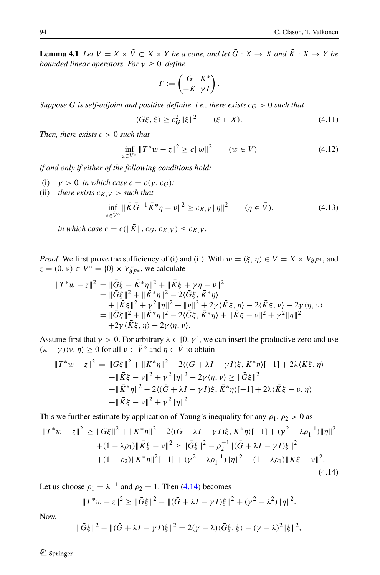**Lemma 4.1** *Let*  $V = X \times \tilde{V} \subset X \times Y$  *be a cone, and let*  $\bar{G}: X \to X$  *and*  $\bar{K}: X \to Y$  *be bounded linear operators. For*  $\gamma \geq 0$ *, define* 

$$
T:=\begin{pmatrix}\bar G&\bar K^*\\ -\bar K&\gamma\,I\end{pmatrix}.
$$

*Suppose*  $\bar{G}$  *is self-adjoint and positive definite, i.e., there exists*  $c_G > 0$  *such that* 

<span id="page-25-1"></span>
$$
\langle \bar{G}\xi, \xi \rangle \ge c_G^2 \| \xi \|^2 \qquad (\xi \in X). \tag{4.11}
$$

*Then, there exists*  $c > 0$  *such that* 

<span id="page-25-2"></span>
$$
\inf_{z \in V^{\circ}} \|T^*w - z\|^2 \ge c \|w\|^2 \qquad (w \in V)
$$
\n(4.12)

*if and only if either of the following conditions hold:*

- (i)  $\gamma > 0$ *, in which case*  $c = c(\gamma, c_G)$ *;*
- (ii) *there exists*  $c_{K,V} >$  *such that*

<span id="page-25-3"></span>
$$
\inf_{\nu \in \tilde{V}^{\circ}} \|\bar{K}\bar{G}^{-1}\bar{K}^{*}\eta - \nu\|^{2} \ge c_{K,V} \|\eta\|^{2} \qquad (\eta \in \tilde{V}), \tag{4.13}
$$

*in which case*  $c = c(||K||, c_G, c_{K,V}) \le c_{K,V}$ .

*Proof* We first prove the sufficiency of (i) and (ii). With  $w = (\xi, \eta) \in V = X \times V_{\partial F^*}$ , and  $z = (0, v) \in V^{\circ} = \{0\} \times V^{\circ}_{\partial F^*}$ , we calculate

$$
\begin{split} \|T^*w - z\|^2 &= \|\bar{G}\xi - \bar{K}^*\eta\|^2 + \|\bar{K}\xi + \gamma\eta - \nu\|^2 \\ &= \|\bar{G}\xi\|^2 + \|\bar{K}^*\eta\|^2 - 2\langle\bar{G}\xi, \bar{K}^*\eta\rangle \\ &+ \|\bar{K}\xi\|^2 + \gamma^2 \|\eta\|^2 + \|\nu\|^2 + 2\gamma\langle\bar{K}\xi, \eta\rangle - 2\langle\bar{K}\xi, \nu\rangle - 2\gamma\langle\eta, \nu\rangle \\ &= \|\bar{G}\xi\|^2 + \|\bar{K}^*\eta\|^2 - 2\langle\bar{G}\xi, \bar{K}^*\eta\rangle + \|\bar{K}\xi - \nu\|^2 + \gamma^2 \|\eta\|^2 \\ &+ 2\gamma\langle\bar{K}\xi, \eta\rangle - 2\gamma\langle\eta, \nu\rangle. \end{split}
$$

Assume first that  $\gamma > 0$ . For arbitrary  $\lambda \in [0, \gamma]$ , we can insert the productive zero and use  $(\lambda - \gamma)\langle \nu, \eta \rangle \ge 0$  for all  $\nu \in \tilde{V}^\circ$  and  $\eta \in \tilde{V}$  to obtain

$$
||T^*w - z||^2 = ||\bar{G}\xi||^2 + ||\bar{K}^* \eta||^2 - 2\langle(\bar{G} + \lambda I - \gamma I)\xi, \bar{K}^* \eta\rangle[-1] + 2\lambda\langle\bar{K}\xi, \eta\rangle
$$
  
 
$$
+ ||\bar{K}\xi - \nu||^2 + \gamma^2 ||\eta||^2 - 2\gamma\langle\eta, \nu\rangle \ge ||\bar{G}\xi||^2
$$
  
 
$$
+ ||\bar{K}^* \eta||^2 - 2\langle(\bar{G} + \lambda I - \gamma I)\xi, \bar{K}^* \eta\rangle[-1] + 2\lambda\langle\bar{K}\xi - \nu, \eta\rangle
$$
  
 
$$
+ ||\bar{K}\xi - \nu||^2 + \gamma^2 ||\eta||^2.
$$

This we further estimate by application of Young's inequality for any  $\rho_1$ ,  $\rho_2 > 0$  as

<span id="page-25-0"></span>
$$
||T^*w - z||^2 \ge ||\bar{G}\xi||^2 + ||\bar{K}^*\eta||^2 - 2\langle(\bar{G} + \lambda I - \gamma I)\xi, \bar{K}^*\eta\rangle[-1] + (\gamma^2 - \lambda \rho_1^{-1})||\eta||^2
$$
  
 
$$
+ (1 - \lambda \rho_1) ||\bar{K}\xi - \nu||^2 \ge ||\bar{G}\xi||^2 - \rho_2^{-1} ||(\bar{G} + \lambda I - \gamma I)\xi||^2
$$
  
 
$$
+ (1 - \rho_2) ||\bar{K}^*\eta||^2[-1] + (\gamma^2 - \lambda \rho_1^{-1})||\eta||^2 + (1 - \lambda \rho_1) ||\bar{K}\xi - \nu||^2.
$$
 (4.14)

Let us choose  $\rho_1 = \lambda^{-1}$  and  $\rho_2 = 1$ . Then [\(4.14\)](#page-25-0) becomes

$$
||T^*w - z||^2 \ge ||\bar{G}\xi||^2 - ||(\bar{G} + \lambda I - \gamma I)\xi||^2 + (\gamma^2 - \lambda^2) ||\eta||^2.
$$

Now,

$$
\|\bar{G}\xi\|^2 - \|(\bar{G} + \lambda I - \gamma I)\xi\|^2 = 2(\gamma - \lambda)\langle \bar{G}\xi, \xi \rangle - (\gamma - \lambda)^2 \|\xi\|^2,
$$

 $\mathcal{D}$  Springer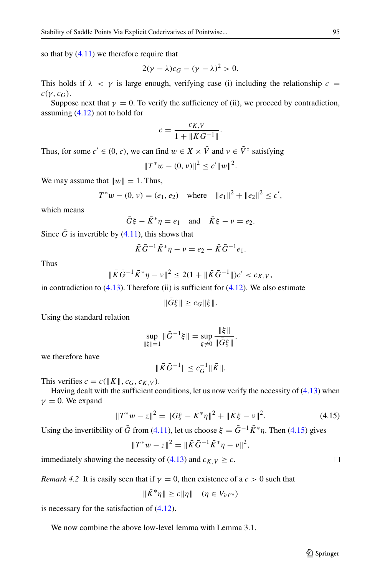so that by  $(4.11)$  we therefore require that

$$
2(\gamma - \lambda)c_G - (\gamma - \lambda)^2 > 0.
$$

This holds if  $\lambda < \gamma$  is large enough, verifying case (i) including the relationship  $c =$  $c(\gamma, c_G)$ .

Suppose next that  $\gamma = 0$ . To verify the sufficiency of (ii), we proceed by contradiction, assuming [\(4.12\)](#page-25-2) not to hold for

$$
c = \frac{c_{K,V}}{1 + \|\bar{K}\bar{G}^{-1}\|}.
$$

Thus, for some  $c' \in (0, c)$ , we can find  $w \in X \times \tilde{V}$  and  $v \in \tilde{V}^{\circ}$  satisfying

$$
||T^*w - (0, v)||^2 \le c'||w||^2.
$$

We may assume that  $||w|| = 1$ . Thus,

$$
T^*w - (0, v) = (e_1, e_2) \quad \text{where} \quad ||e_1||^2 + ||e_2||^2 \le c',
$$

which means

$$
\bar{G}\xi - \bar{K}^*\eta = e_1 \quad \text{and} \quad \bar{K}\xi - \nu = e_2.
$$

Since  $\bar{G}$  is invertible by [\(4.11\)](#page-25-1), this shows that

$$
\bar{K}\bar{G}^{-1}\bar{K}^*\eta - \nu = e_2 - \bar{K}\bar{G}^{-1}e_1.
$$

Thus

$$
\|\bar{K}\bar{G}^{-1}\bar{K}^*\eta - \nu\|^2 \le 2(1 + \|\bar{K}\bar{G}^{-1}\|)c' < c_{K,V},
$$

in contradiction to  $(4.13)$ . Therefore (ii) is sufficient for  $(4.12)$ . We also estimate

$$
\|\bar{G}\xi\| \geq c_G \|\xi\|.
$$

Using the standard relation

$$
\sup_{\|\xi\|=1} \|\bar{G}^{-1}\xi\| = \sup_{\xi \neq 0} \frac{\|\xi\|}{\|\bar{G}\xi\|},
$$

we therefore have

$$
\|\bar{K}\bar{G}^{-1}\| \le c_G^{-1} \|\bar{K}\|.
$$

This verifies  $c = c(||K||, c_G, c_{K,V})$ .

Having dealt with the sufficient conditions, let us now verify the necessity of  $(4.13)$  when  $\gamma = 0$ . We expand

<span id="page-26-0"></span>
$$
||T^*w - z||^2 = ||\bar{G}\xi - \bar{K}^*\eta||^2 + ||\bar{K}\xi - v||^2.
$$
 (4.15)

Using the invertibility of  $\bar{G}$  from [\(4.11\)](#page-25-1), let us choose  $\xi = \bar{G}^{-1}\bar{K}^*\eta$ . Then [\(4.15\)](#page-26-0) gives

$$
||T^*w - z||^2 = ||\bar{K}\bar{G}^{-1}\bar{K}^*\eta - v||^2,
$$

immediately showing the necessity of  $(4.13)$  and  $c_{K,V} \geq c$ .

*Remark 4.2* It is easily seen that if  $\gamma = 0$ , then existence of a  $c > 0$  such that

$$
||K^*\eta|| \ge c||\eta|| \quad (\eta \in V_{\partial F^*})
$$

is necessary for the satisfaction of [\(4.12\)](#page-25-2).

We now combine the above low-level lemma with Lemma 3.1.

П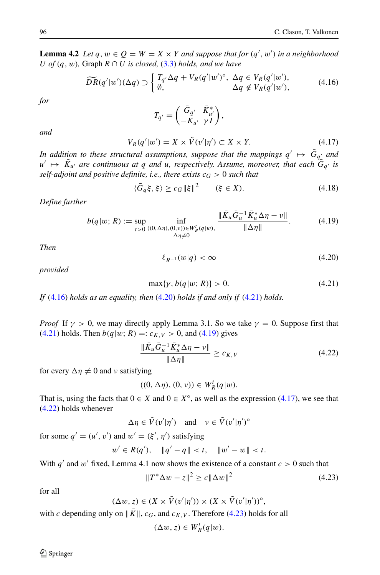<span id="page-27-7"></span>**Lemma 4.2** *Let*  $q, w \in Q = W = X \times Y$  *and suppose that for*  $(q', w')$  *in a neighborhood U of*  $(q, w)$ *,* Graph  $R \cap U$  *is closed,*  $(3.3)$  *holds, and we have* 

<span id="page-27-1"></span>
$$
\widetilde{DR}(q'|w')(\Delta q) \supset \begin{cases} T_{q'}\Delta q + V_R(q'|w')^\circ, & \Delta q \in V_R(q'|w'),\\ \emptyset, & \Delta q \notin V_R(q'|w'), \end{cases} \tag{4.16}
$$

*for*

$$
T_{q'}=\begin{pmatrix}\bar{G}_{q'} & \bar{K}_{u'}^*\\ -\bar{K}_{u'} & \gamma I\end{pmatrix},\,
$$

*and*

<span id="page-27-4"></span>
$$
V_R(q'|w') = X \times \tilde{V}(v'|\eta') \subset X \times Y. \tag{4.17}
$$

*In addition to these structural assumptions, suppose that the mappings*  $q' \mapsto \bar{G}_{q'}$  and  $u' \mapsto \bar{K}_{u'}$  are continuous at q and *u*, respectively. Assume, moreover, that each  $\bar{G}_{q'}$  is *self-adjoint and positive definite, i.e., there exists*  $c_G > 0$  *such that* 

$$
\langle \bar{G}_q \xi, \xi \rangle \ge c_G \|\xi\|^2 \qquad (\xi \in X). \tag{4.18}
$$

*Define further*

<span id="page-27-0"></span>
$$
b(q|w; R) := \sup_{t>0} \inf_{\substack{(\mathbf{0}, \Delta\eta), (\mathbf{0}, v)) \in W_R^t(q|w), \\ \Delta\eta \neq 0}} \frac{\|\bar{K}_u \bar{G}_u^{-1} \bar{K}_u^* \Delta \eta - v\|}{\|\Delta \eta\|}.
$$
 (4.19)

*Then*

<span id="page-27-8"></span><span id="page-27-3"></span><span id="page-27-2"></span>
$$
\ell_{R^{-1}}(w|q) < \infty \tag{4.20}
$$

*provided*

$$
\max\{\gamma, b(q|w; R)\} > 0. \tag{4.21}
$$

*If* [\(4.16\)](#page-27-1) *holds as an equality, then* [\(4.20\)](#page-27-2) *holds if and only if* [\(4.21\)](#page-27-3) *holds.*

*Proof* If  $\gamma > 0$ , we may directly apply Lemma 3.1. So we take  $\gamma = 0$ . Suppose first that [\(4.21\)](#page-27-3) holds. Then  $b(q|w; R) =: c_{K,V} > 0$ , and [\(4.19\)](#page-27-0) gives

<span id="page-27-5"></span>
$$
\frac{\|\bar{K}_u\bar{G}_u^{-1}\bar{K}_u^*\Delta\eta - \nu\|}{\|\Delta\eta\|} \ge c_{K,V} \tag{4.22}
$$

for every  $\Delta \eta \neq 0$  and *ν* satisfying

$$
((0,\Delta\eta),(0,\nu))\in W_R^t(q|w).
$$

That is, using the facts that  $0 \in X$  and  $0 \in X^{\circ}$ , as well as the expression [\(4.17\)](#page-27-4), we see that [\(4.22\)](#page-27-5) holds whenever

$$
\Delta \eta \in \tilde{V}(v'|\eta') \quad \text{and} \quad v \in \tilde{V}(v'|\eta')^{\circ}
$$

for some  $q' = (u', v')$  and  $w' = (\xi', \eta')$  satisfying

$$
w' \in R(q'), \quad \|q' - q\| < t, \quad \|w' - w\| < t.
$$

With  $q'$  and  $w'$  fixed, Lemma 4.1 now shows the existence of a constant  $c > 0$  such that

<span id="page-27-6"></span>
$$
||T^* \Delta w - z||^2 \ge c ||\Delta w||^2
$$
 (4.23)

for all

$$
(\Delta w, z) \in (X \times \tilde{V}(v'|\eta')) \times (X \times \tilde{V}(v'|\eta'))^{\circ},
$$

with *c* depending only on  $||K||$ ,  $c_G$ , and  $c_{K,V}$ . Therefore [\(4.23\)](#page-27-6) holds for all

$$
(\Delta w, z) \in W_R^t(q|w).
$$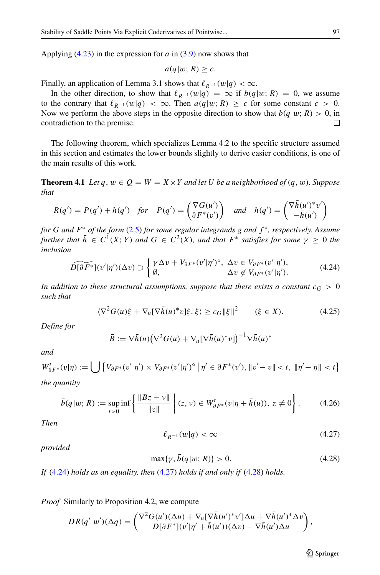Applying [\(4.23\)](#page-27-6) in the expression for *a* in [\(3.9\)](#page-21-0) now shows that

$$
a(q|w; R) \geq c.
$$

Finally, an application of Lemma 3.1 shows that  $\ell_{R^{-1}}(w|q) < \infty$ .

In the other direction, to show that  $\ell_{R^{-1}}(w|q) = \infty$  if  $b(q|w; R) = 0$ , we assume to the contrary that  $\ell_{R^{-1}}(w|q) < \infty$ . Then  $a(q|w; R) \geq c$  for some constant  $c > 0$ . Now we perform the above steps in the opposite direction to show that  $b(q|w; R) > 0$ , in contradiction to the premise. contradiction to the premise.

The following theorem, which specializes Lemma 4.2 to the specific structure assumed in this section and estimates the lower bounds slightly to derive easier conditions, is one of the main results of this work.

**Theorem 4.1** *Let*  $q, w \in Q = W = X \times Y$  *and let U be a neighborhood of*  $(q, w)$ *. Suppose that*

$$
R(q') = P(q') + h(q') \quad \text{for} \quad P(q') = \begin{pmatrix} \nabla G(u') \\ \partial F^*(v') \end{pmatrix} \quad \text{and} \quad h(q') = \begin{pmatrix} \nabla \overline{h}(u')^* v' \\ -\overline{h}(u') \end{pmatrix}
$$

*for G and F*∗ *of the form* [\(2.5\)](#page-4-1) *for some regular integrands g and f* ∗*, respectively. Assume further that*  $\bar{h} \in C^1(X; Y)$  *and*  $G \in C^2(X)$ *, and that*  $F^*$  *satisfies for some*  $\gamma \geq 0$  *the inclusion*

<span id="page-28-0"></span>
$$
\widetilde{D[\partial F^*]}(v'|\eta')(\Delta v) \supset \begin{cases} \gamma \Delta v + V_{\partial F^*}(v'|\eta')^\circ, & \Delta v \in V_{\partial F^*}(v'|\eta'), \\ \emptyset, & \Delta v \notin V_{\partial F^*}(v'|\eta'). \end{cases} (4.24)
$$

*In addition to these structural assumptions, suppose that there exists a constant*  $c_G > 0$ *such that*

$$
\langle \nabla^2 G(u)\xi + \nabla_u [\nabla \bar{h}(u)^* v]\xi, \xi \rangle \ge c_G \|\xi\|^2 \qquad (\xi \in X). \tag{4.25}
$$

*Define for*

$$
\bar{B} := \nabla \bar{h}(u) \big( \nabla^2 G(u) + \nabla_u [\nabla \bar{h}(u)^* v] \big)^{-1} \nabla \bar{h}(u)^*
$$

*and*

$$
W_{\partial F^*}^t(v|\eta) := \bigcup \left\{ V_{\partial F^*}(v'|\eta') \times V_{\partial F^*}(v'|\eta')^{\circ} | \eta' \in \partial F^*(v'), ||v'-v|| < t, ||\eta'-\eta|| < t \right\}
$$

*the quantity*

<span id="page-28-4"></span>
$$
\bar{b}(q|w;R) := \sup_{t>0} \inf \left\{ \frac{\|\bar{B}z - v\|}{\|z\|} \mid (z,v) \in W_{\partial F^*}^t(v|\eta + \bar{h}(u)), \ z \neq 0 \right\}.
$$
 (4.26)

*Then*

<span id="page-28-3"></span><span id="page-28-1"></span>
$$
\ell_{R^{-1}}(w|q) < \infty \tag{4.27}
$$

*provided*

<span id="page-28-2"></span>
$$
\max\{\gamma, \bar{b}(q|w;R)\} > 0. \tag{4.28}
$$

*If* [\(4.24\)](#page-28-0) *holds as an equality, then* [\(4.27\)](#page-28-1) *holds if and only if* [\(4.28\)](#page-28-2) *holds.*

*Proof* Similarly to Proposition 4.2, we compute

$$
DR(q'|w')(\Delta q) = \begin{pmatrix} \nabla^2 G(u')(\Delta u) + \nabla_u [\nabla \overline{h}(u')^* v'] \Delta u + \nabla \overline{h}(u')^* \Delta v \\ D[\partial F^*](v'|\eta' + \overline{h}(u'))(\Delta v) - \nabla \overline{h}(u') \Delta u \end{pmatrix},
$$

 $\mathcal{D}$  Springer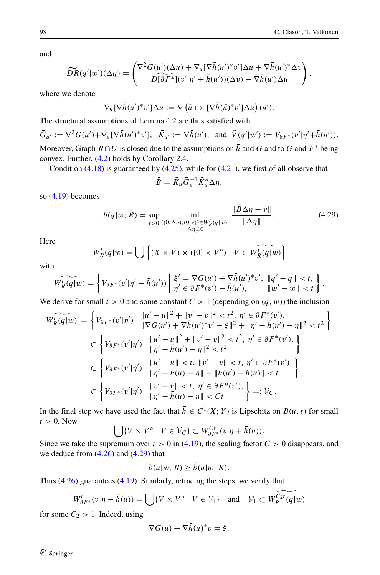and

$$
\widetilde{DR}(q'|w')(\Delta q) = \begin{pmatrix} \nabla^2 G(u')(\Delta u) + \nabla_u [\nabla \overline{h}(u')^* v'] \Delta u + \nabla \overline{h}(u')^* \Delta v \\ \nabla[\partial F^*](v'|\eta' + \overline{h}(u'))(\Delta v) - \nabla \overline{h}(u') \Delta u \end{pmatrix},
$$

where we denote

$$
\nabla_u [\nabla \bar{h}(u')^* v'] \Delta u := \nabla \left( \tilde{u} \mapsto [\nabla \bar{h}(\tilde{u})^* v'] \Delta u \right) (u').
$$

The structural assumptions of Lemma 4.2 are thus satisfied with

$$
\bar{G}_{q'} := \nabla^2 G(u') + \nabla_u [\nabla \bar{h}(u')^* v'], \quad \bar{K}_{u'} := \nabla \bar{h}(u'),
$$
 and  $\tilde{V}(q'|w') := V_{\partial F^*}(v'|\eta' + \bar{h}(u')).$  Moreover, Graph  $R \cap U$  is closed due to the assumptions on  $\bar{h}$  and  $G$  and to  $G$  and  $F^*$  being convex. Further, (4.2) holds by Corollary 2.4.

Condition  $(4.18)$  is guaranteed by  $(4.25)$ , while for  $(4.21)$ , we first of all observe that

$$
\bar{B} = \bar{K}_u \bar{G}_u^{-1} \bar{K}_u^* \Delta \eta,
$$

so [\(4.19\)](#page-27-0) becomes

<span id="page-29-0"></span>
$$
b(q|w; R) = \sup_{t>0} \inf_{\substack{((0,\Delta\eta),(0,\nu)) \in W_R^t(q|w), \\ \Delta\eta \neq 0}} \frac{\|B\Delta\eta - \nu\|}{\|\Delta\eta\|}.
$$
 (4.29)

Here

$$
W_R^t(q|w) = \bigcup \left\{ (X \times V) \times (\{0\} \times V^\circ) \mid V \in \widetilde{W_R^t(q|w)} \right\}
$$

with

$$
\widetilde{W_R'(q|w)} = \left\{ V_{\partial F^*}(v'|\eta' - \bar{h}(u')) \middle| \begin{array}{l} \xi' = \nabla G(u') + \nabla \bar{h}(u')^* v', & ||q' - q|| < t, \\ \eta' \in \partial F^*(v') - \bar{h}(u'), & ||w' - w|| < t \end{array} \right\}.
$$

We derive for small  $t > 0$  and some constant  $C > 1$  (depending on  $(q, w)$ ) the inclusion

$$
\widetilde{W'_{R}(q|w)} = \left\{ V_{\partial F^*}(v'|\eta') \middle| \begin{aligned} &\|u' - u\|^2 + \|v' - v\|^2 < t^2, \ \eta' \in \partial F^*(v'), \\ &\|\nabla G(u') + \nabla \bar{h}(u')^*v' - \xi\|^2 + \|\eta' - \bar{h}(u') - \eta\|^2 < t^2 \end{aligned} \right\}
$$
\n
$$
\subset \left\{ V_{\partial F^*}(v'|\eta') \middle| \begin{aligned} &\|u' - u\|^2 + \|v' - v\|^2 < t^2, \ \eta' \in \partial F^*(v'), \\ &\|\eta' - \bar{h}(u') - \eta\|^2 < t^2 \end{aligned} \right\}
$$
\n
$$
\subset \left\{ V_{\partial F^*}(v'|\eta') \middle| \begin{aligned} &\|u' - u\| < t, \ \|v' - v\| < t, \ \eta' \in \partial F^*(v'), \\ &\|\eta' - \bar{h}(u) - \eta\| - \|\bar{h}(u') - \bar{h}(u)\| < t \end{aligned} \right\}
$$
\n
$$
\subset \left\{ V_{\partial F^*}(v'|\eta') \middle| \begin{aligned} &\|v' - v\| < t, \ \eta' \in \partial F^*(v'), \\ &\|\eta' - \bar{h}(u) - \eta\| < t, \ \eta' \in \partial F^*(v'), \\ &\|\eta' - \bar{h}(u) - \eta\| < Ct \end{aligned} \right\} =: \mathcal{V}_C.
$$

In the final step we have used the fact that  $\bar{h} \in C^1(X; Y)$  is Lipschitz on  $B(u, t)$  for small  $t > 0$ . Now

$$
\bigcup \{ V \times V^{\circ} \mid V \in \mathcal{V}_C \} \subset W_{\partial F^*}^{C_t}(v | \eta + \bar{h}(u)).
$$

Since we take the supremum over  $t > 0$  in [\(4.19\)](#page-27-0), the scaling factor  $C > 0$  disappears, and we deduce from  $(4.26)$  and  $(4.29)$  that

$$
b(u|w; R) \ge \bar{b}(u|w; R).
$$

Thus [\(4.26\)](#page-28-4) guarantees [\(4.19\)](#page-27-0). Similarly, retracing the steps, we verify that

$$
W_{\partial F^*}^t(v|\eta - \bar{h}(u)) = \bigcup \{ V \times V^\circ \mid V \in \mathcal{V}_1 \} \quad \text{and} \quad \mathcal{V}_1 \subset W_{R}^{\widetilde{C_2t}}(q|w)
$$

for some  $C_2 > 1$ . Indeed, using

$$
\nabla G(u) + \nabla \bar{h}(u)^* v = \xi,
$$

2 Springer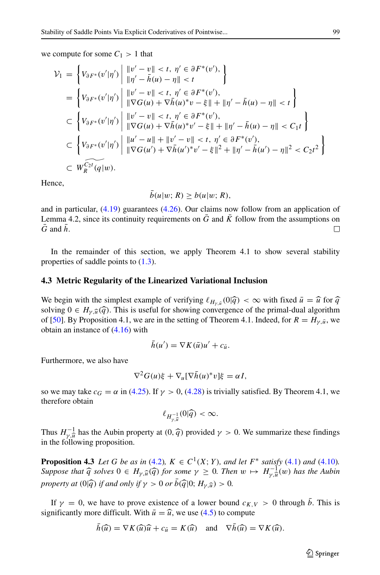we compute for some  $C_1 > 1$  that

$$
\mathcal{V}_{1} = \left\{ V_{\partial F^{*}}(v'|\eta') \middle| \begin{aligned} &\|v' - v\| < t, \ \eta' \in \partial F^{*}(v'), \\ &\|\eta' - \bar{h}(u) - \eta\| < t \end{aligned} \right\} \n= \left\{ V_{\partial F^{*}}(v'|\eta') \middle| \begin{aligned} &\|v' - v\| < t, \ \eta' \in \partial F^{*}(v'), \\ &\|\nabla G(u) + \nabla \bar{h}(u)^{*}v - \xi\| + \|\eta' - \bar{h}(u) - \eta\| < t \end{aligned} \right\} \n\subset \left\{ V_{\partial F^{*}}(v'|\eta') \middle| \begin{aligned} &\|v' - v\| < t, \ \eta' \in \partial F^{*}(v'), \\ &\|\nabla G(u) + \nabla \bar{h}(u)^{*}v' - \xi\| + \|\eta' - \bar{h}(u) - \eta\| < C_{1}t \end{aligned} \right\} \n\subset \left\{ V_{\partial F^{*}}(v'|\eta') \middle| \begin{aligned} &\|u' - u\| + \|\upsilon' - v\| < t, \ \eta' \in \partial F^{*}(v'), \\ &\|\nabla G(u') + \nabla \bar{h}(u')^{*}v' - \xi\|^{2} + \|\eta' - \bar{h}(u') - \eta\|^{2} < C_{2}t^{2} \end{aligned} \right\} \n\subset W_{R}^{\widehat{C_{2}t}}(q|w).
$$

Hence,

 $\bar{b}(u|w; R) > b(u|w; R),$ 

and in particular, [\(4.19\)](#page-27-0) guarantees [\(4.26\)](#page-28-4). Our claims now follow from an application of Lemma 4.2, since its continuity requirements on  $\overline{G}$  and  $\overline{K}$  follow from the assumptions on  $\bar{G}$  and  $\bar{h}$  $\Box$ 

In the remainder of this section, we apply Theorem 4.1 to show several stability properties of saddle points to [\(1.3\)](#page-1-1).

#### **4.3 Metric Regularity of the Linearized Variational Inclusion**

We begin with the simplest example of verifying  $\ell_{H_{\nu} u}(0|\hat{q}) < \infty$  with fixed  $\bar{u} = \hat{u}$  for  $\hat{q}$ solving  $0 \in H_{\nu}(\hat{q})$ . This is useful for showing convergence of the primal-dual algorithm of [\[50\]](#page-43-7). By Proposition 4.1, we are in the setting of Theorem 4.1. Indeed, for  $R = H_{\gamma,\bar{u}}$ , we obtain an instance of [\(4.16\)](#page-27-1) with

$$
\bar{h}(u') = \nabla K(\bar{u})u' + c_{\bar{u}}.
$$

Furthermore, we also have

$$
\nabla^2 G(u)\xi + \nabla_u[\nabla \bar{h}(u)^* v]\xi = \alpha I,
$$

so we may take  $c_G = \alpha$  in [\(4.25\)](#page-28-3). If  $\gamma > 0$ , [\(4.28\)](#page-28-2) is trivially satisfied. By Theorem 4.1, we therefore obtain

$$
\ell_{H^{-1}_{\gamma,\widehat{u}}}(0|\widehat{q}) < \infty.
$$

Thus  $H_{\gamma,\hat{u}}^{-1}$  has the Aubin property at  $(0, \hat{q})$  provided  $\gamma > 0$ . We summarize these findings in the following proposition in the following proposition.

**Proposition 4.3** *Let G be as in* [\(4.2\)](#page-22-5)*,*  $K \in C^1(X; Y)$ *, and let*  $F^*$  *satisfy* [\(4.1\)](#page-22-6) *and* [\(4.10\)](#page-24-1)*. Suppose that*  $\hat{q}$  *solves*  $0 \in H_{\gamma, \hat{u}}(\hat{q})$  *for some*  $\gamma \geq 0$ *. Then*  $w \mapsto H_{\gamma, \hat{u}}^{-1}(w)$  *has the Aubin numerate* at  $\frac{\partial |\hat{z}|^2}{\partial w^2}$  *for a sub if y*  $\infty$   $0 \text{ or } \hat{b}(\hat{z})0$ ,  $H_{\gamma, \hat{v}}(w) \geq 0$ *property at*  $(0|\hat{q})$  *if and only if*  $\gamma > 0$  *or*  $\bar{b}(\hat{q}|0; H_{\gamma, \hat{u}}) > 0$ .

If *γ* = 0, we have to prove existence of a lower bound  $c_{K,V}$  > 0 through  $b$ . This is significantly more difficult. With  $\bar{u} = \hat{u}$ , we use [\(4.5\)](#page-22-3) to compute

$$
h(\widehat{u}) = \nabla K(\widehat{u})\widehat{u} + c_{\widehat{u}} = K(\widehat{u}) \quad \text{and} \quad \nabla h(\widehat{u}) = \nabla K(\widehat{u}).
$$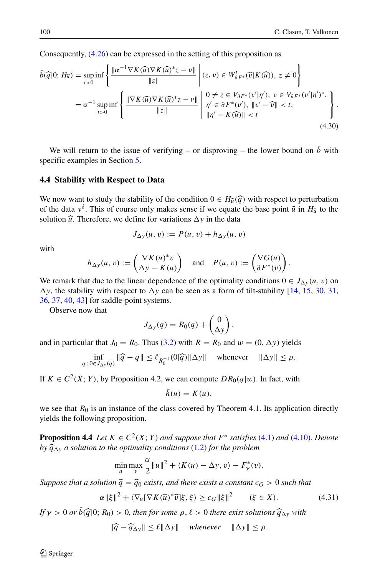Consequently, [\(4.26\)](#page-28-4) can be expressed in the setting of this proposition as

<span id="page-31-0"></span>
$$
\bar{b}(\widehat{q}|0; H_{\widehat{u}}) = \sup_{t>0} \inf \left\{ \frac{\|\alpha^{-1} \nabla K(\widehat{u}) \nabla K(\widehat{u})^* z - \nu\|}{\|z\|} \middle| (z, \nu) \in W_{\partial F^*}^t(\widehat{v}|K(\widehat{u})), z \neq 0 \right\}
$$
\n
$$
= \alpha^{-1} \sup_{t>0} \inf \left\{ \frac{\|\nabla K(\widehat{u}) \nabla K(\widehat{u})^* z - \nu\|}{\|z\|} \middle| \begin{array}{l} 0 \neq z \in V_{\partial F^*}(v'|\eta'), \nu \in V_{\partial F^*}(v'|\eta')^\circ, \\ \eta' \in \partial F^*(v'), \ \|v' - \widehat{v}\| < t, \\ \|\eta' - K(\widehat{u})\| < t \end{array} \right\} . \tag{4.30}
$$

We will return to the issue of verifying – or disproving – the lower bound on  $\bar{b}$  with specific examples in Section [5.](#page-33-0)

#### **4.4 Stability with Respect to Data**

We now want to study the stability of the condition  $0 \in H_{\hat{u}}(\hat{q})$  with respect to perturbation of the data  $y^{\delta}$ . This of course only makes sense if we equate the base point  $\bar{u}$  in  $H_{\bar{u}}$  to the solution  $\hat{u}$ . Therefore, we define for variations  $\Delta y$  in the data

$$
J_{\Delta y}(u,v) := P(u,v) + h_{\Delta y}(u,v)
$$

with

$$
h_{\Delta y}(u, v) := \begin{pmatrix} \nabla K(u)^* v \\ \Delta y - K(u) \end{pmatrix} \text{ and } P(u, v) := \begin{pmatrix} \nabla G(u) \\ \partial F^*(v) \end{pmatrix}.
$$

We remark that due to the linear dependence of the optimality conditions  $0 \in J_{\Delta y}(u, v)$  on  $\Delta y$ , the stability with respect to  $\Delta y$  can be seen as a form of tilt-stability [\[14,](#page-41-8) [15,](#page-41-9) [30,](#page-42-16) [31,](#page-42-13) [36,](#page-42-15) [37,](#page-42-17) [40,](#page-42-14) [43\]](#page-43-3) for saddle-point systems.

Observe now that

$$
J_{\Delta y}(q) = R_0(q) + \begin{pmatrix} 0 \\ \Delta y \end{pmatrix},
$$

and in particular that  $J_0 = R_0$ . Thus [\(3.2\)](#page-18-2) with  $R = R_0$  and  $w = (0, \Delta y)$  yields

$$
\inf_{q\,:\,0\in J_{\Delta y}(q)} \|\widehat{q}-q\| \leq \ell_{R_0^{-1}}(0|\widehat{q})\|\Delta y\| \quad \text{ whenever } \quad \|\Delta y\| \leq \rho.
$$

If  $K \in C^2(X; Y)$ , by Proposition 4.2, we can compute  $DR_0(q|w)$ . In fact, with

$$
h(u) = K(u),
$$

we see that  $R_0$  is an instance of the class covered by Theorem 4.1. Its application directly yields the following proposition.

**Proposition 4.4** *Let*  $K \in C^2(X; Y)$  *and suppose that*  $F^*$  *satisfies* [\(4.1\)](#page-22-6) *and* [\(4.10\)](#page-24-1)*. Denote by*  $\hat{q}_{\Delta y}$  *a solution to the optimality conditions* [\(1.2\)](#page-1-0) *for the problem* 

$$
\min_{u} \max_{v} \frac{\alpha}{2} ||u||^2 + \langle K(u) - \Delta y, v \rangle - F_{\gamma}^*(v).
$$

*Suppose that a solution*  $\hat{q} = \hat{q}_0$  *exists, and there exists a constant*  $c_G > 0$  *such that* 

<span id="page-31-1"></span>
$$
\alpha \|\xi\|^2 + \langle \nabla_u [\nabla K(\widehat{u})^* \widehat{v}]\xi, \xi \rangle \ge c_G \|\xi\|^2 \qquad (\xi \in X). \tag{4.31}
$$

*If*  $\gamma > 0$  *or*  $b(\widehat{q}|0; R_0) > 0$ , then for some  $\rho$ ,  $\ell > 0$  there exist solutions  $\widehat{q}_{\Delta y}$  with

$$
\|\widehat{q} - \widehat{q}_{\Delta y}\| \le \ell \|\Delta y\| \quad \text{whenever} \quad \|\Delta y\| \le \rho.
$$

 $\mathcal{D}$  Springer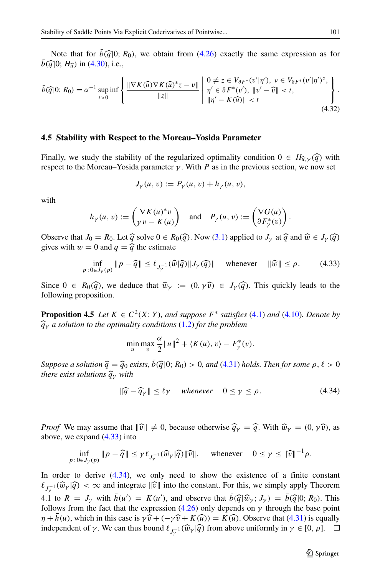Note that for  $\bar{b}(\bar{q})0$ ;  $R_0$ ), we obtain from [\(4.26\)](#page-28-4) exactly the same expression as for  $b(\widehat{q}|0; H_{\widehat{u}})$  in [\(4.30\)](#page-31-0), i.e.,

<span id="page-32-2"></span>
$$
\bar{b}(\widehat{q}|0;R_0) = \alpha^{-1} \sup_{t>0} \inf \left\{ \frac{\|\nabla K(\widehat{u})\nabla K(\widehat{u})^*z - \nu\|}{\|z\|} \middle| \begin{array}{l} 0 \neq z \in V_{\partial F^*}(v'|\eta'), \ \nu \in V_{\partial F^*}(v'|\eta')^{\circ}, \\ \eta' \in \partial F^*(v'), \ \|v' - \widehat{v}\| < t, \\ \|\eta' - K(\widehat{u})\| < t \end{array} \right\}.
$$
\n
$$
(4.32)
$$

#### **4.5 Stability with Respect to the Moreau–Yosida Parameter**

Finally, we study the stability of the regularized optimality condition  $0 \in H_{\hat{u},\gamma}(\hat{q})$  with respect to the Moreau–Yosida parameter  $\gamma$ . With *P* as in the previous section, we now set

$$
J_{\gamma}(u, v) := P_{\gamma}(u, v) + h_{\gamma}(u, v),
$$

with

$$
h_{\gamma}(u, v) := \begin{pmatrix} \nabla K(u)^* v \\ \gamma v - K(u) \end{pmatrix} \quad \text{and} \quad P_{\gamma}(u, v) := \begin{pmatrix} \nabla G(u) \\ \partial F_{\gamma}^*(v) \end{pmatrix}.
$$

Observe that  $J_0 = R_0$ . Let  $\hat{q}$  solve  $0 \in R_0(\hat{q})$ . Now [\(3.1\)](#page-17-1) applied to  $J_\gamma$  at  $\hat{q}$  and  $\hat{w} \in J_\gamma(\hat{q})$ gives with  $w = 0$  and  $q = \hat{q}$  the estimate

<span id="page-32-0"></span>
$$
\inf_{p: 0 \in J_{\gamma}(p)} \|p - \widehat{q}\| \le \ell_{J_{\gamma}^{-1}}(\widehat{w}|\widehat{q}) \| J_{\gamma}(\widehat{q})\| \quad \text{whenever} \quad \|\widehat{w}\| \le \rho. \tag{4.33}
$$

Since  $0 \in R_0(\widehat{q})$ , we deduce that  $\widehat{w}_\gamma := (0, \gamma \widehat{v}) \in J_\gamma(\widehat{q})$ . This quickly leads to the following proposition.

**Proposition 4.5** *Let*  $K \in C^2(X; Y)$ *, and suppose*  $F^*$  *satisfies* [\(4.1\)](#page-22-6) *and* [\(4.10\)](#page-24-1)*. Denote by qγ a solution to the optimality conditions* [\(1.2\)](#page-1-0) *for the problem*

$$
\min_{u} \max_{v} \frac{\alpha}{2} ||u||^2 + \langle K(u), v \rangle - F_{\gamma}^*(v).
$$

*Suppose a solution*  $\hat{q} = \hat{q}_0$  *exists,*  $\bar{b}(\hat{q}|0; R_0) > 0$ *, and* [\(4.31\)](#page-31-1) *holds. Then for some*  $\rho, \ell > 0$ *there exist solutions qγ with*

<span id="page-32-1"></span>
$$
\|\widehat{q} - \widehat{q}_{\gamma}\| \le \ell \gamma \quad whenever \quad 0 \le \gamma \le \rho. \tag{4.34}
$$

*Proof* We may assume that  $\|\hat{v}\| \neq 0$ , because otherwise  $\hat{q}_{\gamma} = \hat{q}$ . With  $\hat{w}_{\gamma} = (0, \gamma \hat{v})$ , as above we expand  $(4, 33)$  into above, we expand [\(4.33\)](#page-32-0) into

$$
\inf_{p\,:\,0\in J_{\gamma}(p)}\|p-\widehat{q}\|\leq \gamma \ell_{J_{\gamma}^{-1}}(\widehat{w}_{\gamma}|\widehat{q})\|\widehat{v}\|,\quad \text{ whenever }\quad 0\leq \gamma \leq \|\widehat{v}\|^{-1}\rho.
$$

In order to derive [\(4.34\)](#page-32-1), we only need to show the existence of a finite constant  $\ell_{J_{\gamma}^{-1}}(\widehat{w}_{\gamma}|\widehat{q}) < \infty$  and integrate  $\|\widehat{v}\|$  into the constant. For this, we simply apply Theorem 4.1 to  $R = J_\gamma$  with  $h(u') = K(u')$ , and observe that  $b(\widehat{q}|\widehat{w}_\gamma; J_\gamma) = b(\widehat{q}|0; R_0)$ . This follows from the fact that the expression (4.26) only depends on  $\gamma$  through the base point follows from the fact that the expression  $(4.26)$  only depends on  $\gamma$  through the base point  $\eta + \bar{h}(u)$ , which in this case is  $\gamma \hat{v} + (-\gamma \hat{v} + K(\hat{u})) = K(\hat{u})$ . Observe that [\(4.31\)](#page-31-1) is equally independent of *γ*. We can thus bound  $\ell_{J_v^{-1}}(\widehat{w}_{\gamma}|\widehat{q})$  from above uniformly in  $\gamma \in [0, \rho]$ .  $\Box$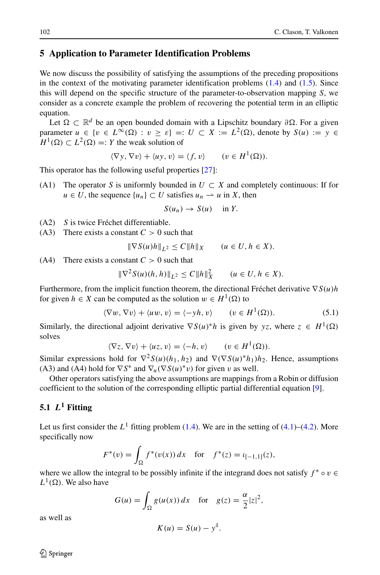### <span id="page-33-0"></span>**5 Application to Parameter Identification Problems**

We now discuss the possibility of satisfying the assumptions of the preceding propositions in the context of the motivating parameter identification problems  $(1.4)$  and  $(1.5)$ . Since this will depend on the specific structure of the parameter-to-observation mapping *S*, we consider as a concrete example the problem of recovering the potential term in an elliptic equation.

Let  $Ω ⊂ ℝ<sup>d</sup>$  be an open bounded domain with a Lipschitz boundary  $∂Ω$ . For a given parameter  $u \in \{v \in L^{\infty}(\Omega) : v \ge \varepsilon\} =: U \subset X := L^{2}(\Omega)$ , denote by  $S(u) := y \in$  $H^1(\Omega) \subset L^2(\Omega) =: Y$  the weak solution of

$$
\langle \nabla y, \nabla v \rangle + \langle u y, v \rangle = \langle f, v \rangle \qquad (v \in H^1(\Omega)).
$$

This operator has the following useful properties [\[27\]](#page-42-21):

(A1) The operator *S* is uniformly bounded in  $U \subset X$  and completely continuous: If for *u* ∈ *U*, the sequence {*u<sub>n</sub>*} ⊂ *U* satisfies *u<sub>n</sub>*  $\rightarrow$  *u* in *X*, then

$$
S(u_n) \to S(u) \quad \text{in } Y.
$$

- (A2) *S* is twice Fréchet differentiable.
- (A3) There exists a constant  $C > 0$  such that

$$
\|\nabla S(u)h\|_{L^2} \le C\|h\|_X \qquad (u \in U, h \in X).
$$

(A4) There exists a constant  $C > 0$  such that

$$
\|\nabla^2 S(u)(h, h)\|_{L^2} \le C \|h\|_X^2 \qquad (u \in U, h \in X).
$$

Furthermore, from the implicit function theorem, the directional Fréchet derivative  $∇ S(u)h$ for given  $h \in X$  can be computed as the solution  $w \in H^1(\Omega)$  to

<span id="page-33-2"></span>
$$
\langle \nabla w, \nabla v \rangle + \langle uw, v \rangle = \langle -yh, v \rangle \qquad (v \in H^1(\Omega)). \tag{5.1}
$$

Similarly, the directional adjoint derivative  $\nabla S(u)^*h$  is given by *yz*, where  $z \in H^1(\Omega)$ solves

$$
\langle \nabla z, \nabla v \rangle + \langle uz, v \rangle = \langle -h, v \rangle \qquad (v \in H^1(\Omega)).
$$

Similar expressions hold for  $\nabla^2 S(u)(h_1, h_2)$  and  $\nabla(\nabla S(u)^*h_1)h_2$ . Hence, assumptions (A3) and (A4) hold for  $\nabla S^*$  and  $\nabla_u(\nabla S(u)^*v)$  for given *v* as well.

Other operators satisfying the above assumptions are mappings from a Robin or diffusion coefficient to the solution of the corresponding elliptic partial differential equation [\[9\]](#page-41-0).

### <span id="page-33-1"></span>**5.1** *L***<sup>1</sup> Fitting**

Let us first consider the  $L^1$  fitting problem [\(1.4\)](#page-1-2). We are in the setting of [\(4.1\)](#page-22-6)–[\(4.2\)](#page-22-5). More specifically now

$$
F^*(v) = \int_{\Omega} f^*(v(x)) dx \quad \text{for} \quad f^*(z) = \iota_{[-1,1]}(z),
$$

where we allow the integral to be possibly infinite if the integrand does not satisfy  $f^* \circ v \in$  $L^1(\Omega)$ . We also have

$$
G(u) = \int_{\Omega} g(u(x)) dx \quad \text{for} \quad g(z) = \frac{\alpha}{2}|z|^2,
$$

as well as

$$
K(u) = S(u) - y^{\delta}.
$$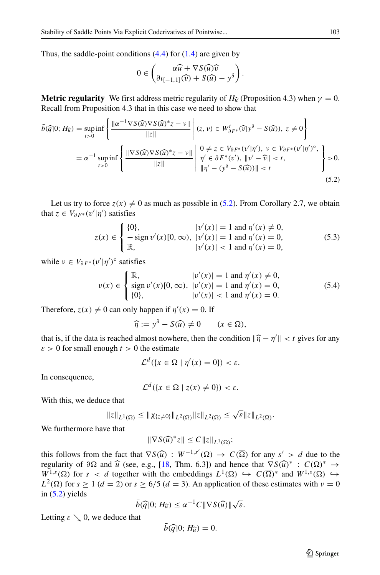Thus, the saddle-point conditions  $(4.4)$  for  $(1.4)$  are given by

$$
0 \in \begin{pmatrix} \alpha \widehat{u} + \nabla S(\widehat{u}) \widehat{v} \\ \partial t_{[-1,1]}(\widehat{v}) + S(\widehat{u}) - y^{\delta} \end{pmatrix}.
$$

**Metric regularity** We first address metric regularity of  $H_{\hat{u}}$  (Proposition 4.3) when  $\gamma = 0$ . Recall from Proposition 4.3 that in this case we need to show that

<span id="page-34-0"></span>
$$
\bar{b}(\widehat{q}|0; H_{\widehat{u}}) = \sup_{t>0} \inf \left\{ \frac{\Vert \alpha^{-1} \nabla S(\widehat{u}) \nabla S(\widehat{u})^* z - \nu \Vert}{\Vert z \Vert} \middle| (z, \nu) \in W_{\delta F^*}^t(\widehat{v}|y^{\delta} - S(\widehat{u})), z \neq 0 \right\}
$$
\n
$$
= \alpha^{-1} \sup_{t>0} \inf \left\{ \frac{\Vert \nabla S(\widehat{u}) \nabla S(\widehat{u})^* z - \nu \Vert}{\Vert z \Vert} \middle| \begin{array}{l} 0 \neq z \in V_{\delta F^*}(v'|\eta'), \ \nu \in V_{\delta F^*}(v'|\eta')^{\circ}, \\ \eta' \in \partial F^*(v'), \ \Vert v' - \widehat{v} \Vert < t, \\ \Vert \eta' - (y^{\delta} - S(\widehat{u})) \Vert < t \end{array} \right\} > 0.
$$
\n(5.2)

Let us try to force  $z(x) \neq 0$  as much as possible in [\(5.2\)](#page-34-0). From Corollary 2.7, we obtain that  $z \in V_{\partial F^*}(v'|\eta')$  satisfies

<span id="page-34-1"></span>
$$
z(x) \in \begin{cases} \{0\}, & |v'(x)| = 1 \text{ and } \eta'(x) \neq 0, \\ -\text{sign } v'(x)[0, \infty), & |v'(x)| = 1 \text{ and } \eta'(x) = 0, \\ \mathbb{R}, & |v'(x)| < 1 \text{ and } \eta'(x) = 0, \end{cases}
$$
(5.3)

while  $\nu \in V_{\partial F^*}(v'|\eta')^{\circ}$  satisfies

<span id="page-34-2"></span>
$$
\nu(x) \in \begin{cases} \mathbb{R}, & |v'(x)| = 1 \text{ and } \eta'(x) \neq 0, \\ \text{sign } v'(x)[0, \infty), & |v'(x)| = 1 \text{ and } \eta'(x) = 0, \\ \{0\}, & |v'(x)| < 1 \text{ and } \eta'(x) = 0. \end{cases} \tag{5.4}
$$

Therefore,  $z(x) \neq 0$  can only happen if  $\eta'(x) = 0$ . If

$$
\widehat{\eta} := y^{\delta} - S(\widehat{u}) \neq 0 \qquad (x \in \Omega),
$$

that is, if the data is reached almost nowhere, then the condition  $\|\hat{\eta} - \eta'\| < t$  gives for any  $s > 0$  for small enough  $t > 0$  the estimate  $\epsilon > 0$  for small enough  $t > 0$  the estimate

$$
\mathcal{L}^d(\{x \in \Omega \mid \eta'(x) = 0\}) < \varepsilon.
$$

In consequence,

$$
\mathcal{L}^d(\{x \in \Omega \mid z(x) \neq 0\}) < \varepsilon.
$$

With this, we deduce that

$$
||z||_{L^1(\Omega)} \leq ||\chi_{\{z\neq 0\}}||_{L^2(\Omega)} ||z||_{L^2(\Omega)} \leq \sqrt{\varepsilon} ||z||_{L^2(\Omega)}.
$$

We furthermore have that

$$
\|\nabla S(\widehat{u})^*z\| \le C \|z\|_{L^1(\Omega)};
$$

this follows from the fact that  $\nabla S(\hat{u}) : W^{-1,s'}(\Omega) \to C(\overline{\Omega})$  for any  $s' > d$  due to the reqularity of  $\partial \Omega$  and  $\hat{u}$  (see e.g. [18] Thm. 6.31) and hence that  $\nabla S(\hat{u})^* \to C(\Omega)^* \to C(\overline{\Omega})^*$ regularity of  $\partial\Omega$  and  $\hat{u}$  (see, e.g., [\[18,](#page-42-22) Thm. 6.3]) and hence that  $\nabla S(\hat{u})^* : C(\Omega)^* \to W^{1,s}(O)$  for  $s \leq d$  together with the embeddings  $I^1(O) \hookrightarrow C(\overline{O})^*$  and  $W^{1,s}(O) \hookrightarrow$  $W^{1,s}(\Omega)$  for  $s < d$  together with the embeddings  $L^1(\Omega) \hookrightarrow C(\overline{\Omega})^*$  and  $W^{1,s}(\Omega) \hookrightarrow$  $L^2(\Omega)$  for  $s \ge 1$  ( $d = 2$ ) or  $s \ge 6/5$  ( $d = 3$ ). An application of these estimates with  $v = 0$ in  $(5.2)$  yields

$$
\bar{b}(\widehat{q}|0; H_{\widehat{u}}) \leq \alpha^{-1} C \|\nabla S(\widehat{u})\| \sqrt{\varepsilon}.
$$

Letting  $\varepsilon \searrow 0$ , we deduce that

$$
\bar{b}(\widehat{q}|0;H_{\widehat{u}})=0.
$$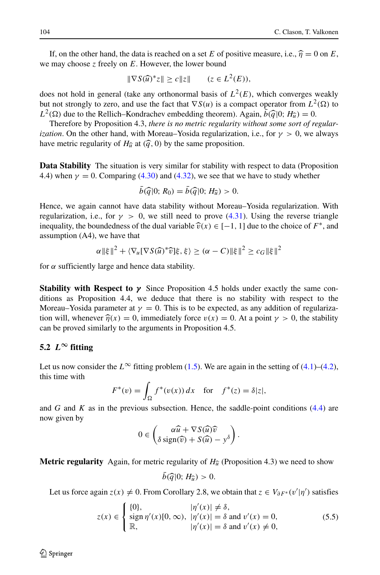If, on the other hand, the data is reached on a set *E* of positive measure, i.e.,  $\hat{\eta} = 0$  on *E*, we may choose *z* freely on *E*. However, the lower bound

$$
\|\nabla S(\widehat{u})^* z\| \ge c \|z\| \qquad (z \in L^2(E)),
$$

does not hold in general (take any orthonormal basis of  $L^2(E)$ , which converges weakly but not strongly to zero, and use the fact that  $\nabla S(u)$  is a compact operator from  $L^2(\Omega)$  to  $L^2(\Omega)$  due to the Rellich–Kondrachev embedding theorem). Again,  $\bar{b}(\bar{q}|0; H_{\bar{u}}) = 0$ .<br>Therefore by Proposition 4.3, there is no metric regularity without some sort of re

Therefore by Proposition 4.3, *there is no metric regularity without some sort of regularization*. On the other hand, with Moreau–Yosida regularization, i.e., for  $\gamma > 0$ , we always have metric regularity of  $H_{\hat{u}}$  at  $(\hat{q}, 0)$  by the same proposition.

**Data Stability** The situation is very similar for stability with respect to data (Proposition 4.4) when  $\gamma = 0$ . Comparing [\(4.30\)](#page-31-0) and [\(4.32\)](#page-32-2), we see that we have to study whether

$$
\bar{b}(\widehat{q}|0;R_0)=\bar{b}(\widehat{q}|0;H_{\widehat{u}})>0.
$$

Hence, we again cannot have data stability without Moreau–Yosida regularization. With regularization, i.e., for  $\gamma > 0$ , we still need to prove [\(4.31\)](#page-31-1). Using the reverse triangle inequality, the boundedness of the dual variable  $\hat{v}(x) \in [-1, 1]$  due to the choice of  $F^*$ , and assumption (A4), we have that

$$
\alpha \|\xi\|^2 + \langle \nabla_u [\nabla S(\widehat{u})^* \widehat{v}]\xi, \xi \rangle \geq (\alpha - C) \|\xi\|^2 \geq c_G \|\xi\|^2
$$

for  $\alpha$  sufficiently large and hence data stability.

**Stability with Respect to**  $\gamma$  Since Proposition 4.5 holds under exactly the same conditions as Proposition 4.4, we deduce that there is no stability with respect to the Moreau–Yosida parameter at  $\gamma = 0$ . This is to be expected, as any addition of regularization will, whenever  $\hat{\eta}(x) = 0$ , immediately force  $v(x) = 0$ . At a point  $\gamma > 0$ , the stability can be proved similarly to the arguments in Proposition 4.5.

#### 5.2  $L^\infty$  fitting

Let us now consider the  $L^{\infty}$  fitting problem [\(1.5\)](#page-1-3). We are again in the setting of [\(4.1\)](#page-22-6)–[\(4.2\)](#page-22-5), this time with

$$
F^*(v) = \int_{\Omega} f^*(v(x)) dx \quad \text{for} \quad f^*(z) = \delta |z|,
$$

and *G* and *K* as in the previous subsection. Hence, the saddle-point conditions  $(4.4)$  are now given by

$$
0 \in \begin{pmatrix} \alpha \widehat{u} + \nabla S(\widehat{u})\widehat{v} \\ \delta \operatorname{sign}(\widehat{v}) + S(\widehat{u}) - y^{\delta} \end{pmatrix}.
$$

**Metric regularity** Again, for metric regularity of  $H_{\hat{u}}$  (Proposition 4.3) we need to show

$$
b(\widehat{q}|0;H_{\widehat{u}})>0.
$$

Let us force again  $z(x) \neq 0$ . From Corollary 2.8, we obtain that  $z \in V_{\partial}F^*(v'|\eta')$  satisfies

<span id="page-35-0"></span>
$$
z(x) \in \begin{cases} \{0\}, & |\eta'(x)| \neq \delta, \\ \text{sign}\,\eta'(x)[0,\infty), & |\eta'(x)| = \delta \text{ and } v'(x) = 0, \\ \mathbb{R}, & |\eta'(x)| = \delta \text{ and } v'(x) \neq 0, \end{cases}
$$
(5.5)

 $\mathcal{D}$  Springer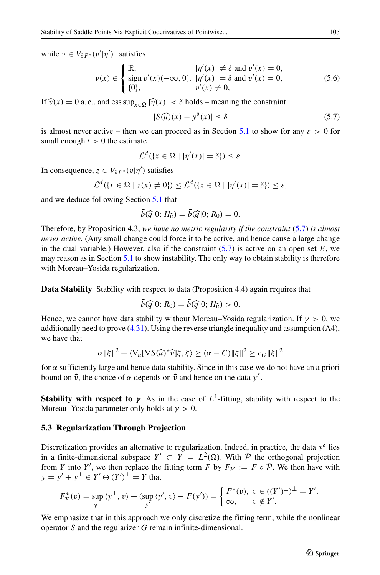while  $v \in V_{\partial F^*}(v'|\eta')^{\circ}$  satisfies

<span id="page-36-2"></span>
$$
\nu(x) \in \begin{cases} \mathbb{R}, & |\eta'(x)| \neq \delta \text{ and } v'(x) = 0, \\ \text{sign } v'(x)(-\infty, 0], & |\eta'(x)| = \delta \text{ and } v'(x) = 0, \\ \{0\}, & v'(x) \neq 0, \end{cases}
$$
(5.6)

If  $\widehat{v}(x) = 0$  a. e., and ess  $\sup_{x \in \Omega} |\widehat{\eta}(x)| < \delta$  holds – meaning the constraint

<span id="page-36-1"></span>
$$
|S(\widehat{u})(x) - y^{\delta}(x)| \le \delta \tag{5.7}
$$

is almost never active – then we can proceed as in Section [5.1](#page-33-1) to show for any  $\varepsilon > 0$  for small enough  $t > 0$  the estimate

$$
\mathcal{L}^d(\{x \in \Omega \mid |\eta'(x)| = \delta\}) \le \varepsilon.
$$

In consequence,  $z \in V_{\partial F^*}(v|\eta')$  satisfies

$$
\mathcal{L}^d(\{x \in \Omega \mid z(x) \neq 0\}) \le \mathcal{L}^d(\{x \in \Omega \mid |\eta'(x)| = \delta\}) \le \varepsilon,
$$

and we deduce following Section [5.1](#page-33-1) that

$$
\bar{b}(\widehat{q}|0; H_{\widehat{u}}) = \bar{b}(\widehat{q}|0; R_0) = 0.
$$

Therefore, by Proposition 4.3, *we have no metric regularity if the constraint* [\(5.7\)](#page-36-1) *is almost never active.* (Any small change could force it to be active, and hence cause a large change in the dual variable.) However, also if the constraint  $(5.7)$  is active on an open set  $E$ , we may reason as in Section [5.1](#page-33-1) to show instability. The only way to obtain stability is therefore with Moreau–Yosida regularization.

**Data Stability** Stability with respect to data (Proposition 4.4) again requires that

$$
b(\widehat{q}|0; R_0) = b(\widehat{q}|0; H_{\widehat{u}}) > 0.
$$

Hence, we cannot have data stability without Moreau–Yosida regularization. If  $\gamma > 0$ , we additionally need to prove  $(4.31)$ . Using the reverse triangle inequality and assumption  $(A4)$ , we have that

$$
\alpha \|\xi\|^2 + \langle \nabla_u [\nabla S(\widehat{u})^* \widehat{v}]\xi, \xi \rangle \geq (\alpha - C) \|\xi\|^2 \geq c_G \|\xi\|^2
$$

for *α* sufficiently large and hence data stability. Since in this case we do not have an a priori bound on  $\hat{v}$ , the choice of *α* depends on  $\hat{v}$  and hence on the data  $y^{\delta}$ .

**Stability with respect to**  $\gamma$  As in the case of  $L^1$ -fitting, stability with respect to the Moreau–Yosida parameter only holds at *γ >* 0.

#### <span id="page-36-0"></span>**5.3 Regularization Through Projection**

Discretization provides an alternative to regularization. Indeed, in practice, the data  $y^{\delta}$  lies in a finite-dimensional subspace  $Y' \subset Y = L^2(\Omega)$ . With P the orthogonal projection from *Y* into *Y'*, we then replace the fitting term *F* by  $F_{\mathcal{P}} := F \circ \mathcal{P}$ . We then have with *y* = *y*′ + *y*<sup>⊥</sup> ∈ *Y*′ ⊕  $(Y')$ <sup>⊥</sup> = *Y* that

$$
F_{\mathcal{P}}^*(v) = \sup_{y^{\perp}} \langle y^{\perp}, v \rangle + (\sup_{y'} \langle y', v \rangle - F(y')) = \begin{cases} F^*(v), & v \in ((Y')^{\perp})^{\perp} = Y', \\ \infty, & v \notin Y'. \end{cases}
$$

We emphasize that in this approach we only discretize the fitting term, while the nonlinear operator *S* and the regularizer *G* remain infinite-dimensional.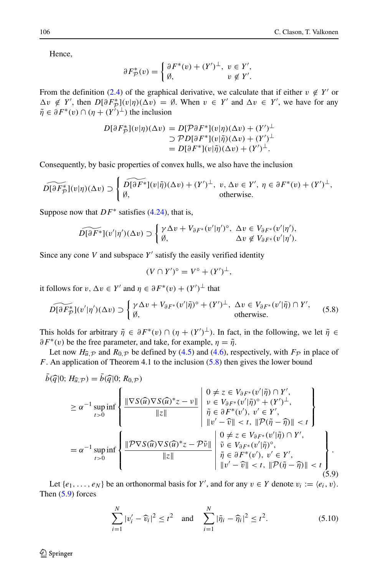Hence,

$$
\partial F_{\mathcal{P}}^*(v) = \begin{cases} \partial F^*(v) + (Y')^{\perp}, & v \in Y', \\ \emptyset, & v \notin Y'. \end{cases}
$$

From the definition [\(2.4\)](#page-4-0) of the graphical derivative, we calculate that if either  $v \notin Y'$  or  $\Delta v \notin Y'$ , then  $D[\partial F^*_{\mathcal{P}}](v|\eta)(\Delta v) = \emptyset$ . When  $v \in Y'$  and  $\Delta v \in Y'$ , we have for any  $\tilde{\eta} \in \partial F^*(v) \cap (\eta + (Y')^{\perp})$  the inclusion

$$
D[\partial F_{\mathcal{P}}^*](v|\eta)(\Delta v) = D[\mathcal{P}\partial F^*](v|\eta)(\Delta v) + (Y')^{\perp}
$$
  
\n
$$
\supset \mathcal{P}D[\partial F^*](v|\tilde{\eta})(\Delta v) + (Y')^{\perp}
$$
  
\n
$$
= D[\partial F^*](v|\tilde{\eta})(\Delta v) + (Y')^{\perp}.
$$

Consequently, by basic properties of convex hulls, we also have the inclusion

$$
\widetilde{D[\partial F^*_{\mathcal{P}}]}(v|\eta)(\Delta v) \supset \begin{cases} \widetilde{D[\partial F^*]}(v|\tilde{\eta})(\Delta v) + (Y')^{\perp}, & v, \Delta v \in Y', \ \eta \in \partial F^*(v) + (Y')^{\perp}, \\ \emptyset, & \text{otherwise.} \end{cases}
$$

Suppose now that *DF*∗ satisfies [\(4.24\)](#page-28-0), that is,

<span id="page-37-0"></span>
$$
\widetilde{D[\partial F^*]}(v'|\eta')(\Delta v) \supset \begin{cases} \gamma \Delta v + V_{\partial F^*}(v'|\eta')^{\circ}, \ \Delta v \in V_{\partial F^*}(v'|\eta'),\\ \emptyset, \quad \Delta v \notin V_{\partial F^*}(v'|\eta'). \end{cases}
$$

Since any cone  $V$  and subspace  $Y'$  satisfy the easily verified identity

$$
(V \cap Y')^{\circ} = V^{\circ} + (Y')^{\perp},
$$

it follows for  $v, \Delta v \in Y'$  and  $\eta \in \partial F^*(v) + (Y')^{\perp}$  that

$$
\widetilde{D[\partial F_{\mathcal{P}}^*](v'|\eta')(\Delta v)} \supset \begin{cases} \gamma \Delta v + V_{\partial F^*}(v'|\tilde{\eta})^{\circ} + (Y')^{\perp}, \ \Delta v \in V_{\partial F^*}(v'|\tilde{\eta}) \cap Y', \\ \emptyset, \qquad \text{otherwise.} \end{cases} (5.8)
$$

This holds for arbitrary  $\tilde{\eta} \in \partial F^*(v) \cap (\eta + (Y')^{\perp})$ . In fact, in the following, we let  $\tilde{\eta} \in$  $\partial F^*(v)$  be the free parameter, and take, for example,  $\eta = \tilde{\eta}$ .

Let now  $H_{\hat{u},\mathcal{P}}$  and  $R_{0,\mathcal{P}}$  be defined by [\(4.5\)](#page-22-3) and [\(4.6\)](#page-23-2), respectively, with  $F_{\mathcal{P}}$  in place of *F*. An application of Theorem 4.1 to the inclusion [\(5.8\)](#page-37-0) then gives the lower bound

<span id="page-37-1"></span>
$$
\bar{b}(\widehat{q}|0; H_{\widehat{u}, \mathcal{P}}) = \bar{b}(\widehat{q}|0; R_{0, \mathcal{P}})
$$
\n
$$
\geq \alpha^{-1} \sup_{t>0} \inf \left\{ \frac{\|\nabla S(\widehat{u})\nabla S(\widehat{u})^*z - \nu\|}{\|z\|} \middle| \begin{array}{l} 0 \neq z \in V_{\partial F^*}(v'|\widetilde{\eta}) \cap Y', \\ \nu \in V_{\partial F^*}(v'|\widetilde{\eta})^\circ + (Y')^\perp, \\ \widetilde{\eta} \in \partial F^*(v'), \ v' \in Y', \\ \Vert v' - \widehat{v} \Vert < t, \Vert \mathcal{P}(\widetilde{\eta} - \widehat{\eta}) \Vert < t \end{array} \right\}
$$
\n
$$
= \alpha^{-1} \sup_{t>0} \inf \left\{ \frac{\Vert \mathcal{P} \nabla S(\widehat{u}) \nabla S(\widehat{u})^*z - \mathcal{P}\widetilde{\nu} \Vert}{\Vert z \Vert} \middle| \begin{array}{l} 0 \neq z \in V_{\partial F^*}(v'|\widetilde{\eta}) \cap Y', \\ \widetilde{v} \in V_{\partial F^*}(v'|\widetilde{\eta}) \cap Y', \\ \widetilde{v} \in V_{\partial F^*}(v'|\widetilde{\eta})^\circ, \\ \widetilde{\eta} \in \partial F^*(v'), \ v' \in Y', \\ \Vert v' - \widehat{v} \Vert < t, \Vert \mathcal{P}(\widetilde{\eta} - \widehat{\eta}) \Vert < t \end{array} \right\}.
$$
\n
$$
(5.9)
$$

Let  $\{e_1, \ldots, e_N\}$  be an orthonormal basis for *Y'*, and for any  $v \in Y$  denote  $v_i := \langle e_i, v \rangle$ . Then [\(5.9\)](#page-37-1) forces

<span id="page-37-2"></span>
$$
\sum_{i=1}^{N} |v'_i - \widehat{v}_i|^2 \le t^2 \quad \text{and} \quad \sum_{i=1}^{N} |\widetilde{\eta}_i - \widehat{\eta}_i|^2 \le t^2. \tag{5.10}
$$

 $\mathcal{D}$  Springer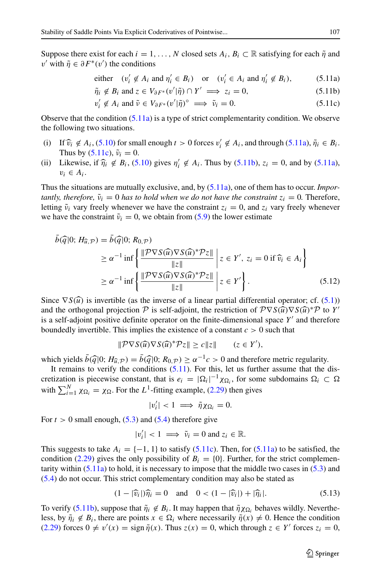Suppose there exist for each  $i = 1, \ldots, N$  closed sets  $A_i, B_i \subset \mathbb{R}$  satisfying for each  $\tilde{\eta}$  and *v*' with  $\tilde{\eta} \in \partial F^*(v')$  the conditions

either 
$$
(v'_i \notin A_i \text{ and } \eta'_i \in B_i)
$$
 or  $(v'_i \in A_i \text{ and } \eta'_i \notin B_i)$ , (5.11a)

$$
\tilde{\eta}_i \notin B_i \text{ and } z \in V_{\partial F^*}(v' | \tilde{\eta}) \cap Y' \implies z_i = 0,
$$
\n(5.11b)

$$
v_i' \notin A_i \text{ and } \tilde{\nu} \in V_{\partial F^*}(v' | \tilde{\eta})^{\circ} \implies \tilde{\nu}_i = 0. \tag{5.11c}
$$

Observe that the condition  $(5.11a)$  is a type of strict complementarity condition. We observe the following two situations.

- (i) If  $\hat{v}_i \notin A_i$ , [\(5.10\)](#page-37-2) for small enough  $t > 0$  forces  $v'_i \notin A_i$ , and through [\(5.11a\)](#page-33-2),  $\tilde{\eta}_i \in B_i$ .<br>Thus by (5.11c)  $\tilde{v}_i = 0$ Thus by  $(5.11c)$ ,  $\tilde{v}_i = 0$ .
- (ii) Likewise, if  $\hat{\eta}_i \notin B_i$ , [\(5.10\)](#page-37-2) gives  $\eta'_i \notin A_i$ . Thus by [\(5.11b\)](#page-33-2),  $z_i = 0$ , and by [\(5.11a\)](#page-33-2),  $v_i \in A_i$ .

Thus the situations are mutually exclusive, and, by [\(5.11a\)](#page-33-2), one of them has to occur. *Importantly, therefore,*  $\tilde{v}_i = 0$  *has to hold when we do not have the constraint*  $z_i = 0$ . Therefore, letting  $\tilde{v}_i$  vary freely whenever we have the constraint  $z_i = 0$ , and  $z_i$  vary freely whenever we have the constraint  $\tilde{\nu}_i = 0$ , we obtain from [\(5.9\)](#page-37-1) the lower estimate

$$
b(\widehat{q}|0; H_{\widehat{u}, \mathcal{P}}) = b(\widehat{q}|0; R_{0, \mathcal{P}})
$$
  
\n
$$
\geq \alpha^{-1} \inf \left\{ \frac{\|\mathcal{P} \nabla S(\widehat{u}) \nabla S(\widehat{u})^* \mathcal{P} z\|}{\|z\|} \middle| z \in Y', z_i = 0 \text{ if } \widehat{v}_i \in A_i \right\}
$$
  
\n
$$
\geq \alpha^{-1} \inf \left\{ \frac{\|\mathcal{P} \nabla S(\widehat{u}) \nabla S(\widehat{u})^* \mathcal{P} z\|}{\|z\|} \middle| z \in Y' \right\}. \tag{5.12}
$$

<span id="page-38-0"></span>Since  $\nabla S(\hat{u})$  is invertible (as the inverse of a linear partial differential operator; cf. [\(5.1\)](#page-33-2)) and the orthogonal projection  $\mathcal P$  is self-adjoint, the restriction of  $\mathcal P \nabla S(\widehat{u}) \nabla S(\widehat{u})^* \mathcal P$  to *Y'* is a self-adjoint positive definite operator on the finite-dimensional space  $Y'$  and therefore boundedly invertible. This implies the existence of a constant *c >* 0 such that

$$
\|\mathcal{P}\nabla S(\widehat{u})\nabla S(\widehat{u})^*\mathcal{P}z\| \ge c\|z\| \qquad (z \in Y'),
$$

which yields  $\bar{b}(\hat{q}|0; H_{\hat{u}, \mathcal{P}}) = \bar{b}(\hat{q}|0; R_{0, \mathcal{P}}) \ge \alpha^{-1}c > 0$  and therefore metric regularity.

It remains to verify the conditions  $(5.11)$ . For this, let us further assume that the discretization is piecewise constant, that is  $e_i = |\Omega_i|^{-1} \chi_{\Omega_i}$ , for some subdomains  $\Omega_i \subset \Omega$ with  $\sum_{i=1}^{N} \chi_{\Omega_i} = \chi_{\Omega}$ . For the *L*<sup>1</sup>-fitting example, [\(2.29\)](#page-14-1) then gives

$$
|v_i'|<1 \implies \tilde{\eta}\chi_{\Omega_i}=0.
$$

For  $t > 0$  small enough,  $(5.3)$  and  $(5.4)$  therefore give

$$
|v'_i| < 1 \implies \tilde{v}_i = 0 \text{ and } z_i \in \mathbb{R}.
$$

This suggests to take  $A_i = \{-1, 1\}$  to satisfy [\(5.11c\)](#page-33-2). Then, for [\(5.11a\)](#page-33-2) to be satisfied, the condition [\(2.29\)](#page-14-1) gives the only possibility of  $B_i = \{0\}$ . Further, for the strict complementarity within  $(5.11a)$  to hold, it is necessary to impose that the middle two cases in  $(5.3)$  and [\(5.4\)](#page-34-2) do not occur. This strict complementary condition may also be stated as

<span id="page-38-1"></span>
$$
(1 - |\widehat{v}_i|)\widehat{\eta}_i = 0 \quad \text{and} \quad 0 < (1 - |\widehat{v}_i|) + |\widehat{\eta}_i|. \tag{5.13}
$$

To verify [\(5.11b\)](#page-33-2), suppose that  $\tilde{\eta}_i \notin B_i$ . It may happen that  $\tilde{\eta} \chi_{\Omega_i}$  behaves wildly. Nevertheless, by  $\tilde{\eta}_i \notin B_i$ , there are points  $x \in \Omega_i$  where necessarily  $\tilde{\eta}(x) \neq 0$ . Hence the condition  $(2.29)$  forces  $0 \neq v'(x) = \text{sign } \tilde{\eta}(x)$ . Thus  $z(x) = 0$ , which through  $z \in Y'$  forces  $z_i = 0$ ,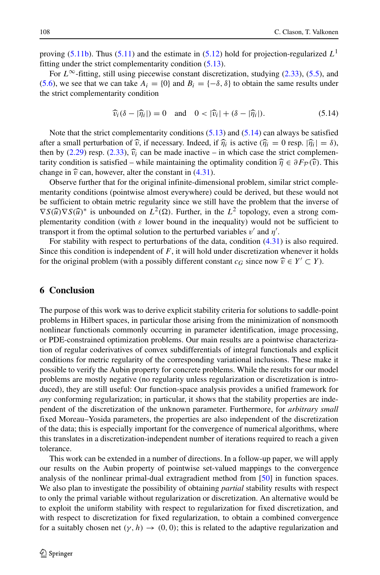proving [\(5.11b\)](#page-33-2). Thus (5.11) and the estimate in [\(5.12\)](#page-38-0) hold for projection-regularized  $L<sup>1</sup>$ fitting under the strict complementarity condition [\(5.13\)](#page-38-1).

For  $L^{\infty}$ -fitting, still using piecewise constant discretization, studying [\(2.33\)](#page-16-0), [\(5.5\)](#page-35-0), and [\(5.6\)](#page-36-2), we see that we can take  $A_i = \{0\}$  and  $B_i = \{-\delta, \delta\}$  to obtain the same results under the strict complementarity condition

<span id="page-39-0"></span>
$$
\widehat{v}_i(\delta - |\widehat{\eta}_i|) = 0 \quad \text{and} \quad 0 < |\widehat{v}_i| + (\delta - |\widehat{\eta}_i|). \tag{5.14}
$$

Note that the strict complementarity conditions  $(5.13)$  and  $(5.14)$  can always be satisfied after a small perturbation of  $\hat{v}$ , if necessary. Indeed, if  $\hat{\eta}_i$  is active ( $\hat{\eta}_i = 0$  resp.  $|\hat{\eta}_i| = \delta$ ), then by [\(2.29\)](#page-14-1) resp. [\(2.33\)](#page-16-0),  $\hat{v}_i$  can be made inactive – in which case the strict complementarity condition is satisfied – while maintaining the optimality condition  $\hat{\eta} \in \partial F_{\mathcal{P}}(\hat{v})$ . This change in  $\hat{v}$  can, however, alter the constant in [\(4.31\)](#page-31-1).

Observe further that for the original infinite-dimensional problem, similar strict complementarity conditions (pointwise almost everywhere) could be derived, but these would not be sufficient to obtain metric regularity since we still have the problem that the inverse of  $\nabla S(\widehat{u}) \nabla S(\widehat{u})^*$  is unbounded on  $L^2(\Omega)$ . Further, in the  $L^2$  topology, even a strong com-<br>plementarity condition (with a lower bound in the inequality) would not be sufficient to plementarity condition (with *ε* lower bound in the inequality) would not be sufficient to transport it from the optimal solution to the perturbed variables  $v'$  and  $\eta'$ .

For stability with respect to perturbations of the data, condition  $(4.31)$  is also required. Since this condition is independent of *F*, it will hold under discretization whenever it holds for the original problem (with a possibly different constant  $c_G$  since now  $\hat{v} \in Y' \subset Y$ ).

#### **6 Conclusion**

The purpose of this work was to derive explicit stability criteria for solutions to saddle-point problems in Hilbert spaces, in particular those arising from the minimization of nonsmooth nonlinear functionals commonly occurring in parameter identification, image processing, or PDE-constrained optimization problems. Our main results are a pointwise characterization of regular coderivatives of convex subdifferentials of integral functionals and explicit conditions for metric regularity of the corresponding variational inclusions. These make it possible to verify the Aubin property for concrete problems. While the results for our model problems are mostly negative (no regularity unless regularization or discretization is introduced), they are still useful: Our function-space analysis provides a unified framework for *any* conforming regularization; in particular, it shows that the stability properties are independent of the discretization of the unknown parameter. Furthermore, for *arbitrary small* fixed Moreau–Yosida parameters, the properties are also independent of the discretization of the data; this is especially important for the convergence of numerical algorithms, where this translates in a discretization-independent number of iterations required to reach a given tolerance.

This work can be extended in a number of directions. In a follow-up paper, we will apply our results on the Aubin property of pointwise set-valued mappings to the convergence analysis of the nonlinear primal-dual extragradient method from [\[50\]](#page-43-7) in function spaces. We also plan to investigate the possibility of obtaining *partial* stability results with respect to only the primal variable without regularization or discretization. An alternative would be to exploit the uniform stability with respect to regularization for fixed discretization, and with respect to discretization for fixed regularization, to obtain a combined convergence for a suitably chosen net  $(\gamma, h) \to (0, 0)$ ; this is related to the adaptive regularization and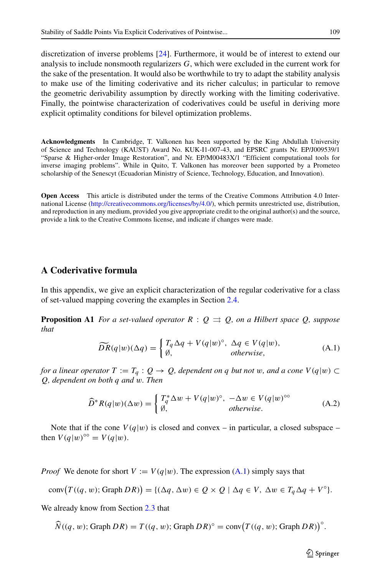discretization of inverse problems [\[24\]](#page-42-23). Furthermore, it would be of interest to extend our analysis to include nonsmooth regularizers *G*, which were excluded in the current work for the sake of the presentation. It would also be worthwhile to try to adapt the stability analysis to make use of the limiting coderivative and its richer calculus; in particular to remove the geometric derivability assumption by directly working with the limiting coderivative. Finally, the pointwise characterization of coderivatives could be useful in deriving more explicit optimality conditions for bilevel optimization problems.

**Acknowledgments** In Cambridge, T. Valkonen has been supported by the King Abdullah University of Science and Technology (KAUST) Award No. KUK-I1-007-43, and EPSRC grants Nr. EP/J009539/1 "Sparse & Higher-order Image Restoration", and Nr. EP/M00483X/1 "Efficient computational tools for inverse imaging problems". While in Quito, T. Valkonen has moreover been supported by a Prometeo scholarship of the Senescyt (Ecuadorian Ministry of Science, Technology, Education, and Innovation).

**Open Access** This article is distributed under the terms of the Creative Commons Attribution 4.0 International License [\(http://creativecommons.org/licenses/by/4.0/\)](http://creativecommons.org/licenses/by/4.0/), which permits unrestricted use, distribution, and reproduction in any medium, provided you give appropriate credit to the original author(s) and the source, provide a link to the Creative Commons license, and indicate if changes were made.

#### <span id="page-40-1"></span><span id="page-40-0"></span>**A Coderivative formula**

In this appendix, we give an explicit characterization of the regular coderivative for a class of set-valued mapping covering the examples in Section [2.4.](#page-11-1)

**Proposition A1** *For a set-valued operator*  $R: Q \rightrightarrows Q$ *, on a Hilbert space*  $Q$ *, suppose that*

<span id="page-40-2"></span>
$$
\widetilde{DR}(q|w)(\Delta q) = \begin{cases} T_q \Delta q + V(q|w)^\circ, & \Delta q \in V(q|w), \\ \emptyset, & \text{otherwise,} \end{cases}
$$
\n(A.1)

*for a linear operator*  $T := T_q : Q \to Q$ *, dependent on q but not w, and a cone*  $V(q|w) \subset$ *Q, dependent on both q and w. Then*

<span id="page-40-3"></span>
$$
\widehat{D}^* R(q|w) (\Delta w) = \begin{cases} T_q^* \Delta w + V(q|w)^\circ, & -\Delta w \in V(q|w)^\circ^\circ \\ \emptyset, & \text{otherwise.} \end{cases} \tag{A.2}
$$

Note that if the cone  $V(q|w)$  is closed and convex – in particular, a closed subspace – then  $V(q|w)^{\circ\circ} = V(q|w)$ .

*Proof* We denote for short  $V := V(q|w)$ . The expression [\(A.1\)](#page-40-2) simply says that

$$
conv(T((q, w); Graph\,DR)) = \{(\Delta q, \Delta w) \in Q \times Q \mid \Delta q \in V, \ \Delta w \in T_q \Delta q + V^{\circ}\}.
$$

We already know from Section [2.3](#page-9-4) that

 $\widehat{N}((q, w); \text{Graph } DR) = T((q, w); \text{Graph } DR)^\circ = \text{conv}(T((q, w); \text{Graph } DR))^\circ.$ 

 $\textcircled{2}$  Springer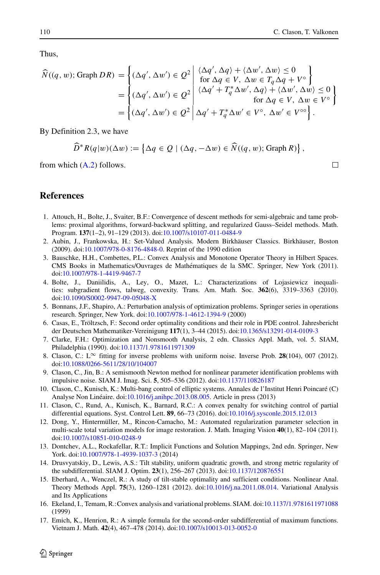Thus,

$$
\widehat{N}((q, w); \text{Graph } DR) = \left\{ (\Delta q', \Delta w') \in \mathcal{Q}^2 \middle| \begin{array}{l} \langle \Delta q', \Delta q \rangle + \langle \Delta w', \Delta w \rangle \le 0 \\ \text{for } \Delta q \in V, \ \Delta w \in T_q \Delta q + V^{\circ} \end{array} \right\}
$$
\n
$$
= \left\{ (\Delta q', \Delta w') \in \mathcal{Q}^2 \middle| \begin{array}{l} \langle \Delta q', \Delta q \rangle + \langle \Delta w', \Delta w \rangle \le 0 \\ \langle \Delta q' + T_q^* \Delta w', \Delta q \rangle + \langle \Delta w', \Delta w \rangle \le 0 \\ \text{for } \Delta q \in V, \ \Delta w \in V^{\circ} \end{array} \right\}
$$
\n
$$
= \left\{ (\Delta q', \Delta w') \in \mathcal{Q}^2 \middle| \Delta q' + T_q^* \Delta w' \in V^{\circ}, \ \Delta w' \in V^{\circ \circ} \right\}.
$$

By Definition 2.3, we have

$$
\widehat{D}^*R(q|w)(\Delta w) := \left\{\Delta q \in Q \mid (\Delta q, -\Delta w) \in \widehat{N}((q, w); \text{Graph } R)\right\},\
$$

from which  $(A.2)$  follows.

#### **References**

- <span id="page-41-7"></span>1. Attouch, H., Bolte, J., Svaiter, B.F.: Convergence of descent methods for semi-algebraic and tame problems: proximal algorithms, forward-backward splitting, and regularized Gauss–Seidel methods. Math. Program. **137**(1–2), 91–129 (2013). doi[:10.1007/s10107-011-0484-9](http://dx.doi.org/10.1007/s10107-011-0484-9)
- <span id="page-41-13"></span>2. Aubin, J., Frankowska, H.: Set-Valued Analysis. Modern Birkhäuser Classics. Birkhäuser, Boston (2009). doi[:10.1007/978-0-8176-4848-0.](http://dx.doi.org/10.1007/978-0-8176-4848-0) Reprint of the 1990 edition
- <span id="page-41-16"></span>3. Bauschke, H.H., Combettes, P.L.: Convex Analysis and Monotone Operator Theory in Hilbert Spaces. CMS Books in Mathematics/Ouvrages de Mathematiques de la SMC. Springer, New York (2011). ´ doi[:10.1007/978-1-4419-9467-7](http://dx.doi.org/10.1007/978-1-4419-9467-7)
- <span id="page-41-6"></span>4. Bolte, J., Daniilidis, A., Ley, O., Mazet, L.: Characterizations of Lojasiewicz inequalities: subgradient flows, talweg, convexity. Trans. Am. Math. Soc. **362**(6), 3319–3363 (2010). doi[:10.1090/S0002-9947-09-05048-X](http://dx.doi.org/10.1090/S0002-9947-09-05048-X)
- <span id="page-41-3"></span>5. Bonnans, J.F., Shapiro, A.: Perturbation analysis of optimization problems. Springer series in operations research. Springer, New York. doi[:10.1007/978-1-4612-1394-9](http://dx.doi.org/10.1007/978-1-4612-1394-9) (2000)
- <span id="page-41-4"></span>6. Casas, E., Troltzsch, F.: Second order optimality conditions and their role in PDE control. Jahresbericht ¨ der Deutschen Mathematiker-Vereinigung **117**(1), 3–44 (2015). doi[:10.1365/s13291-014-0109-3](http://dx.doi.org/10.1365/s13291-014-0109-3)
- <span id="page-41-15"></span>7. Clarke, F.H.: Optimization and Nonsmooth Analysis, 2 edn. Classics Appl. Math, vol. 5. SIAM, Philadelphia (1990). doi[:10.1137/1.9781611971309](http://dx.doi.org/10.1137/1.9781611971309)
- <span id="page-41-1"></span>8. Clason, C.: L∞ fitting for inverse problems with uniform noise. Inverse Prob. **28**(104), 007 (2012). doi[:10.1088/0266-5611/28/10/104007](http://dx.doi.org/10.1088/0266-5611/28/10/104007)
- <span id="page-41-0"></span>9. Clason, C., Jin, B.: A semismooth Newton method for nonlinear parameter identification problems with impulsive noise. SIAM J. Imag. Sci. **5**, 505–536 (2012). doi[:10.1137/110826187](http://dx.doi.org/10.1137/110826187)
- <span id="page-41-10"></span>10. Clason, C., Kunisch, K.: Multi-bang control of elliptic systems. Annales de l'Institut Henri Poincare (C) ´ Analyse Non Linéaire. doi:[10.1016/j.anihpc.2013.08.005.](http://dx.doi.org/10.1016/j.anihpc.2013.08.005) Article in press (2013)
- <span id="page-41-11"></span>11. Clason, C., Rund, A., Kunisch, K., Barnard, R.C.: A convex penalty for switching control of partial differential equations. Syst. Control Lett. **89**, 66–73 (2016). doi[:10.1016/j.sysconle.2015.12.013](http://dx.doi.org/10.1016/j.sysconle.2015.12.013)
- <span id="page-41-12"></span>12. Dong, Y., Hintermüller, M., Rincon-Camacho, M.: Automated regularization parameter selection in multi-scale total variation models for image restoration. J. Math. Imaging Vision **40**(1), 82–104 (2011). doi[:10.1007/s10851-010-0248-9](http://dx.doi.org/10.1007/s10851-010-0248-9)
- <span id="page-41-2"></span>13. Dontchev, A.L., Rockafellar, R.T.: Implicit Functions and Solution Mappings, 2nd edn. Springer, New York. doi[:10.1007/978-1-4939-1037-3](http://dx.doi.org/10.1007/978-1-4939-1037-3) (2014)
- <span id="page-41-8"></span>14. Drusvyatskiy, D., Lewis, A.S.: Tilt stability, uniform quadratic growth, and strong metric regularity of the subdifferential. SIAM J. Optim. **23**(1), 256–267 (2013). doi[:10.1137/120876551](http://dx.doi.org/10.1137/120876551)
- <span id="page-41-9"></span>15. Eberhard, A., Wenczel, R.: A study of tilt-stable optimality and sufficient conditions. Nonlinear Anal. Theory Methods Appl. **75**(3), 1260–1281 (2012). doi[:10.1016/j.na.2011.08.014.](http://dx.doi.org/10.1016/j.na.2011.08.014) Variational Analysis and Its Applications
- <span id="page-41-14"></span>16. Ekeland, I., Temam, R.:Convex analysis and variational problems. SIAM. doi[:10.1137/1.9781611971088](http://dx.doi.org/10.1137/1.9781611971088) (1999)
- <span id="page-41-5"></span>17. Emich, K., Henrion, R.: A simple formula for the second-order subdifferential of maximum functions. Vietnam J. Math. **42**(4), 467–478 (2014). doi[:10.1007/s10013-013-0052-0](http://dx.doi.org/10.1007/s10013-013-0052-0)

 $\Box$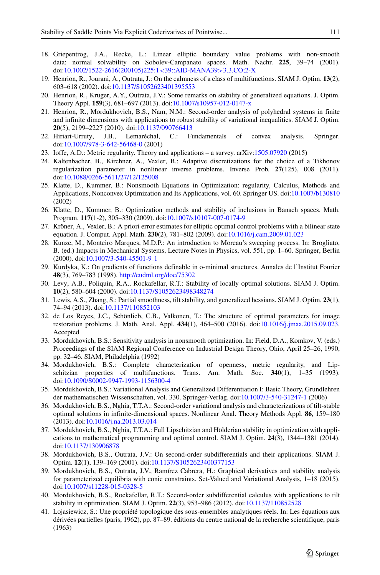- <span id="page-42-22"></span>18. Griepentrog, J.A., Recke, L.: Linear elliptic boundary value problems with non-smooth data: normal solvability on Sobolev-Campanato spaces. Math. Nachr. **225**, 39–74 (2001). doi[:10.1002/1522-2616\(200105\)225:1](http://dx.doi.org/10.1002/1522-2616(200105)225:1$<$39::AID-MANA39$>$3.3.CO;2-X)*<*39::AID-MANA39*>*3.3.CO;2-X
- <span id="page-42-4"></span>19. Henrion, R., Jourani, A., Outrata, J.: On the calmness of a class of multifunctions. SIAM J. Optim. **13**(2), 603–618 (2002). doi[:10.1137/S1052623401395553](http://dx.doi.org/10.1137/S1052623401395553)
- <span id="page-42-5"></span>20. Henrion, R., Kruger, A.Y., Outrata, J.V.: Some remarks on stability of generalized equations. J. Optim. Theory Appl. **159**(3), 681–697 (2013). doi[:10.1007/s10957-012-0147-x](http://dx.doi.org/10.1007/s10957-012-0147-x)
- <span id="page-42-8"></span>21. Henrion, R., Mordukhovich, B.S., Nam, N.M.: Second-order analysis of polyhedral systems in finite and infinite dimensions with applications to robust stability of variational inequalities. SIAM J. Optim. **20**(5), 2199–2227 (2010). doi[:10.1137/090766413](http://dx.doi.org/10.1137/090766413)
- <span id="page-42-0"></span>22. Hiriart-Urruty, J.B., Lemarechal, C.: Fundamentals of convex analysis. Springer. ´ doi[:10.1007/978-3-642-56468-0](http://dx.doi.org/10.1007/978-3-642-56468-0) (2001)
- <span id="page-42-1"></span>23. Ioffe, A.D.: Metric regularity. Theory and applications – a survey. arXiv[:1505.07920](http://arxiv.org/abs/1505.07920) (2015)
- <span id="page-42-23"></span>24. Kaltenbacher, B., Kirchner, A., Vexler, B.: Adaptive discretizations for the choice of a Tikhonov regularization parameter in nonlinear inverse problems. Inverse Prob. **27**(125), 008 (2011). doi[:10.1088/0266-5611/27/12/125008](http://dx.doi.org/10.1088/0266-5611/27/12/125008)
- <span id="page-42-11"></span>25. Klatte, D., Kummer, B.: Nonsmooth Equations in Optimization: regularity, Calculus, Methods and Applications, Nonconvex Optimization and Its Applications, vol. 60. Springer US. doi[:10.1007/b130810](http://dx.doi.org/10.1007/b130810) (2002)
- <span id="page-42-12"></span>26. Klatte, D., Kummer, B.: Optimization methods and stability of inclusions in Banach spaces. Math. Program. **117**(1-2), 305–330 (2009). doi[:10.1007/s10107-007-0174-9](http://dx.doi.org/10.1007/s10107-007-0174-9)
- <span id="page-42-21"></span>27. Kroner, A., Vexler, B.: A priori error estimates for elliptic optimal control problems with a bilinear state ¨ equation. J. Comput. Appl. Math. **230**(2), 781–802 (2009). doi[:10.1016/j.cam.2009.01.023](http://dx.doi.org/10.1016/j.cam.2009.01.023)
- <span id="page-42-20"></span>28. Kunze, M., Monteiro Marques, M.D.P.: An introduction to Moreau's sweeping process. In: Brogliato, B. (ed.) Impacts in Mechanical Systems, Lecture Notes in Physics, vol. 551, pp. 1–60. Springer, Berlin (2000). doi[:10.1007/3-540-45501-9](http://dx.doi.org/10.1007/3-540-45501-9_1) 1
- <span id="page-42-9"></span>29. Kurdyka, K.: On gradients of functions definable in o-minimal structures. Annales de l'Institut Fourier **48**(3), 769–783 (1998). <http://eudml.org/doc/75302>
- <span id="page-42-16"></span>30. Levy, A.B., Poliquin, R.A., Rockafellar, R.T.: Stability of locally optimal solutions. SIAM J. Optim. **10**(2), 580–604 (2000). doi[:10.1137/S1052623498348274](http://dx.doi.org/10.1137/S1052623498348274)
- <span id="page-42-13"></span>31. Lewis, A.S., Zhang, S.: Partial smoothness, tilt stability, and generalized hessians. SIAM J. Optim. **23**(1), 74–94 (2013). doi[:10.1137/110852103](http://dx.doi.org/10.1137/110852103)
- <span id="page-42-18"></span>32. de Los Reyes, J.C., Schönlieb, C.B., Valkonen, T.: The structure of optimal parameters for image restoration problems. J. Math. Anal. Appl. **434**(1), 464–500 (2016). doi[:10.1016/j.jmaa.2015.09.023.](http://dx.doi.org/10.1016/j.jmaa.2015.09.023) Accepted
- <span id="page-42-19"></span>33. Mordukhovich, B.S.: Sensitivity analysis in nonsmooth optimization. In: Field, D.A., Komkov, V. (eds.) Proceedings of the SIAM Regional Conference on Industrial Design Theory, Ohio, April 25–26, 1990, pp. 32–46. SIAM, Philadelphia (1992)
- <span id="page-42-2"></span>34. Mordukhovich, B.S.: Complete characterization of openness, metric regularity, and Lipschitzian properties of multifunctions. Trans. Am. Math. Soc. **340**(1), 1–35 (1993). doi[:10.1090/S0002-9947-1993-1156300-4](http://dx.doi.org/10.1090/S0002-9947-1993-1156300-4)
- <span id="page-42-3"></span>35. Mordukhovich, B.S.: Variational Analysis and Generalized Differentiation I: Basic Theory, Grundlehren der mathematischen Wissenschaften, vol. 330. Springer-Verlag. doi[:10.1007/3-540-31247-1](http://dx.doi.org/10.1007/3-540-31247-1) (2006)
- <span id="page-42-15"></span>36. Mordukhovich, B.S., Nghia, T.T.A.: Second-order variational analysis and characterizations of tilt-stable optimal solutions in infinite-dimensional spaces. Nonlinear Anal. Theory Methods Appl. **86**, 159–180 (2013). doi[:10.1016/j.na.2013.03.014](http://dx.doi.org/10.1016/j.na.2013.03.014)
- <span id="page-42-17"></span>37. Mordukhovich, B.S., Nghia, T.T.A.: Full Lipschitzian and Holderian stability in optimization with appli- ¨ cations to mathematical programming and optimal control. SIAM J. Optim. **24**(3), 1344–1381 (2014). doi[:10.1137/130906878](http://dx.doi.org/10.1137/130906878)
- <span id="page-42-6"></span>38. Mordukhovich, B.S., Outrata, J.V.: On second-order subdifferentials and their applications. SIAM J. Optim. **12**(1), 139–169 (2001). doi[:10.1137/S1052623400377153](http://dx.doi.org/10.1137/S1052623400377153)
- <span id="page-42-7"></span>39. Mordukhovich, B.S., Outrata, J.V., Ramírez Cabrera, H.: Graphical derivatives and stability analysis for parameterized equilibria with conic constraints. Set-Valued and Variational Analysis, 1–18 (2015). doi[:10.1007/s11228-015-0328-5](http://dx.doi.org/10.1007/s11228-015-0328-5)
- <span id="page-42-14"></span>40. Mordukhovich, B.S., Rockafellar, R.T.: Second-order subdifferential calculus with applications to tilt stability in optimization. SIAM J. Optim. **22**(3), 953–986 (2012). doi[:10.1137/110852528](http://dx.doi.org/10.1137/110852528)
- <span id="page-42-10"></span>41. Lojasiewicz, S.: Une propriété topologique des sous-ensembles analytiques réels. In: Les équations aux dérivées partielles (paris, 1962), pp. 87–89. éditions du centre national de la recherche scientifique, paris (1963)